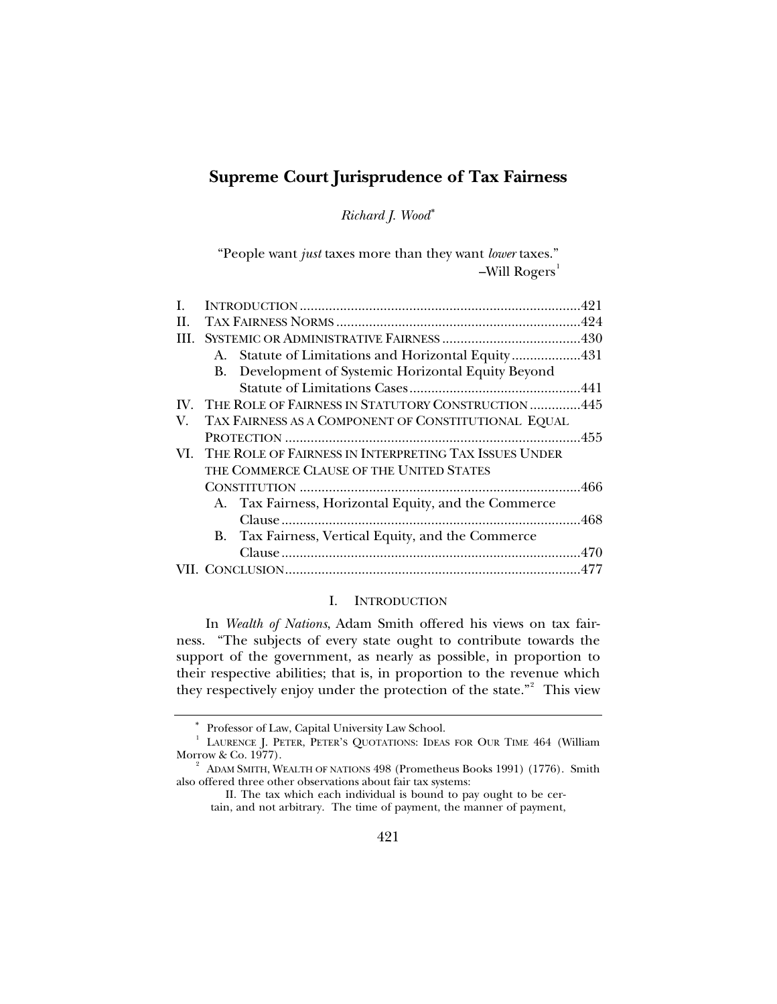# <span id="page-0-2"></span>**Supreme Court Jurisprudence of Tax Fairness**

*Richard J. Wood*[∗](#page-0-0)

"People want *just* taxes more than they want *lower* taxes."  $-Will Rogers<sup>1</sup>$  $-Will Rogers<sup>1</sup>$  $-Will Rogers<sup>1</sup>$ 

| H.         |                                                           |                                                        |  |  |
|------------|-----------------------------------------------------------|--------------------------------------------------------|--|--|
| <b>III</b> |                                                           |                                                        |  |  |
|            |                                                           | A. Statute of Limitations and Horizontal Equity431     |  |  |
|            |                                                           | B. Development of Systemic Horizontal Equity Beyond    |  |  |
|            |                                                           |                                                        |  |  |
|            |                                                           | IV. THE ROLE OF FAIRNESS IN STATUTORY CONSTRUCTION 445 |  |  |
| V.         | TAX FAIRNESS AS A COMPONENT OF CONSTITUTIONAL EQUAL       |                                                        |  |  |
|            |                                                           |                                                        |  |  |
|            | VI. THE ROLE OF FAIRNESS IN INTERPRETING TAX ISSUES UNDER |                                                        |  |  |
|            |                                                           | THE COMMERCE CLAUSE OF THE UNITED STATES               |  |  |
|            |                                                           |                                                        |  |  |
|            |                                                           | A. Tax Fairness, Horizontal Equity, and the Commerce   |  |  |
|            |                                                           |                                                        |  |  |
|            |                                                           | B. Tax Fairness, Vertical Equity, and the Commerce     |  |  |
|            |                                                           |                                                        |  |  |
|            |                                                           |                                                        |  |  |
|            |                                                           |                                                        |  |  |

# I. INTRODUCTION

In *Wealth of Nations*, Adam Smith offered his views on tax fairness. "The subjects of every state ought to contribute towards the support of the government, as nearly as possible, in proportion to their respective abilities; that is, in proportion to the revenue which they respectively enjoy under the protection of the state."<sup>[2](#page-0-3)</sup> This view

<sup>∗</sup> Professor of Law, Capital University Law School. 1

<span id="page-0-1"></span><span id="page-0-0"></span>LAURENCE J. PETER, PETER'S QUOTATIONS: IDEAS FOR OUR TIME 464 (William Morrow & Co. 1977).

<span id="page-0-3"></span> $A<sup>2</sup>$  ADAM SMITH, WEALTH OF NATIONS 498 (Prometheus Books 1991) (1776). Smith also offered three other observations about fair tax systems:

II. The tax which each individual is bound to pay ought to be certain, and not arbitrary. The time of payment, the manner of payment,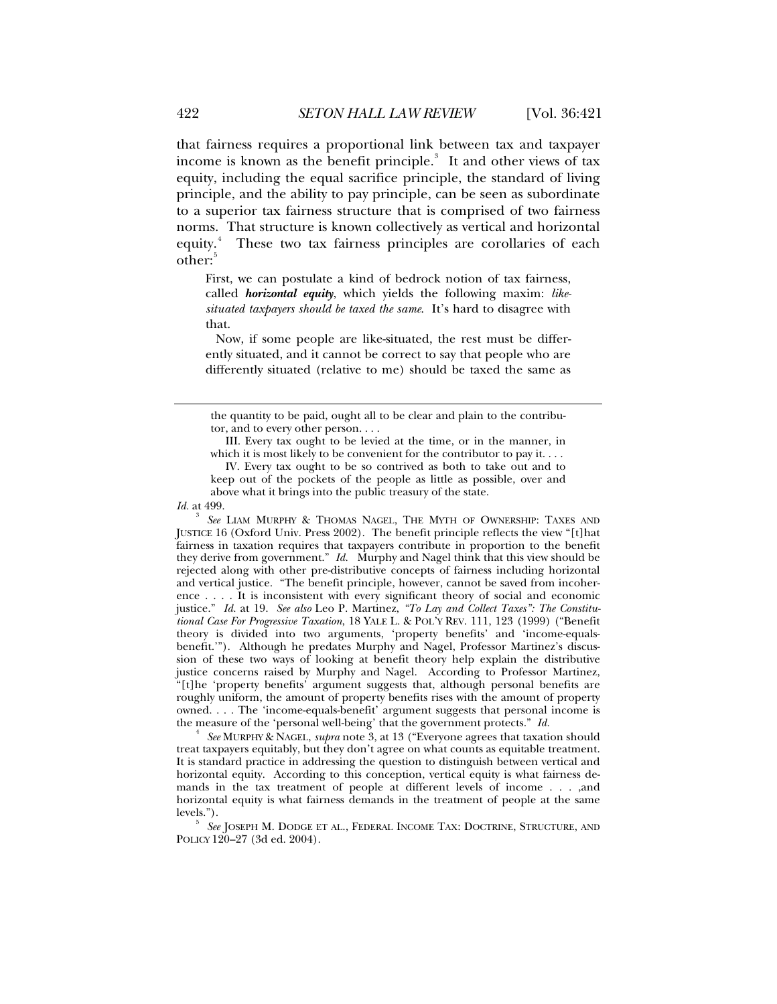that fairness requires a proportional link between tax and taxpayer income is known as the benefit principle.<sup>[3](#page-1-0)</sup> It and other views of tax equity, including the equal sacrifice principle, the standard of living principle, and the ability to pay principle, can be seen as subordinate to a superior tax fairness structure that is comprised of two fairness norms. That structure is known collectively as vertical and horizontal equity.<sup>[4](#page-1-1)</sup> These two tax fairness principles are corollaries of each other:<sup>[5](#page-1-2)</sup>

First, we can postulate a kind of bedrock notion of tax fairness, called *horizontal equity*, which yields the following maxim: *likesituated taxpayers should be taxed the same*. It's hard to disagree with that.

 Now, if some people are like-situated, the rest must be differently situated, and it cannot be correct to say that people who are differently situated (relative to me) should be taxed the same as

 IV. Every tax ought to be so contrived as both to take out and to keep out of the pockets of the people as little as possible, over and above what it brings into the public treasury of the state.

*Id.* at 499.

<span id="page-1-0"></span>3  *See* LIAM MURPHY & THOMAS NAGEL, THE MYTH OF OWNERSHIP: TAXES AND JUSTICE 16 (Oxford Univ. Press 2002). The benefit principle reflects the view "[t]hat fairness in taxation requires that taxpayers contribute in proportion to the benefit they derive from government." *Id.* Murphy and Nagel think that this view should be rejected along with other pre-distributive concepts of fairness including horizontal and vertical justice. "The benefit principle, however, cannot be saved from incoherence . . . . It is inconsistent with every significant theory of social and economic justice." *Id.* at 19. *See also* Leo P. Martinez, *"To Lay and Collect Taxes": The Constitutional Case For Progressive Taxation*, 18 YALE L. & POL'Y REV. 111, 123 (1999) ("Benefit theory is divided into two arguments, 'property benefits' and 'income-equalsbenefit.'"). Although he predates Murphy and Nagel, Professor Martinez's discussion of these two ways of looking at benefit theory help explain the distributive justice concerns raised by Murphy and Nagel. According to Professor Martinez, "[t]he 'property benefits' argument suggests that, although personal benefits are roughly uniform, the amount of property benefits rises with the amount of property owned. . . . The 'income-equals-benefit' argument suggests that personal income is the measure of the 'personal well-being' that the government protects." *Id.* 

<span id="page-1-1"></span> *See* MURPHY & NAGEL, *supra* note 3, at 13 ("Everyone agrees that taxation should treat taxpayers equitably, but they don't agree on what counts as equitable treatment. It is standard practice in addressing the question to distinguish between vertical and horizontal equity. According to this conception, vertical equity is what fairness demands in the tax treatment of people at different levels of income . . . ,and horizontal equity is what fairness demands in the treatment of people at the same levels.").

<span id="page-1-2"></span> *See* JOSEPH M. DODGE ET AL., FEDERAL INCOME TAX: DOCTRINE, STRUCTURE, AND POLICY 120–27 (3d ed. 2004).

the quantity to be paid, ought all to be clear and plain to the contributor, and to every other person. . . .

III. Every tax ought to be levied at the time, or in the manner, in which it is most likely to be convenient for the contributor to pay it. . . .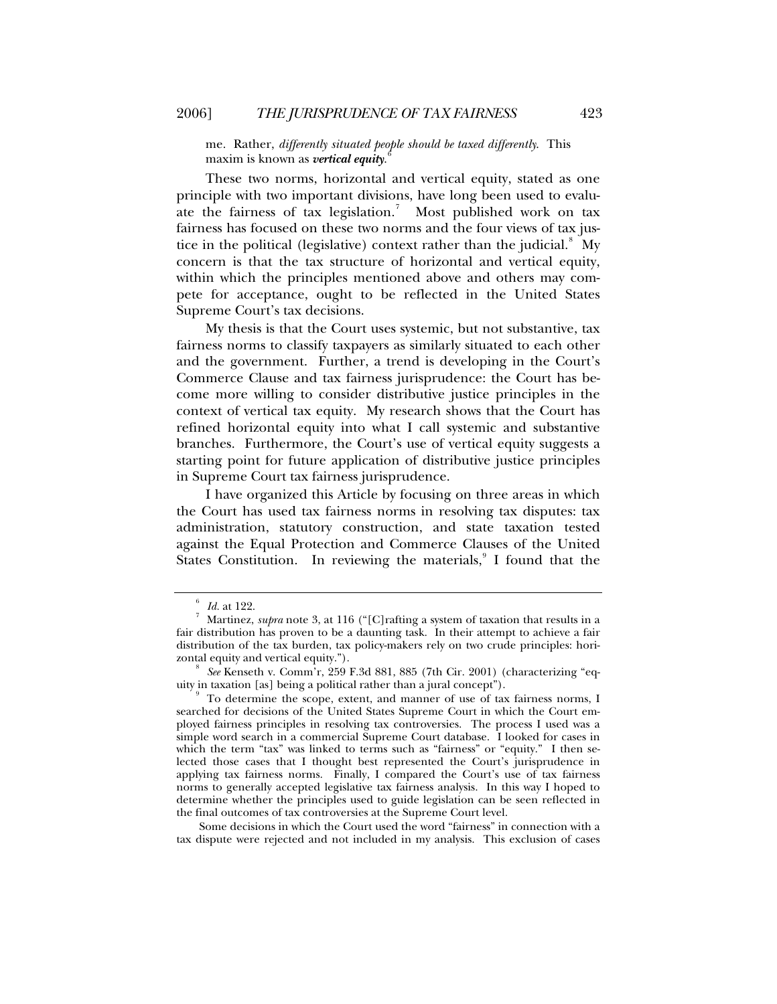me. Rather, *differently situated people should be taxed differently*. This maxim is known as *vertical equity*. [6](#page-2-0)

These two norms, horizontal and vertical equity, stated as one principle with two important divisions, have long been used to evalu-ate the fairness of tax legislation.<sup>[7](#page-2-1)</sup> Most published work on tax fairness has focused on these two norms and the four views of tax justice in the political (legislative) context rather than the judicial. $8\,$  $8\,$  My concern is that the tax structure of horizontal and vertical equity, within which the principles mentioned above and others may compete for acceptance, ought to be reflected in the United States Supreme Court's tax decisions.

My thesis is that the Court uses systemic, but not substantive, tax fairness norms to classify taxpayers as similarly situated to each other and the government. Further, a trend is developing in the Court's Commerce Clause and tax fairness jurisprudence: the Court has become more willing to consider distributive justice principles in the context of vertical tax equity. My research shows that the Court has refined horizontal equity into what I call systemic and substantive branches. Furthermore, the Court's use of vertical equity suggests a starting point for future application of distributive justice principles in Supreme Court tax fairness jurisprudence.

I have organized this Article by focusing on three areas in which the Court has used tax fairness norms in resolving tax disputes: tax administration, statutory construction, and state taxation tested against the Equal Protection and Commerce Clauses of the United States Constitution. In reviewing the materials,<sup>[9](#page-2-3)</sup> I found that the

Some decisions in which the Court used the word "fairness" in connection with a tax dispute were rejected and not included in my analysis. This exclusion of cases

 $\frac{6}{7}$  *Id.* at 122.

<span id="page-2-1"></span><span id="page-2-0"></span>Martinez, *supra* note 3, at 116 ("[C]rafting a system of taxation that results in a fair distribution has proven to be a daunting task. In their attempt to achieve a fair distribution of the tax burden, tax policy-makers rely on two crude principles: horizontal equity and vertical equity.").

<span id="page-2-2"></span>*See* Kenseth v. Comm'r, 259 F.3d 881, 885 (7th Cir. 2001) (characterizing "equity in taxation [as] being a political rather than a jural concept"). 9

<span id="page-2-3"></span>To determine the scope, extent, and manner of use of tax fairness norms, I searched for decisions of the United States Supreme Court in which the Court employed fairness principles in resolving tax controversies. The process I used was a simple word search in a commercial Supreme Court database. I looked for cases in which the term "tax" was linked to terms such as "fairness" or "equity." I then selected those cases that I thought best represented the Court's jurisprudence in applying tax fairness norms. Finally, I compared the Court's use of tax fairness norms to generally accepted legislative tax fairness analysis. In this way I hoped to determine whether the principles used to guide legislation can be seen reflected in the final outcomes of tax controversies at the Supreme Court level.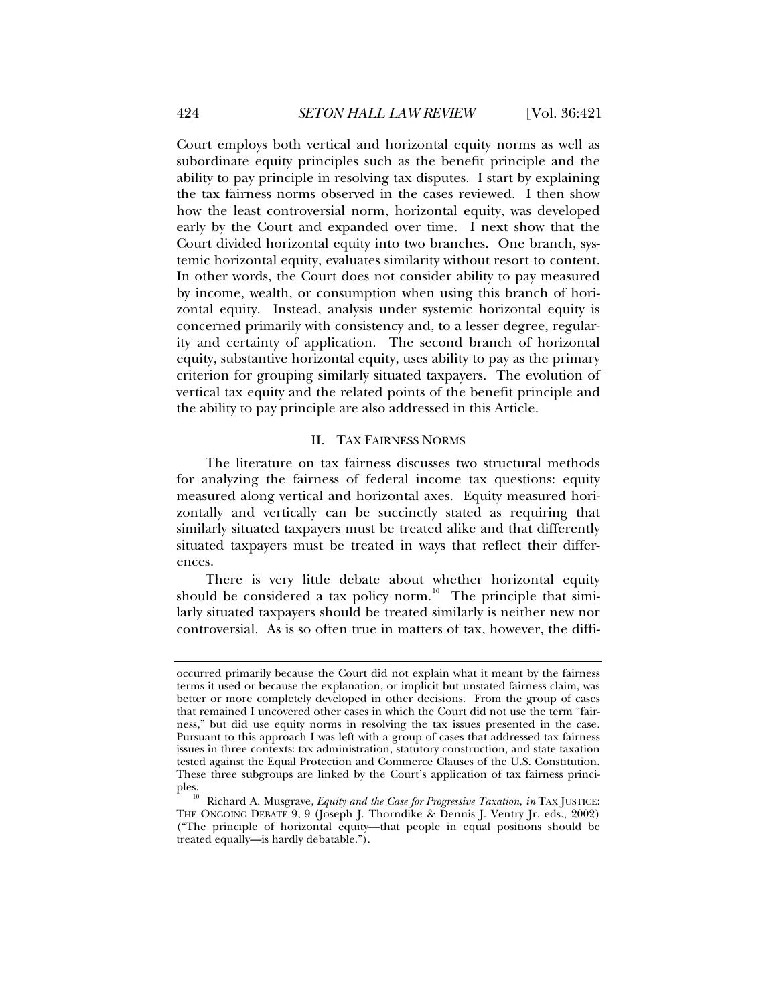<span id="page-3-0"></span>Court employs both vertical and horizontal equity norms as well as subordinate equity principles such as the benefit principle and the ability to pay principle in resolving tax disputes. I start by explaining the tax fairness norms observed in the cases reviewed. I then show how the least controversial norm, horizontal equity, was developed early by the Court and expanded over time. I next show that the Court divided horizontal equity into two branches. One branch, systemic horizontal equity, evaluates similarity without resort to content. In other words, the Court does not consider ability to pay measured by income, wealth, or consumption when using this branch of horizontal equity. Instead, analysis under systemic horizontal equity is concerned primarily with consistency and, to a lesser degree, regularity and certainty of application. The second branch of horizontal equity, substantive horizontal equity, uses ability to pay as the primary criterion for grouping similarly situated taxpayers. The evolution of vertical tax equity and the related points of the benefit principle and the ability to pay principle are also addressed in this Article.

## II. TAX FAIRNESS NORMS

The literature on tax fairness discusses two structural methods for analyzing the fairness of federal income tax questions: equity measured along vertical and horizontal axes. Equity measured horizontally and vertically can be succinctly stated as requiring that similarly situated taxpayers must be treated alike and that differently situated taxpayers must be treated in ways that reflect their differences.

There is very little debate about whether horizontal equity should be considered a tax policy norm.<sup>[10](#page-3-1)</sup> The principle that  $\frac{1}{2}$ larly situated taxpayers should be treated similarly is neither new nor controversial. As is so often true in matters of tax, however, the diffi-

occurred primarily because the Court did not explain what it meant by the fairness terms it used or because the explanation, or implicit but unstated fairness claim, was better or more completely developed in other decisions. From the group of cases that remained I uncovered other cases in which the Court did not use the term "fairness," but did use equity norms in resolving the tax issues presented in the case. Pursuant to this approach I was left with a group of cases that addressed tax fairness issues in three contexts: tax administration, statutory construction, and state taxation tested against the Equal Protection and Commerce Clauses of the U.S. Constitution. These three subgroups are linked by the Court's application of tax fairness princi-

<span id="page-3-1"></span>Richard A. Musgrave, *Equity and the Case for Progressive Taxation*, *in* TAX JUSTICE: THE ONGOING DEBATE 9, 9 (Joseph J. Thorndike & Dennis J. Ventry Jr. eds., 2002) ("The principle of horizontal equity—that people in equal positions should be treated equally—is hardly debatable.").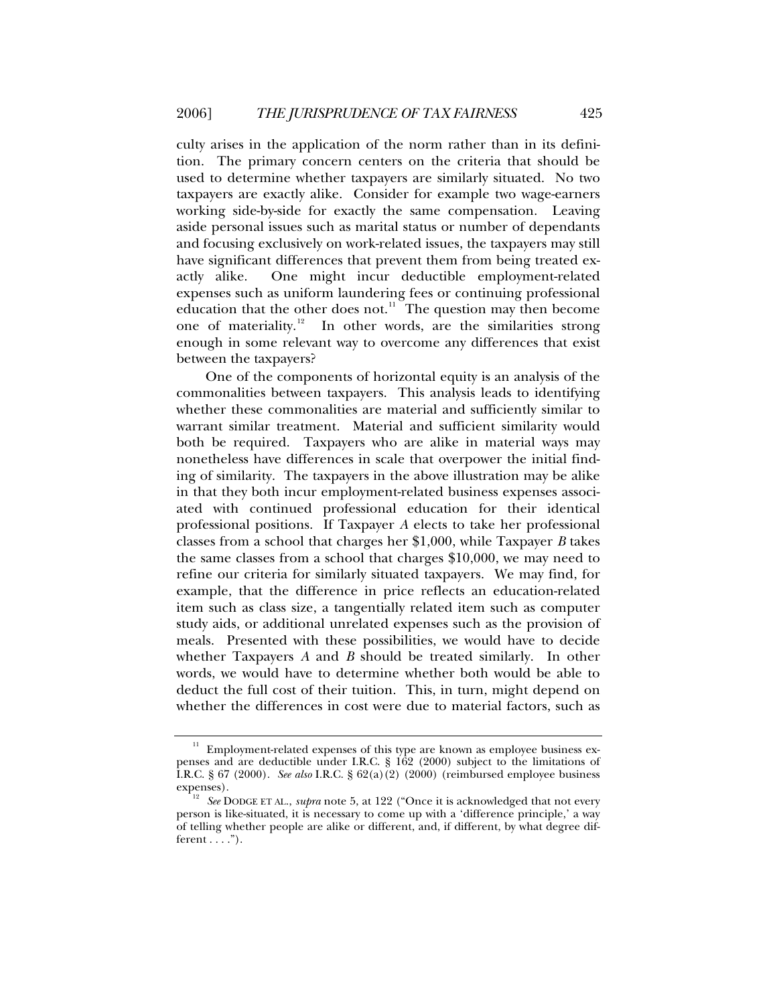culty arises in the application of the norm rather than in its definition. The primary concern centers on the criteria that should be used to determine whether taxpayers are similarly situated. No two taxpayers are exactly alike. Consider for example two wage-earners working side-by-side for exactly the same compensation. Leaving aside personal issues such as marital status or number of dependants and focusing exclusively on work-related issues, the taxpayers may still have significant differences that prevent them from being treated exactly alike. One might incur deductible employment-related expenses such as uniform laundering fees or continuing professional education that the other does not. $11$  The question may then become one of materiality.<sup>[12](#page-4-1)</sup> In other words, are the similarities strong enough in some relevant way to overcome any differences that exist between the taxpayers?

One of the components of horizontal equity is an analysis of the commonalities between taxpayers. This analysis leads to identifying whether these commonalities are material and sufficiently similar to warrant similar treatment. Material and sufficient similarity would both be required. Taxpayers who are alike in material ways may nonetheless have differences in scale that overpower the initial finding of similarity. The taxpayers in the above illustration may be alike in that they both incur employment-related business expenses associated with continued professional education for their identical professional positions. If Taxpayer *A* elects to take her professional classes from a school that charges her \$1,000, while Taxpayer *B* takes the same classes from a school that charges \$10,000, we may need to refine our criteria for similarly situated taxpayers. We may find, for example, that the difference in price reflects an education-related item such as class size, a tangentially related item such as computer study aids, or additional unrelated expenses such as the provision of meals. Presented with these possibilities, we would have to decide whether Taxpayers *A* and *B* should be treated similarly. In other words, we would have to determine whether both would be able to deduct the full cost of their tuition. This, in turn, might depend on whether the differences in cost were due to material factors, such as

<span id="page-4-0"></span>Employment-related expenses of this type are known as employee business expenses and are deductible under I.R.C. § 162 (2000) subject to the limitations of I.R.C. § 67 (2000). *See also* I.R.C. § 62(a)(2) (2000) (reimbursed employee business

<span id="page-4-1"></span><sup>&</sup>lt;sup>12</sup> See DODGE ET AL., *supra* note 5, at 122 ("Once it is acknowledged that not every person is like-situated, it is necessary to come up with a 'difference principle,' a way of telling whether people are alike or different, and, if different, by what degree different  $\dots$ .").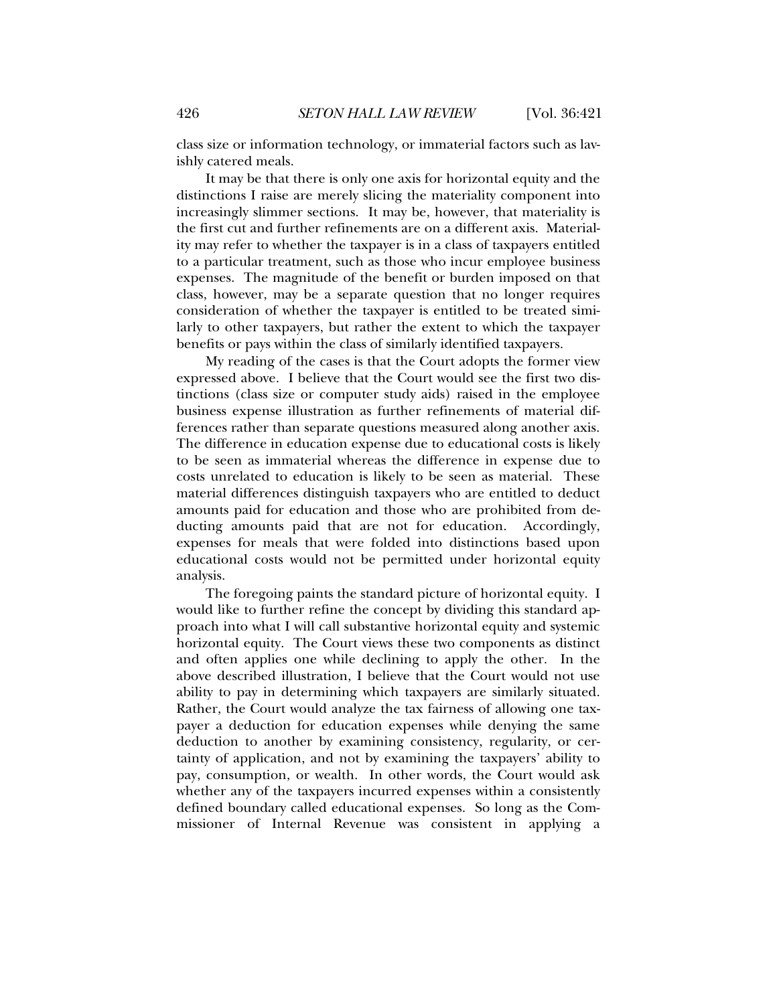class size or information technology, or immaterial factors such as lavishly catered meals.

It may be that there is only one axis for horizontal equity and the distinctions I raise are merely slicing the materiality component into increasingly slimmer sections. It may be, however, that materiality is the first cut and further refinements are on a different axis. Materiality may refer to whether the taxpayer is in a class of taxpayers entitled to a particular treatment, such as those who incur employee business expenses. The magnitude of the benefit or burden imposed on that class, however, may be a separate question that no longer requires consideration of whether the taxpayer is entitled to be treated similarly to other taxpayers, but rather the extent to which the taxpayer benefits or pays within the class of similarly identified taxpayers.

My reading of the cases is that the Court adopts the former view expressed above. I believe that the Court would see the first two distinctions (class size or computer study aids) raised in the employee business expense illustration as further refinements of material differences rather than separate questions measured along another axis. The difference in education expense due to educational costs is likely to be seen as immaterial whereas the difference in expense due to costs unrelated to education is likely to be seen as material. These material differences distinguish taxpayers who are entitled to deduct amounts paid for education and those who are prohibited from deducting amounts paid that are not for education. Accordingly, expenses for meals that were folded into distinctions based upon educational costs would not be permitted under horizontal equity analysis.

The foregoing paints the standard picture of horizontal equity. I would like to further refine the concept by dividing this standard approach into what I will call substantive horizontal equity and systemic horizontal equity. The Court views these two components as distinct and often applies one while declining to apply the other. In the above described illustration, I believe that the Court would not use ability to pay in determining which taxpayers are similarly situated. Rather, the Court would analyze the tax fairness of allowing one taxpayer a deduction for education expenses while denying the same deduction to another by examining consistency, regularity, or certainty of application, and not by examining the taxpayers' ability to pay, consumption, or wealth. In other words, the Court would ask whether any of the taxpayers incurred expenses within a consistently defined boundary called educational expenses. So long as the Commissioner of Internal Revenue was consistent in applying a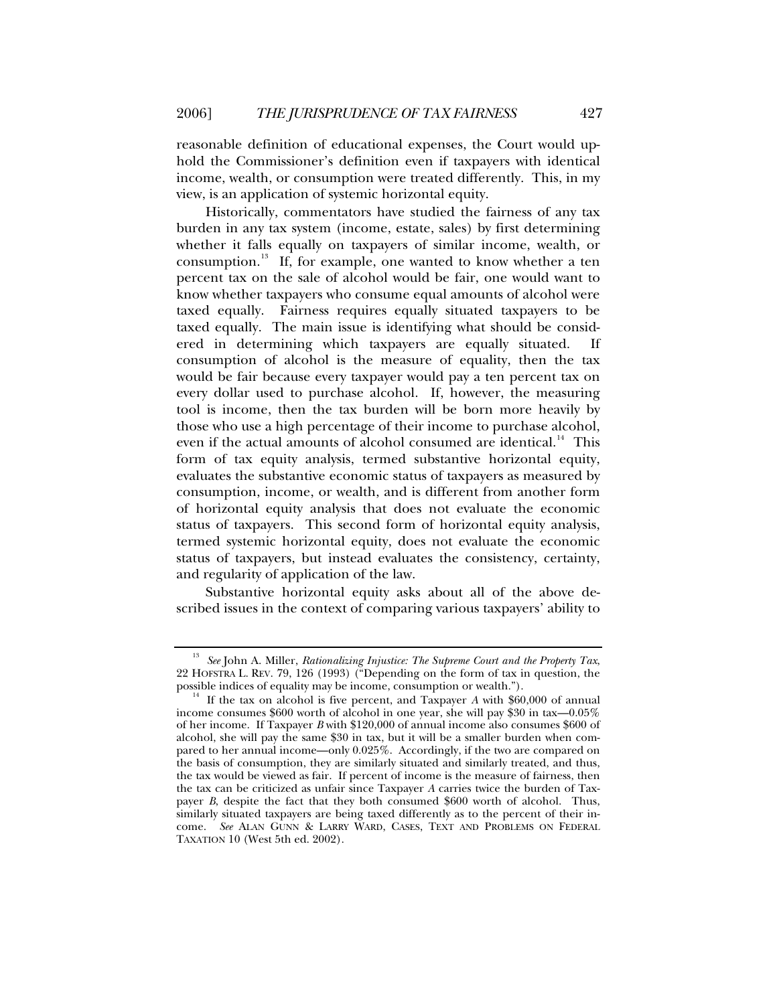reasonable definition of educational expenses, the Court would uphold the Commissioner's definition even if taxpayers with identical income, wealth, or consumption were treated differently. This, in my view, is an application of systemic horizontal equity.

Historically, commentators have studied the fairness of any tax burden in any tax system (income, estate, sales) by first determining whether it falls equally on taxpayers of similar income, wealth, or consumption.<sup>[13](#page-6-0)</sup> If, for example, one wanted to know whether a ten percent tax on the sale of alcohol would be fair, one would want to know whether taxpayers who consume equal amounts of alcohol were taxed equally. Fairness requires equally situated taxpayers to be taxed equally. The main issue is identifying what should be considered in determining which taxpayers are equally situated. If consumption of alcohol is the measure of equality, then the tax would be fair because every taxpayer would pay a ten percent tax on every dollar used to purchase alcohol. If, however, the measuring tool is income, then the tax burden will be born more heavily by those who use a high percentage of their income to purchase alcohol, even if the actual amounts of alcohol consumed are identical.<sup>[14](#page-6-1)</sup> This form of tax equity analysis, termed substantive horizontal equity, evaluates the substantive economic status of taxpayers as measured by consumption, income, or wealth, and is different from another form of horizontal equity analysis that does not evaluate the economic status of taxpayers. This second form of horizontal equity analysis, termed systemic horizontal equity, does not evaluate the economic status of taxpayers, but instead evaluates the consistency, certainty, and regularity of application of the law.

Substantive horizontal equity asks about all of the above described issues in the context of comparing various taxpayers' ability to

<span id="page-6-0"></span><sup>13</sup> *See* John A. Miller, *Rationalizing Injustice: The Supreme Court and the Property Tax*, 22 HOFSTRA L. REV. 79, 126 (1993) ( $\overline{P}$  "Depending on the form of tax in question, the possible indices of equality may be income, consumption or wealth.").

<span id="page-6-1"></span><sup>&</sup>lt;sup>14</sup> If the tax on alcohol is five percent, and Taxpayer *A* with \$60,000 of annual income consumes \$600 worth of alcohol in one year, she will pay \$30 in tax—0.05% of her income. If Taxpayer *B* with \$120,000 of annual income also consumes \$600 of alcohol, she will pay the same \$30 in tax, but it will be a smaller burden when compared to her annual income—only 0.025%. Accordingly, if the two are compared on the basis of consumption, they are similarly situated and similarly treated, and thus, the tax would be viewed as fair. If percent of income is the measure of fairness, then the tax can be criticized as unfair since Taxpayer *A* carries twice the burden of Taxpayer *B*, despite the fact that they both consumed \$600 worth of alcohol. Thus, similarly situated taxpayers are being taxed differently as to the percent of their income. *See* ALAN GUNN & LARRY WARD, CASES, TEXT AND PROBLEMS ON FEDERAL TAXATION 10 (West 5th ed. 2002).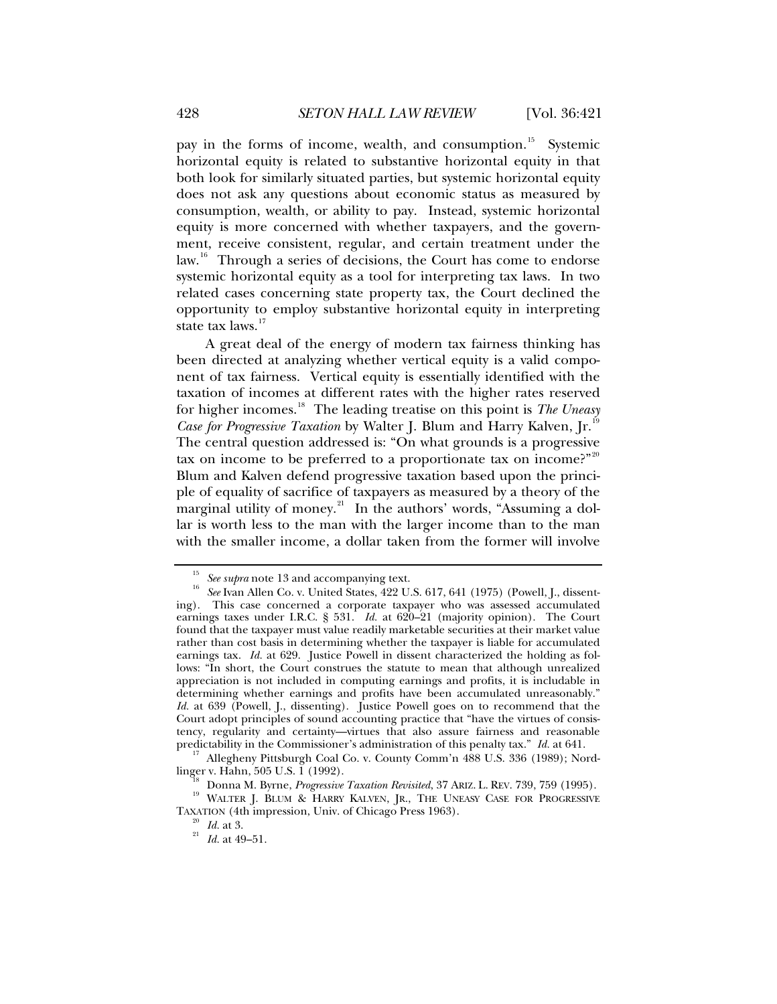pay in the forms of income, wealth, and consumption.<sup>[15](#page-7-0)</sup> Systemic horizontal equity is related to substantive horizontal equity in that both look for similarly situated parties, but systemic horizontal equity does not ask any questions about economic status as measured by consumption, wealth, or ability to pay. Instead, systemic horizontal equity is more concerned with whether taxpayers, and the government, receive consistent, regular, and certain treatment under the law.<sup>[16](#page-7-1)</sup> Through a series of decisions, the Court has come to endorse systemic horizontal equity as a tool for interpreting tax laws. In two related cases concerning state property tax, the Court declined the opportunity to employ substantive horizontal equity in interpreting state tax laws.<sup>[17](#page-7-2)</sup>

A great deal of the energy of modern tax fairness thinking has been directed at analyzing whether vertical equity is a valid component of tax fairness. Vertical equity is essentially identified with the taxation of incomes at different rates with the higher rates reserved for higher incomes.[18](#page-7-3) The leading treatise on this point is *The Uneasy Case for Progressive Taxation* by Walter J. Blum and Harry Kalven, Jr.<sup>1</sup> The central question addressed is: "On what grounds is a progressive tax on income to be preferred to a proportionate tax on income?" Blum and Kalven defend progressive taxation based upon the principle of equality of sacrifice of taxpayers as measured by a theory of the marginal utility of money.<sup>[21](#page-7-6)</sup> In the authors' words, "Assuming a dollar is worth less to the man with the larger income than to the man with the smaller income, a dollar taken from the former will involve

<span id="page-7-1"></span><span id="page-7-0"></span><sup>&</sup>lt;sup>15</sup> See *supra* note 13 and accompanying text.<br><sup>16</sup> See Ivan Allen Co. v. United States, 422 U.S. 617, 641 (1975) (Powell, J., dissenting). This case concerned a corporate taxpayer who was assessed accumulated earnings taxes under I.R.C. § 531. *Id.* at 620–21 (majority opinion). The Court found that the taxpayer must value readily marketable securities at their market value rather than cost basis in determining whether the taxpayer is liable for accumulated earnings tax. *Id.* at 629. Justice Powell in dissent characterized the holding as follows: "In short, the Court construes the statute to mean that although unrealized appreciation is not included in computing earnings and profits, it is includable in determining whether earnings and profits have been accumulated unreasonably." *Id.* at 639 (Powell, I., dissenting). Justice Powell goes on to recommend that the Court adopt principles of sound accounting practice that "have the virtues of consistency, regularity and certainty—virtues that also assure fairness and reasonable predictability in the Commissioner's administration of this penalty tax."  $Id$  at 641.

<span id="page-7-2"></span><sup>&</sup>lt;sup>17</sup> Allegheny Pittsburgh Coal Co. v. County Comm'n 488 U.S. 336 (1989); Nord-<br>linger v. Hahn, 505 U.S. 1 (1992).

<span id="page-7-6"></span><span id="page-7-5"></span><span id="page-7-4"></span><span id="page-7-3"></span><sup>&</sup>lt;sup>18</sup> Donna M. Byrne, *Progressive Taxation Revisited*, 37 ARIZ. L. REV. 739, 759 (1995).<br><sup>19</sup> WALTER J. BLUM & HARRY KALVEN, JR., THE UNEASY CASE FOR PROGRESSIVE TAXATION (4th impression, Univ. of Chicago Press 1963). 20 *Id.* at 3. 21 *Id.* at 49–51.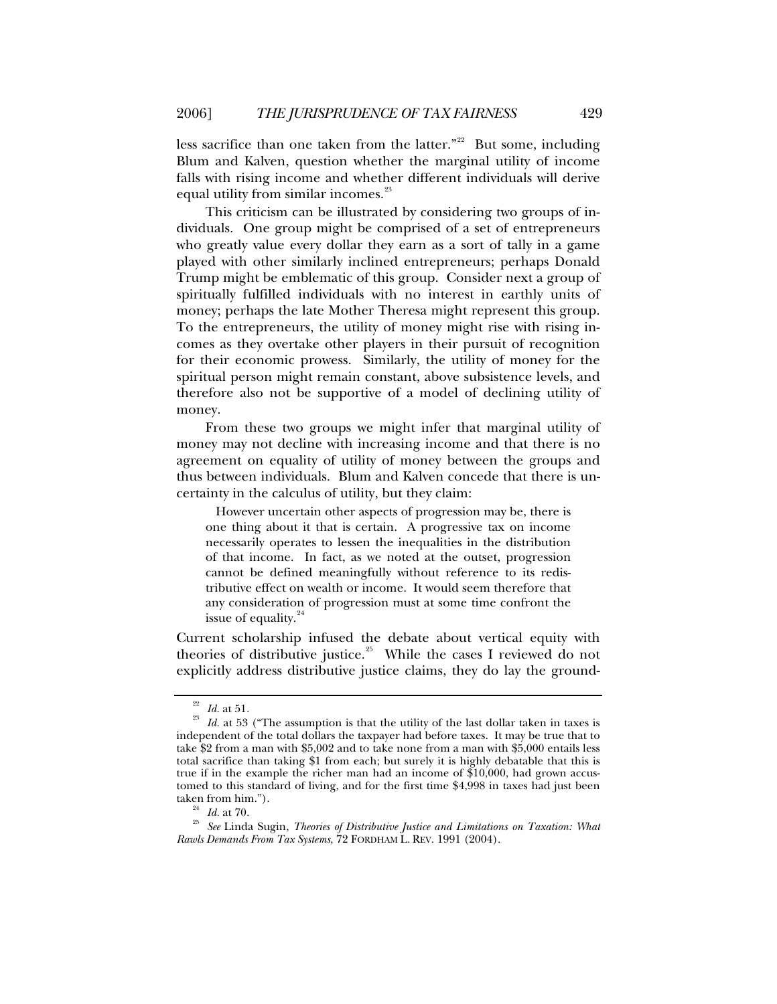less sacrifice than one taken from the latter."<sup>[22](#page-8-0)</sup> But some, including Blum and Kalven, question whether the marginal utility of income falls with rising income and whether different individuals will derive equal utility from similar incomes.<sup>[23](#page-8-1)</sup>

This criticism can be illustrated by considering two groups of individuals. One group might be comprised of a set of entrepreneurs who greatly value every dollar they earn as a sort of tally in a game played with other similarly inclined entrepreneurs; perhaps Donald Trump might be emblematic of this group. Consider next a group of spiritually fulfilled individuals with no interest in earthly units of money; perhaps the late Mother Theresa might represent this group. To the entrepreneurs, the utility of money might rise with rising incomes as they overtake other players in their pursuit of recognition for their economic prowess. Similarly, the utility of money for the spiritual person might remain constant, above subsistence levels, and therefore also not be supportive of a model of declining utility of money.

From these two groups we might infer that marginal utility of money may not decline with increasing income and that there is no agreement on equality of utility of money between the groups and thus between individuals. Blum and Kalven concede that there is uncertainty in the calculus of utility, but they claim:

 However uncertain other aspects of progression may be, there is one thing about it that is certain. A progressive tax on income necessarily operates to lessen the inequalities in the distribution of that income. In fact, as we noted at the outset, progression cannot be defined meaningfully without reference to its redistributive effect on wealth or income. It would seem therefore that any consideration of progression must at some time confront the issue of equality.<sup>2</sup>

Current scholarship infused the debate about vertical equity with theories of distributive justice.<sup>[25](#page-8-3)</sup> While the cases I reviewed do not explicitly address distributive justice claims, they do lay the ground-

<span id="page-8-1"></span><span id="page-8-0"></span><sup>&</sup>lt;sup>22</sup> *Id.* at 51. <sup>23</sup> *Id.* at 53 ("The assumption is that the utility of the last dollar taken in taxes is independent of the total dollars the taxpayer had before taxes. It may be true that to take \$2 from a man with \$5,002 and to take none from a man with \$5,000 entails less total sacrifice than taking \$1 from each; but surely it is highly debatable that this is true if in the example the richer man had an income of \$10,000, had grown accustomed to this standard of living, and for the first time \$4,998 in taxes had just been

<span id="page-8-3"></span><span id="page-8-2"></span>taken from him.").<br><sup>24</sup> *Id.* at 70.<br><sup>25</sup> See Linda Sugin, *Theories of Distributive Justice and Limitations on Taxation: What Rawls Demands From Tax Systems*, 72 FORDHAM L. REV. 1991 (2004).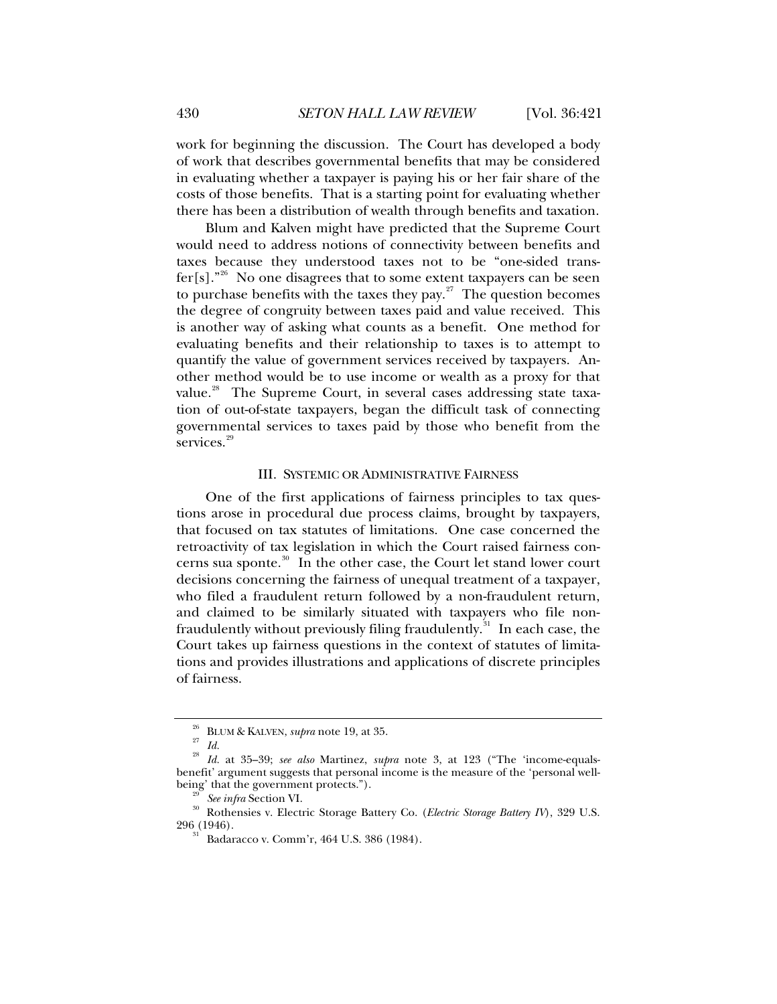<span id="page-9-0"></span>work for beginning the discussion. The Court has developed a body of work that describes governmental benefits that may be considered in evaluating whether a taxpayer is paying his or her fair share of the costs of those benefits. That is a starting point for evaluating whether there has been a distribution of wealth through benefits and taxation.

Blum and Kalven might have predicted that the Supreme Court would need to address notions of connectivity between benefits and taxes because they understood taxes not to be "one-sided trans-fer[s]."<sup>[26](#page-9-1)</sup> No one disagrees that to some extent taxpayers can be seen to purchase benefits with the taxes they pay. $27$  The question becomes the degree of congruity between taxes paid and value received. This is another way of asking what counts as a benefit. One method for evaluating benefits and their relationship to taxes is to attempt to quantify the value of government services received by taxpayers. Another method would be to use income or wealth as a proxy for that value.<sup>[28](#page-9-3)</sup> The Supreme Court, in several cases addressing state taxation of out-of-state taxpayers, began the difficult task of connecting governmental services to taxes paid by those who benefit from the services.<sup>[29](#page-9-4)</sup>

#### III. SYSTEMIC OR ADMINISTRATIVE FAIRNESS

One of the first applications of fairness principles to tax questions arose in procedural due process claims, brought by taxpayers, that focused on tax statutes of limitations. One case concerned the retroactivity of tax legislation in which the Court raised fairness concerns sua sponte. $30$  In the other case, the Court let stand lower court decisions concerning the fairness of unequal treatment of a taxpayer, who filed a fraudulent return followed by a non-fraudulent return, and claimed to be similarly situated with taxpayers who file non-fraudulently without previously filing fraudulently.<sup>[31](#page-9-6)</sup> In each case, the Court takes up fairness questions in the context of statutes of limitations and provides illustrations and applications of discrete principles of fairness.

BLUM & KALVEN, *supra* note 19, at 35.<br>*Id.* 

<span id="page-9-3"></span><span id="page-9-2"></span><span id="page-9-1"></span><sup>28</sup> *Id.* at 35–39; *see also* Martinez, *supra* note 3, at 123 ("The 'income-equalsbenefit' argument suggests that personal income is the measure of the 'personal well-

<span id="page-9-6"></span><span id="page-9-5"></span><span id="page-9-4"></span>being' that the government protects.").<br><sup>29</sup> See *infra* Section VI.<br><sup>30</sup> Rothensies v. Electric Storage Battery Co. (*Electric Storage Battery IV*), 329 U.S.<br>296 (1946).

Badaracco v. Comm'r, 464 U.S. 386 (1984).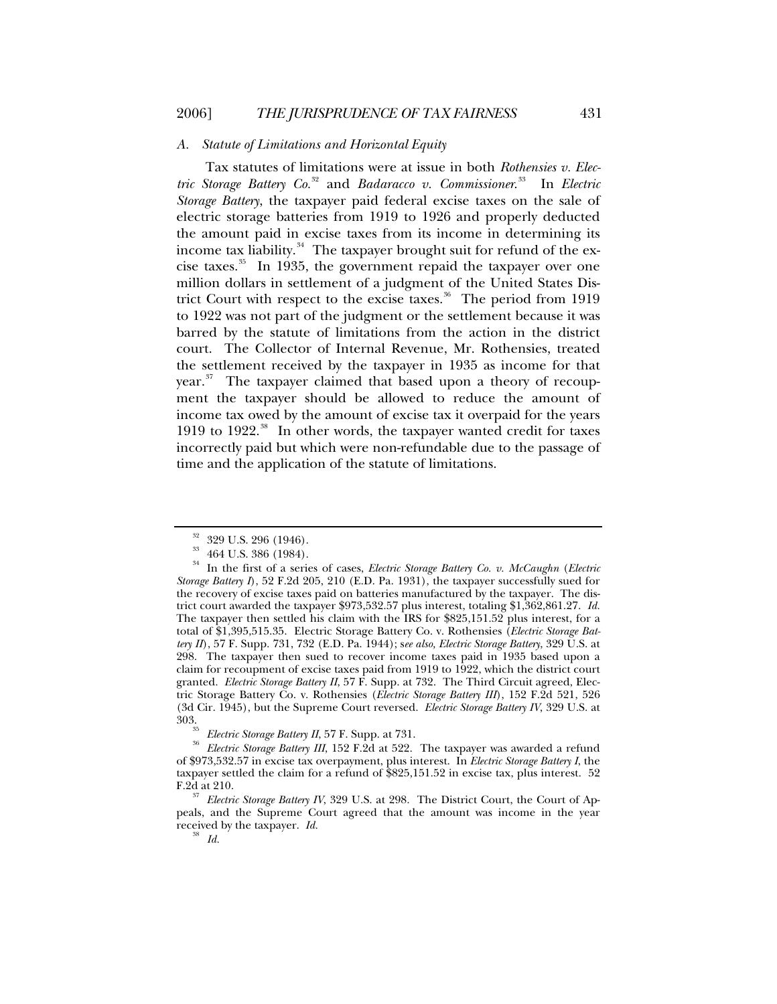## <span id="page-10-0"></span>*A. Statute of Limitations and Horizontal Equity*

Tax statutes of limitations were at issue in both *Rothensies v. Electric Storage Battery Co.*[32](#page-10-1) and *Badaracco v. Commissioner*. [33](#page-10-2) In *Electric Storage Battery*, the taxpayer paid federal excise taxes on the sale of electric storage batteries from 1919 to 1926 and properly deducted the amount paid in excise taxes from its income in determining its income tax liability. $34$  The taxpayer brought suit for refund of the excise taxes.[35](#page-10-4) In 1935, the government repaid the taxpayer over one million dollars in settlement of a judgment of the United States Dis-trict Court with respect to the excise taxes.<sup>[36](#page-10-5)</sup> The period from 1919 to 1922 was not part of the judgment or the settlement because it was barred by the statute of limitations from the action in the district court. The Collector of Internal Revenue, Mr. Rothensies, treated the settlement received by the taxpayer in 1935 as income for that year.<sup>[37](#page-10-6)</sup> The taxpayer claimed that based upon a theory of recoupment the taxpayer should be allowed to reduce the amount of income tax owed by the amount of excise tax it overpaid for the years 1919 to 1922.<sup>[38](#page-10-7)</sup> In other words, the taxpayer wanted credit for taxes incorrectly paid but which were non-refundable due to the passage of time and the application of the statute of limitations.

 $\frac{32}{33}$  329 U.S. 296 (1946).

<sup>33 464</sup> U.S. 386 (1984).

<span id="page-10-3"></span><span id="page-10-2"></span><span id="page-10-1"></span><sup>34</sup> In the first of a series of cases, *Electric Storage Battery Co. v. McCaughn* (*Electric Storage Battery I*), 52 F.2d 205, 210 (E.D. Pa. 1931), the taxpayer successfully sued for the recovery of excise taxes paid on batteries manufactured by the taxpayer. The district court awarded the taxpayer \$973,532.57 plus interest, totaling \$1,362,861.27. *Id.* The taxpayer then settled his claim with the IRS for \$825,151.52 plus interest, for a total of \$1,395,515.35. Electric Storage Battery Co. v. Rothensies (*Electric Storage Battery II*), 57 F. Supp. 731, 732 (E.D. Pa. 1944); s*ee also, Electric Storage Battery*, 329 U.S. at 298. The taxpayer then sued to recover income taxes paid in 1935 based upon a claim for recoupment of excise taxes paid from 1919 to 1922, which the district court granted. *Electric Storage Battery II*, 57 F. Supp. at 732. The Third Circuit agreed, Electric Storage Battery Co. v. Rothensies (*Electric Storage Battery III*), 152 F.2d 521, 526 (3d Cir. 1945), but the Supreme Court reversed. *Electric Storage Battery IV*, 329 U.S. at

<span id="page-10-5"></span><span id="page-10-4"></span><sup>&</sup>lt;sup>35</sup> Electric Storage Battery II, 57 F. Supp. at 731.<br><sup>36</sup> Electric Storage Battery III, 152 F.2d at 522. The taxpayer was awarded a refund of \$973,532.57 in excise tax overpayment, plus interest. In *Electric Storage Battery I*, the taxpayer settled the claim for a refund of \$825,151.52 in excise tax, plus interest. 52 F.2d at 210. 37 *Electric Storage Battery IV*, 329 U.S. at 298. The District Court, the Court of Ap-

<span id="page-10-7"></span><span id="page-10-6"></span>peals, and the Supreme Court agreed that the amount was income in the year received by the taxpayer. *Id.* <sup>38</sup> *Id.*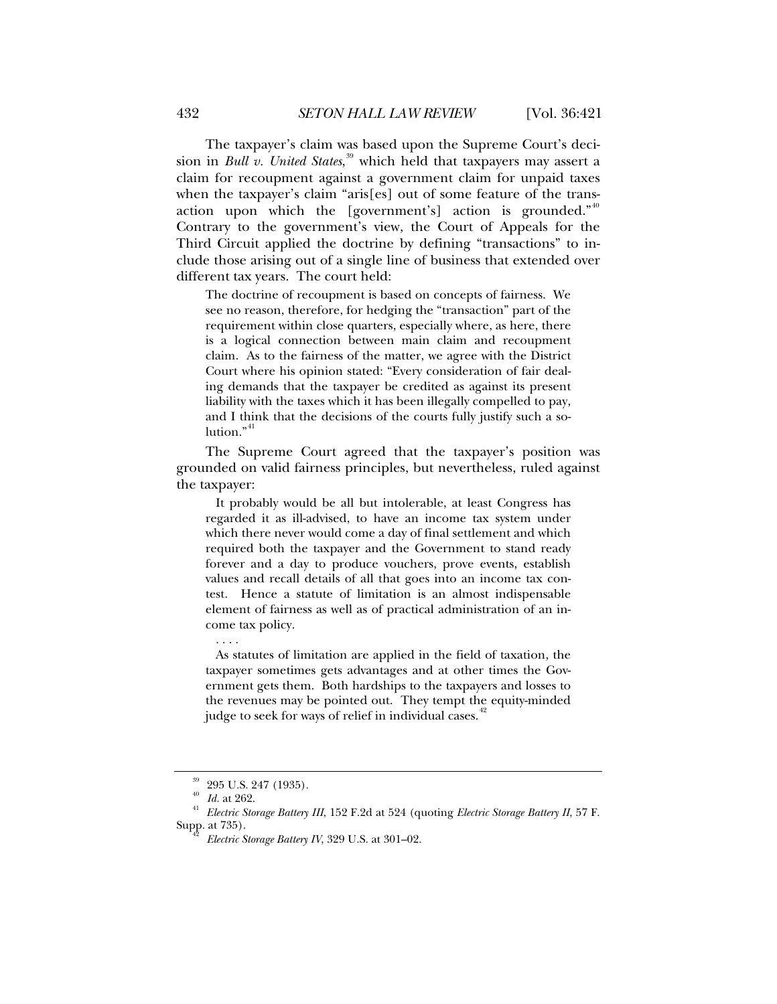The taxpayer's claim was based upon the Supreme Court's decision in *Bull v. United States*, [39](#page-11-0) which held that taxpayers may assert a claim for recoupment against a government claim for unpaid taxes when the taxpayer's claim "aris[es] out of some feature of the trans-action upon which the [government's] action is grounded."<sup>[40](#page-11-1)</sup> Contrary to the government's view, the Court of Appeals for the Third Circuit applied the doctrine by defining "transactions" to include those arising out of a single line of business that extended over different tax years. The court held:

The doctrine of recoupment is based on concepts of fairness. We see no reason, therefore, for hedging the "transaction" part of the requirement within close quarters, especially where, as here, there is a logical connection between main claim and recoupment claim. As to the fairness of the matter, we agree with the District Court where his opinion stated: "Every consideration of fair dealing demands that the taxpayer be credited as against its present liability with the taxes which it has been illegally compelled to pay, and I think that the decisions of the courts fully justify such a solution." $41$ 

The Supreme Court agreed that the taxpayer's position was grounded on valid fairness principles, but nevertheless, ruled against the taxpayer:

 It probably would be all but intolerable, at least Congress has regarded it as ill-advised, to have an income tax system under which there never would come a day of final settlement and which required both the taxpayer and the Government to stand ready forever and a day to produce vouchers, prove events, establish values and recall details of all that goes into an income tax contest. Hence a statute of limitation is an almost indispensable element of fairness as well as of practical administration of an income tax policy.

. . . .

 As statutes of limitation are applied in the field of taxation, the taxpayer sometimes gets advantages and at other times the Government gets them. Both hardships to the taxpayers and losses to the revenues may be pointed out. They tempt the equity-minded judge to seek for ways of relief in individual cases.<sup>[42](#page-11-3)</sup>

 $^{39}$  295 U.S. 247 (1935).

<span id="page-11-3"></span><span id="page-11-2"></span><span id="page-11-1"></span><span id="page-11-0"></span><sup>40</sup> *Id.* at 262. 41 *Electric Storage Battery III*, 152 F.2d at 524 (quoting *Electric Storage Battery II*, 57 F. Supp. at 735). 42 *Electric Storage Battery IV*, 329 U.S. at 301–02.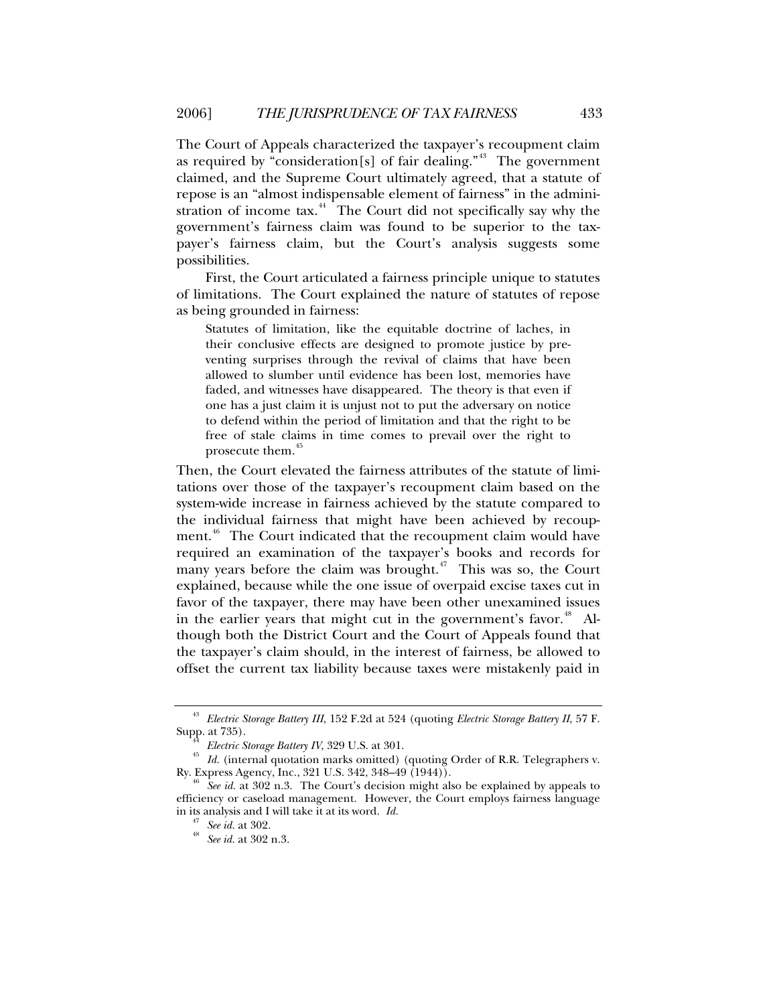The Court of Appeals characterized the taxpayer's recoupment claim as required by "consideration[s] of fair dealing."<sup>[43](#page-12-0)</sup> The government claimed, and the Supreme Court ultimately agreed, that a statute of repose is an "almost indispensable element of fairness" in the admini-stration of income tax.<sup>[44](#page-12-1)</sup> The Court did not specifically say why the government's fairness claim was found to be superior to the taxpayer's fairness claim, but the Court's analysis suggests some possibilities.

First, the Court articulated a fairness principle unique to statutes of limitations. The Court explained the nature of statutes of repose as being grounded in fairness:

Statutes of limitation, like the equitable doctrine of laches, in their conclusive effects are designed to promote justice by preventing surprises through the revival of claims that have been allowed to slumber until evidence has been lost, memories have faded, and witnesses have disappeared. The theory is that even if one has a just claim it is unjust not to put the adversary on notice to defend within the period of limitation and that the right to be free of stale claims in time comes to prevail over the right to prosecute them.<sup>[45](#page-12-2)</sup>

Then, the Court elevated the fairness attributes of the statute of limitations over those of the taxpayer's recoupment claim based on the system-wide increase in fairness achieved by the statute compared to the individual fairness that might have been achieved by recoup-ment.<sup>[46](#page-12-3)</sup> The Court indicated that the recoupment claim would have required an examination of the taxpayer's books and records for many years before the claim was brought.<sup> $47$ </sup> This was so, the Court explained, because while the one issue of overpaid excise taxes cut in favor of the taxpayer, there may have been other unexamined issues in the earlier years that might cut in the government's favor.<sup>[48](#page-12-5)</sup> Although both the District Court and the Court of Appeals found that the taxpayer's claim should, in the interest of fairness, be allowed to offset the current tax liability because taxes were mistakenly paid in

<sup>43</sup> *Electric Storage Battery III*, 152 F.2d at 524 (quoting *Electric Storage Battery II*, 57 F.

<span id="page-12-2"></span><span id="page-12-1"></span><span id="page-12-0"></span>Supp. at 735).<br><sup>44</sup> *Electric Storage Battery IV*, 329 U.S. at 301.<br><sup>45</sup> *Id.* (internal quotation marks omitted) (quoting Order of R.R. Telegraphers v.<br>Ry. Express Agency, Inc., 321 U.S. 342, 348–49 (1944)).

<span id="page-12-5"></span><span id="page-12-4"></span><span id="page-12-3"></span><sup>&</sup>lt;sup>16</sup> See id. at 302 n.3. The Court's decision might also be explained by appeals to efficiency or caseload management. However, the Court employs fairness language in its analysis and I will take it at its word. *Id.* <sup>47</sup> *See id.* at 302. 48 *See id.* at 302 n.3.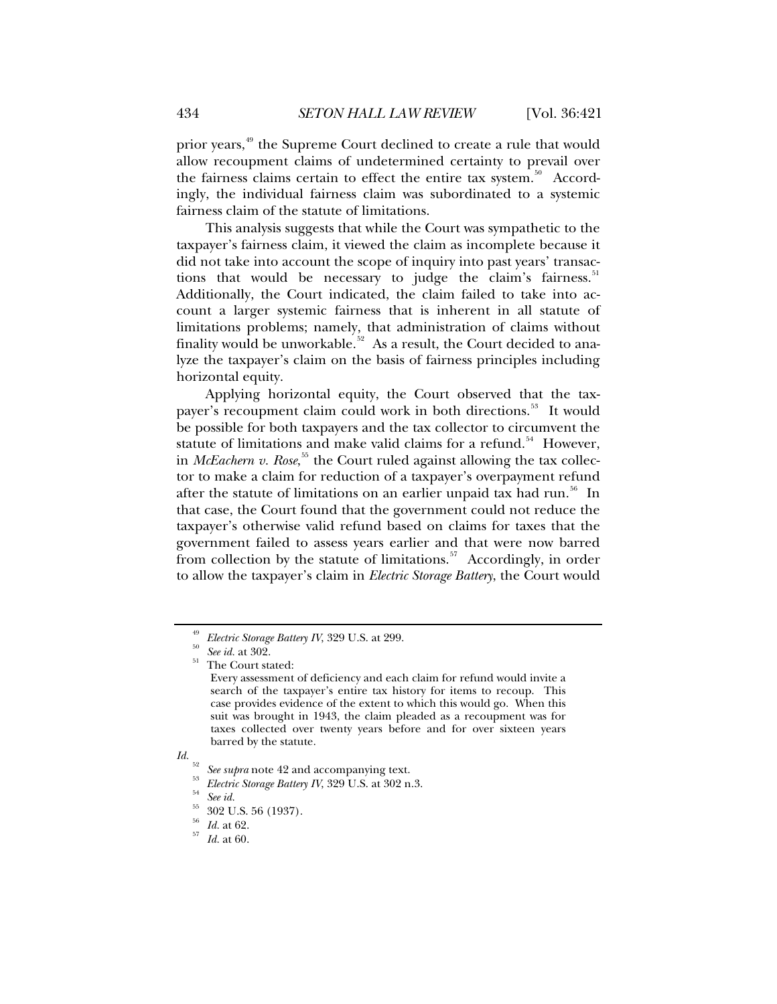prior years,<sup>[49](#page-13-0)</sup> the Supreme Court declined to create a rule that would allow recoupment claims of undetermined certainty to prevail over the fairness claims certain to effect the entire tax system.<sup>[50](#page-13-1)</sup> Accordingly, the individual fairness claim was subordinated to a systemic fairness claim of the statute of limitations.

This analysis suggests that while the Court was sympathetic to the taxpayer's fairness claim, it viewed the claim as incomplete because it did not take into account the scope of inquiry into past years' transac-tions that would be necessary to judge the claim's fairness.<sup>[51](#page-13-2)</sup> Additionally, the Court indicated, the claim failed to take into account a larger systemic fairness that is inherent in all statute of limitations problems; namely, that administration of claims without finality would be unworkable.<sup>[52](#page-13-3)</sup> As a result, the Court decided to analyze the taxpayer's claim on the basis of fairness principles including horizontal equity.

Applying horizontal equity, the Court observed that the tax-payer's recoupment claim could work in both directions.<sup>[53](#page-13-4)</sup> It would be possible for both taxpayers and the tax collector to circumvent the statute of limitations and make valid claims for a refund.<sup>[54](#page-13-5)</sup> However, in *McEachern v. Rose*, [55](#page-13-6) the Court ruled against allowing the tax collector to make a claim for reduction of a taxpayer's overpayment refund after the statute of limitations on an earlier unpaid tax had run.<sup>[56](#page-13-7)</sup> In that case, the Court found that the government could not reduce the taxpayer's otherwise valid refund based on claims for taxes that the government failed to assess years earlier and that were now barred from collection by the statute of limitations.<sup>[57](#page-13-8)</sup> Accordingly, in order to allow the taxpayer's claim in *Electric Storage Battery*, the Court would

<span id="page-13-1"></span><span id="page-13-0"></span><sup>&</sup>lt;sup>49</sup> *Electric Storage Battery IV*, 329 U.S. at 299.<br><sup>50</sup> *See id.* at 302.<br><sup>51</sup> The Court stated:

<span id="page-13-2"></span>

Every assessment of deficiency and each claim for refund would invite a search of the taxpayer's entire tax history for items to recoup. This case provides evidence of the extent to which this would go. When this suit was brought in 1943, the claim pleaded as a recoupment was for taxes collected over twenty years before and for over sixteen years barred by the statute.

<span id="page-13-7"></span><span id="page-13-6"></span><span id="page-13-5"></span><span id="page-13-4"></span><span id="page-13-3"></span>*Id.* <sup>52</sup> *See supra* note 42 and accompanying text. 53 *Electric Storage Battery IV*, 329 U.S. at 302 n.3. 54 *See id.*

<sup>55 302</sup> U.S. 56 (1937).

<span id="page-13-8"></span><sup>56</sup> *Id.* at 62. 57 *Id.* at 60.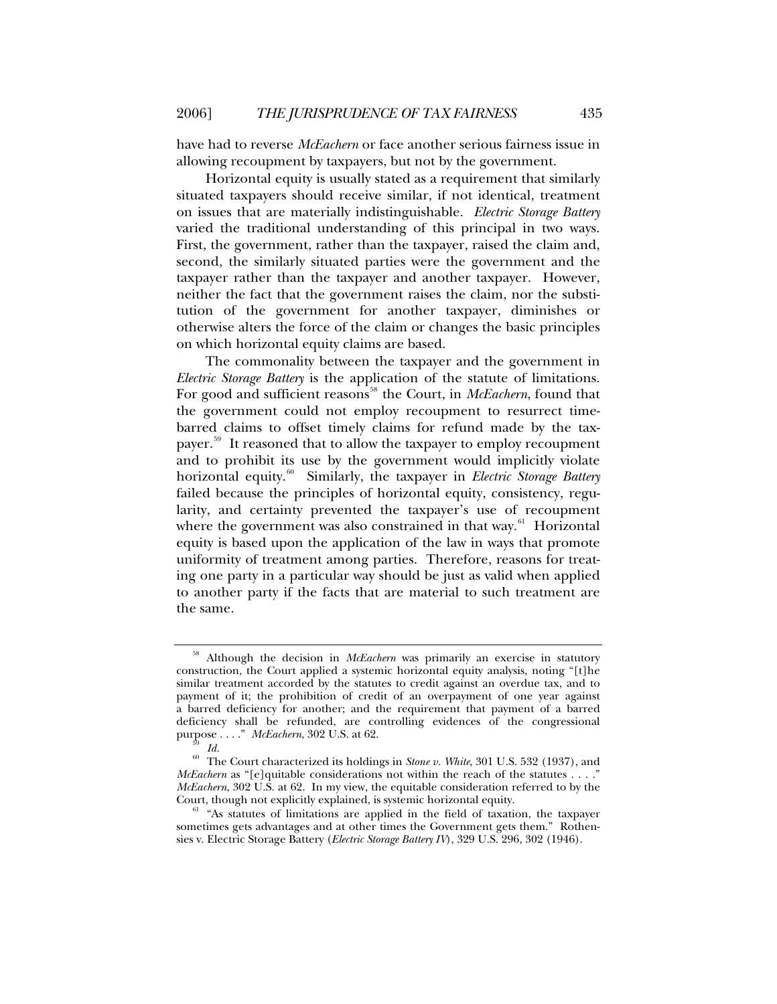have had to reverse *McEachern* or face another serious fairness issue in allowing recoupment by taxpayers, but not by the government.

Horizontal equity is usually stated as a requirement that similarly situated taxpayers should receive similar, if not identical, treatment on issues that are materially indistinguishable. *Electric Storage Battery* varied the traditional understanding of this principal in two ways. First, the government, rather than the taxpayer, raised the claim and, second, the similarly situated parties were the government and the taxpayer rather than the taxpayer and another taxpayer. However, neither the fact that the government raises the claim, nor the substitution of the government for another taxpayer, diminishes or otherwise alters the force of the claim or changes the basic principles on which horizontal equity claims are based.

The commonality between the taxpayer and the government in *Electric Storage Battery* is the application of the statute of limitations. For good and sufficient reasons<sup>[58](#page-14-0)</sup> the Court, in *McEachern*, found that the government could not employ recoupment to resurrect timebarred claims to offset timely claims for refund made by the tax-payer.<sup>[59](#page-14-1)</sup> It reasoned that to allow the taxpayer to employ recoupment and to prohibit its use by the government would implicitly violate horizontal equity.<sup>[60](#page-14-2)</sup> Similarly, the taxpayer in *Electric Storage Battery* failed because the principles of horizontal equity, consistency, regularity, and certainty prevented the taxpayer's use of recoupment where the government was also constrained in that way. $61$  Horizontal equity is based upon the application of the law in ways that promote uniformity of treatment among parties. Therefore, reasons for treating one party in a particular way should be just as valid when applied to another party if the facts that are material to such treatment are the same.

<span id="page-14-0"></span><sup>58</sup> Although the decision in *McEachern* was primarily an exercise in statutory construction, the Court applied a systemic horizontal equity analysis, noting "[t]he similar treatment accorded by the statutes to credit against an overdue tax, and to payment of it; the prohibition of credit of an overpayment of one year against a barred deficiency for another; and the requirement that payment of a barred deficiency shall be refunded, are controlling evidences of the congressional purpose . . . ." *McEachern*, 302 U.S. at 62. 59 *Id.*

<span id="page-14-2"></span><span id="page-14-1"></span><sup>&</sup>lt;sup>60</sup> The Court characterized its holdings in *Stone v. White*, 301 U.S. 532 (1937), and *McEachern* as "[e]quitable considerations not within the reach of the statutes . . . ." *McEachern*, 302 U.S. at 62. In my view, the equitable consideration referred to by the Court, though not explicitly explained, is systemic horizontal equity.

<span id="page-14-3"></span> $61$  "As statutes of limitations are applied in the field of taxation, the taxpayer sometimes gets advantages and at other times the Government gets them." Rothensies v. Electric Storage Battery (*Electric Storage Battery IV*), 329 U.S. 296, 302 (1946).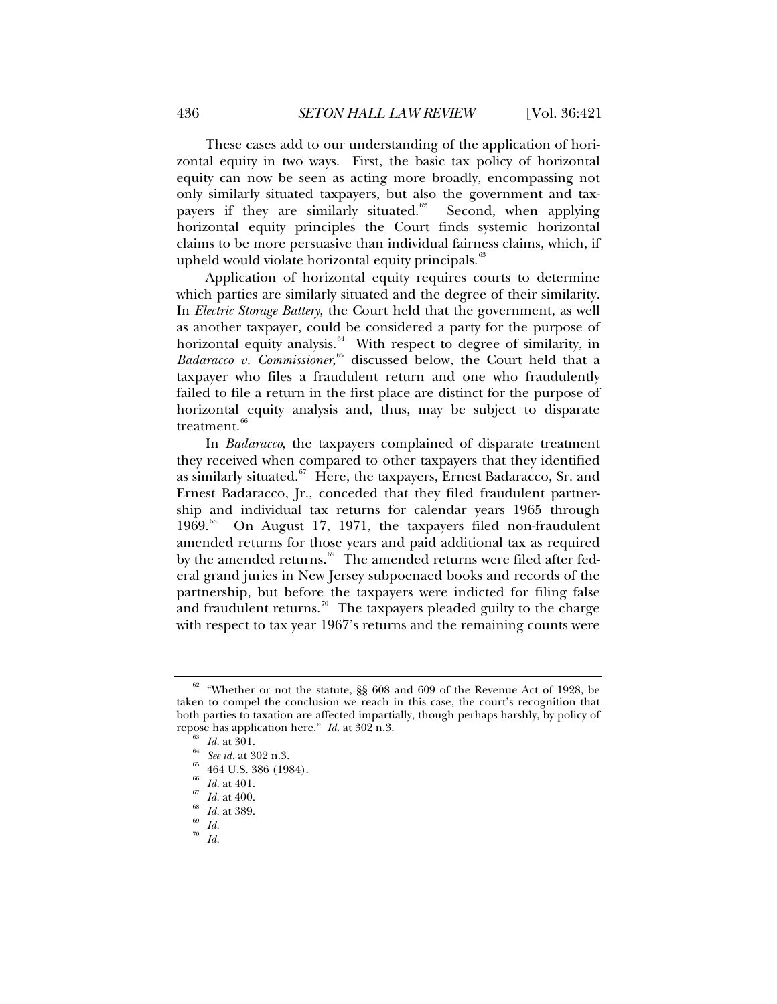These cases add to our understanding of the application of horizontal equity in two ways. First, the basic tax policy of horizontal equity can now be seen as acting more broadly, encompassing not only similarly situated taxpayers, but also the government and tax-payers if they are similarly situated.<sup>[62](#page-15-0)</sup> Second, when applying horizontal equity principles the Court finds systemic horizontal claims to be more persuasive than individual fairness claims, which, if upheld would violate horizontal equity principals.<sup>[63](#page-15-1)</sup>

Application of horizontal equity requires courts to determine which parties are similarly situated and the degree of their similarity. In *Electric Storage Battery*, the Court held that the government, as well as another taxpayer, could be considered a party for the purpose of horizontal equity analysis.<sup>[64](#page-15-2)</sup> With respect to degree of similarity, in Badaracco v. Commissioner,<sup>[65](#page-15-3)</sup> discussed below, the Court held that a taxpayer who files a fraudulent return and one who fraudulently failed to file a return in the first place are distinct for the purpose of horizontal equity analysis and, thus, may be subject to disparate treatment.<sup>[66](#page-15-4)</sup>

In *Badaracco*, the taxpayers complained of disparate treatment they received when compared to other taxpayers that they identified as similarly situated.<sup>[67](#page-15-5)</sup> Here, the taxpayers, Ernest Badaracco, Sr. and Ernest Badaracco, Jr., conceded that they filed fraudulent partnership and individual tax returns for calendar years 1965 through 1969.<sup>[68](#page-15-6)</sup> On August 17, 1971, the taxpayers filed non-fraudulent amended returns for those years and paid additional tax as required by the amended returns.<sup>[69](#page-15-7)</sup> The amended returns were filed after federal grand juries in New Jersey subpoenaed books and records of the partnership, but before the taxpayers were indicted for filing false and fraudulent returns.<sup>[70](#page-15-8)</sup> The taxpayers pleaded guilty to the charge with respect to tax year 1967's returns and the remaining counts were

<span id="page-15-2"></span><span id="page-15-1"></span><span id="page-15-0"></span> $62$  "Whether or not the statute, §§ 608 and 609 of the Revenue Act of 1928, be taken to compel the conclusion we reach in this case, the court's recognition that both parties to taxation are affected impartially, though perhaps harshly, by policy of repose has application here." *Id.* at 302 n.3.<br><sup>63</sup> *Id.* at 301.<br><sup>64</sup> *See id.* at 302 n.3.<br><sup>65</sup> 464 U.S. 386 (1984).

<span id="page-15-4"></span><span id="page-15-3"></span>

<sup>66</sup> *Id.* at 401. 67 *Id.* at 400. 68 *Id.* at 389. 69 *Id.*

<span id="page-15-7"></span><span id="page-15-6"></span><span id="page-15-5"></span>

<span id="page-15-8"></span>

<sup>70</sup> *Id.*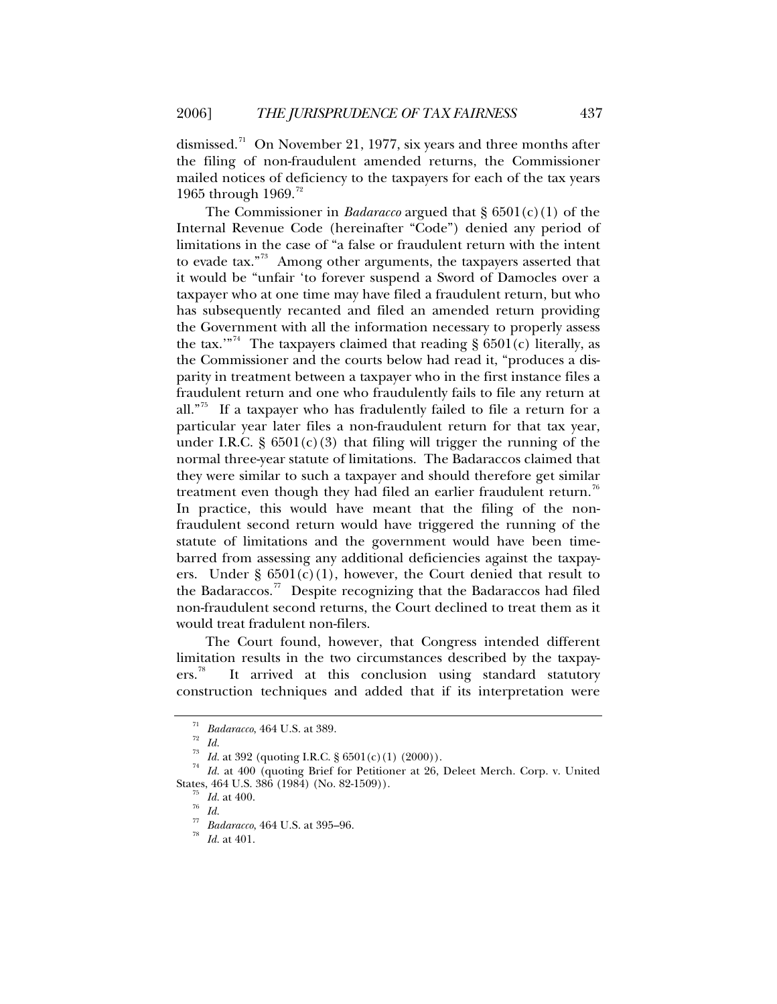dismissed.<sup>[71](#page-16-0)</sup> On November 21, 1977, six years and three months after the filing of non-fraudulent amended returns, the Commissioner mailed notices of deficiency to the taxpayers for each of the tax years 1965 through 1969.<sup>[72](#page-16-1)</sup>

The Commissioner in *Badaracco* argued that § 6501(c)(1) of the Internal Revenue Code (hereinafter "Code") denied any period of limitations in the case of "a false or fraudulent return with the intent to evade tax."[73](#page-16-2) Among other arguments, the taxpayers asserted that it would be "unfair 'to forever suspend a Sword of Damocles over a taxpayer who at one time may have filed a fraudulent return, but who has subsequently recanted and filed an amended return providing the Government with all the information necessary to properly assess the tax."<sup>[74](#page-16-3)</sup> The taxpayers claimed that reading §  $6501(c)$  literally, as the Commissioner and the courts below had read it, "produces a disparity in treatment between a taxpayer who in the first instance files a fraudulent return and one who fraudulently fails to file any return at all."<sup>[75](#page-16-4)</sup> If a taxpayer who has fradulently failed to file a return for a particular year later files a non-fraudulent return for that tax year, under I.R.C.  $\S 6501(c)(3)$  that filing will trigger the running of the normal three-year statute of limitations. The Badaraccos claimed that they were similar to such a taxpayer and should therefore get similar treatment even though they had filed an earlier fraudulent return.<sup>[76](#page-16-5)</sup> In practice, this would have meant that the filing of the nonfraudulent second return would have triggered the running of the statute of limitations and the government would have been timebarred from assessing any additional deficiencies against the taxpayers. Under  $\S$  6501(c)(1), however, the Court denied that result to the Badaraccos.<sup>[77](#page-16-6)</sup> Despite recognizing that the Badaraccos had filed non-fraudulent second returns, the Court declined to treat them as it would treat fradulent non-filers.

The Court found, however, that Congress intended different limitation results in the two circumstances described by the taxpay-ers.<sup>[78](#page-16-7)</sup> It arrived at this conclusion using standard statutory construction techniques and added that if its interpretation were

<sup>&</sup>lt;sup>71</sup> *Badaracco*, 464 U.S. at 389.<br><sup>72</sup> *Id.*<br><sup>73</sup> *Id.* at 392 (quoting I.R.C. § 6501(c)(1) (2000)).

<span id="page-16-7"></span><span id="page-16-6"></span><span id="page-16-5"></span><span id="page-16-4"></span><span id="page-16-3"></span><span id="page-16-2"></span><span id="page-16-1"></span><span id="page-16-0"></span><sup>&</sup>lt;sup>74</sup> Id. at 400 (quoting Brief for Petitioner at 26, Deleet Merch. Corp. v. United States, 464 U.S. 386 (1984) (No. 82-1509)).<br><sup>75</sup> *Id.* at 400.<br><sup>76</sup> *Id.* 

<sup>77</sup> *Badaracco*, 464 U.S. at 395–96. 78 *Id.* at 401.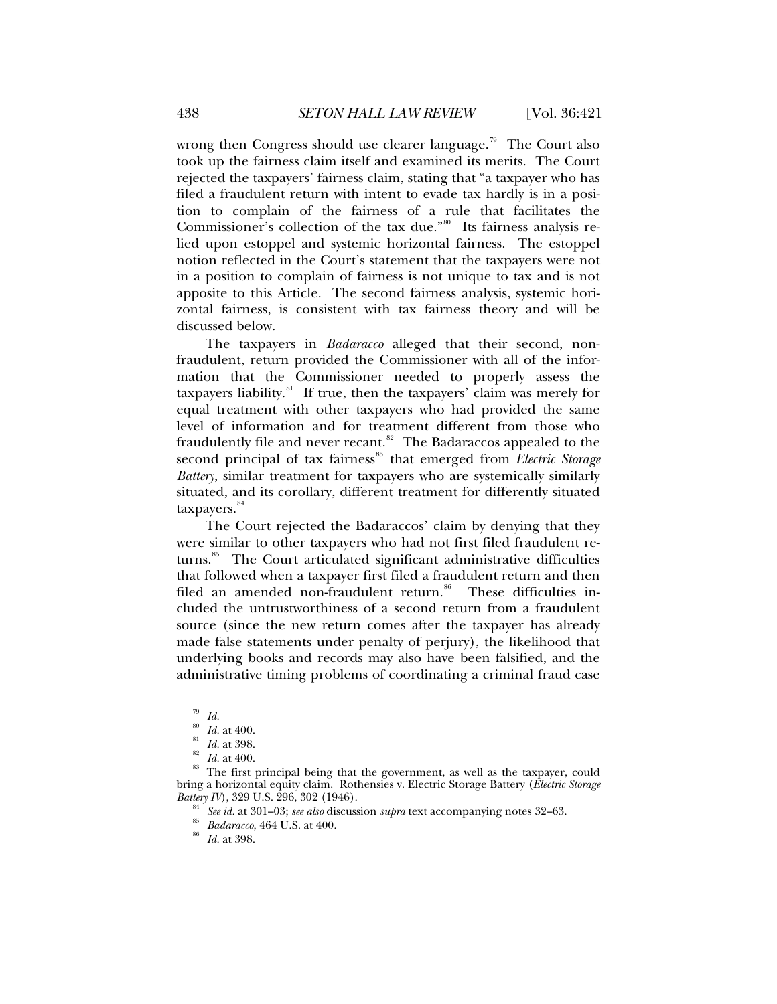wrong then Congress should use clearer language.<sup>[79](#page-17-0)</sup> The Court also took up the fairness claim itself and examined its merits. The Court rejected the taxpayers' fairness claim, stating that "a taxpayer who has filed a fraudulent return with intent to evade tax hardly is in a position to complain of the fairness of a rule that facilitates the Commissioner's collection of the tax due."<sup>[80](#page-17-1)</sup> Its fairness analysis relied upon estoppel and systemic horizontal fairness. The estoppel notion reflected in the Court's statement that the taxpayers were not in a position to complain of fairness is not unique to tax and is not apposite to this Article. The second fairness analysis, systemic horizontal fairness, is consistent with tax fairness theory and will be discussed below.

The taxpayers in *Badaracco* alleged that their second, nonfraudulent, return provided the Commissioner with all of the information that the Commissioner needed to properly assess the taxpayers liability.<sup>[81](#page-17-2)</sup> If true, then the taxpayers' claim was merely for equal treatment with other taxpayers who had provided the same level of information and for treatment different from those who fraudulently file and never recant. $82$  The Badaraccos appealed to the second principal of tax fairness<sup>[83](#page-17-4)</sup> that emerged from *Electric Storage Battery*, similar treatment for taxpayers who are systemically similarly situated, and its corollary, different treatment for differently situated taxpayers.<sup>[84](#page-17-5)</sup>

The Court rejected the Badaraccos' claim by denying that they were similar to other taxpayers who had not first filed fraudulent re-turns.<sup>[85](#page-17-6)</sup> The Court articulated significant administrative difficulties that followed when a taxpayer first filed a fraudulent return and then filed an amended non-fraudulent return.<sup>[86](#page-17-7)</sup> These difficulties included the untrustworthiness of a second return from a fraudulent source (since the new return comes after the taxpayer has already made false statements under penalty of perjury), the likelihood that underlying books and records may also have been falsified, and the administrative timing problems of coordinating a criminal fraud case

<sup>79</sup> *Id.*

<span id="page-17-5"></span><span id="page-17-4"></span><span id="page-17-3"></span><span id="page-17-2"></span><span id="page-17-1"></span><span id="page-17-0"></span>*Id.* at 400.<br>*Id.* at 398.<br>*Id.* at 400.<br>The first principal being that the government, as well as the taxpayer, could bring a horizontal equity claim. Rothensies v. Electric Storage Battery (*Electric Storage Battery IV*), 329 U.S. 296, 302 (1946).<br><sup>84</sup> See id. at 301–03; *see also* discussion *supra* text accompanying notes 32–63.<br><sup>85</sup> *Badaracco*, 464 U.S. at 400.<br>*Id.* at 398.

<span id="page-17-7"></span><span id="page-17-6"></span>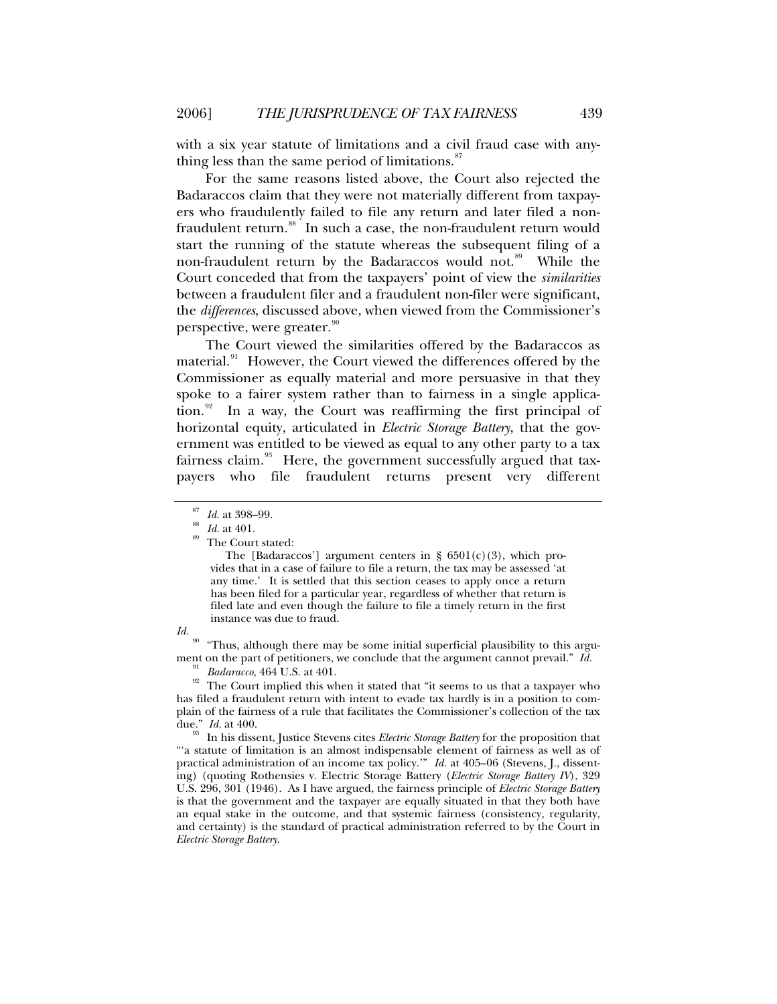with a six year statute of limitations and a civil fraud case with anything less than the same period of limitations. $\frac{87}{100}$  $\frac{87}{100}$  $\frac{87}{100}$ 

For the same reasons listed above, the Court also rejected the Badaraccos claim that they were not materially different from taxpayers who fraudulently failed to file any return and later filed a non-fraudulent return.<sup>[88](#page-18-1)</sup> In such a case, the non-fraudulent return would start the running of the statute whereas the subsequent filing of a non-fraudulent return by the Badaraccos would not.<sup>[89](#page-18-2)</sup> While the Court conceded that from the taxpayers' point of view the *similarities* between a fraudulent filer and a fraudulent non-filer were significant, the *differences*, discussed above, when viewed from the Commissioner's perspective, were greater.<sup>[90](#page-18-3)</sup>

The Court viewed the similarities offered by the Badaraccos as material.<sup>[91](#page-18-4)</sup> However, the Court viewed the differences offered by the Commissioner as equally material and more persuasive in that they spoke to a fairer system rather than to fairness in a single application. $92$  In a way, the Court was reaffirming the first principal of horizontal equity, articulated in *Electric Storage Battery*, that the government was entitled to be viewed as equal to any other party to a tax fairness claim.<sup>[93](#page-18-6)</sup> Here, the government successfully argued that taxpayers who file fraudulent returns present very different

The [Badaraccos'] argument centers in §  $6501(c)(3)$ , which provides that in a case of failure to file a return, the tax may be assessed 'at any time.' It is settled that this section ceases to apply once a return has been filed for a particular year, regardless of whether that return is filed late and even though the failure to file a timely return in the first instance was due to fraud.

<span id="page-18-3"></span>*Id.* 90 "Thus, although there may be some initial superficial plausibility to this argument on the part of petitioners, we conclude that the argument cannot prevail." *Id.* <sup>91</sup> *Badaracco*, 464 U.S. at 401. The Court implied this when it stated that "it seems to us that a taxpayer who

<span id="page-18-5"></span><span id="page-18-4"></span>has filed a fraudulent return with intent to evade tax hardly is in a position to complain of the fairness of a rule that facilitates the Commissioner's collection of the tax due."  $Id$  at 400.

<span id="page-18-6"></span>In his dissent, Justice Stevens cites *Electric Storage Battery* for the proposition that "'a statute of limitation is an almost indispensable element of fairness as well as of practical administration of an income tax policy.'" *Id.* at 405–06 (Stevens, J., dissenting) (quoting Rothensies v. Electric Storage Battery (*Electric Storage Battery IV*), 329 U.S. 296, 301 (1946). As I have argued, the fairness principle of *Electric Storage Battery* is that the government and the taxpayer are equally situated in that they both have an equal stake in the outcome, and that systemic fairness (consistency, regularity, and certainty) is the standard of practical administration referred to by the Court in *Electric Storage Battery*.

<span id="page-18-2"></span>

<span id="page-18-1"></span><span id="page-18-0"></span><sup>&</sup>lt;sup>87</sup> *Id.* at 398–99.<br><sup>88</sup> *Id.* at 401.<br><sup>89</sup> The Court stated: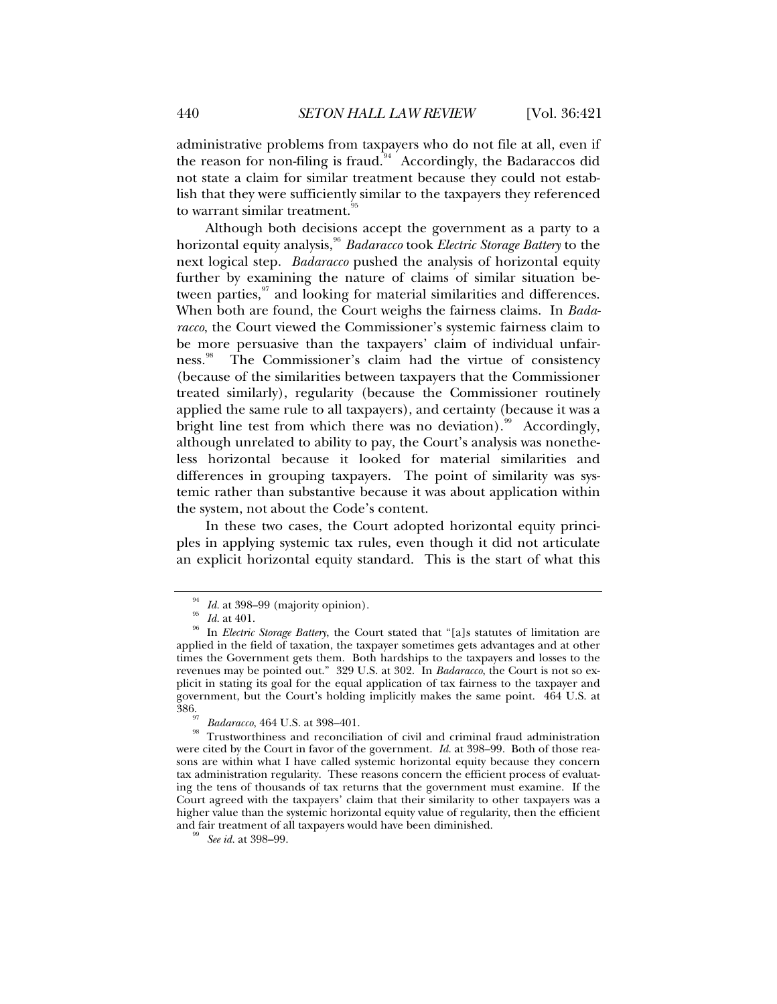administrative problems from taxpayers who do not file at all, even if the reason for non-filing is fraud.<sup>[94](#page-19-0)</sup> Accordingly, the Badaraccos did not state a claim for similar treatment because they could not establish that they were sufficiently similar to the taxpayers they referenced to warrant similar treatment.<sup>[95](#page-19-1)</sup>

Although both decisions accept the government as a party to a horizontal equity analysis,<sup>[96](#page-19-2)</sup> *Badaracco* took *Electric Storage Battery* to the next logical step. *Badaracco* pushed the analysis of horizontal equity further by examining the nature of claims of similar situation between parties, $\frac{97}{7}$  $\frac{97}{7}$  $\frac{97}{7}$  and looking for material similarities and differences. When both are found, the Court weighs the fairness claims. In *Badaracco*, the Court viewed the Commissioner's systemic fairness claim to be more persuasive than the taxpayers' claim of individual unfair-ness.<sup>[98](#page-19-4)</sup> The Commissioner's claim had the virtue of consistency (because of the similarities between taxpayers that the Commissioner treated similarly), regularity (because the Commissioner routinely applied the same rule to all taxpayers), and certainty (because it was a bright line test from which there was no deviation).<sup>[99](#page-19-5)</sup> Accordingly, although unrelated to ability to pay, the Court's analysis was nonetheless horizontal because it looked for material similarities and differences in grouping taxpayers. The point of similarity was systemic rather than substantive because it was about application within the system, not about the Code's content.

In these two cases, the Court adopted horizontal equity principles in applying systemic tax rules, even though it did not articulate an explicit horizontal equity standard. This is the start of what this

<span id="page-19-2"></span><span id="page-19-1"></span><span id="page-19-0"></span><sup>&</sup>lt;sup>94</sup> Id. at 398–99 (majority opinion).<br><sup>95</sup> Id. at 401.<br><sup>96</sup> In *Electric Storage Batter*y, the Court stated that "[a]s statutes of limitation are applied in the field of taxation, the taxpayer sometimes gets advantages and at other times the Government gets them. Both hardships to the taxpayers and losses to the revenues may be pointed out." 329 U.S. at 302. In *Badaracco*, the Court is not so explicit in stating its goal for the equal application of tax fairness to the taxpayer and government, but the Court's holding implicitly makes the same point. 464 U.S. at

<span id="page-19-4"></span><span id="page-19-3"></span><sup>&</sup>lt;sup>91</sup> Badaracco, 464 U.S. at 398–401.<br><sup>98</sup> Trustworthiness and reconciliation of civil and criminal fraud administration were cited by the Court in favor of the government. *Id.* at 398–99. Both of those reasons are within what I have called systemic horizontal equity because they concern tax administration regularity. These reasons concern the efficient process of evaluating the tens of thousands of tax returns that the government must examine. If the Court agreed with the taxpayers' claim that their similarity to other taxpayers was a higher value than the systemic horizontal equity value of regularity, then the efficient and fair treatment of all taxpayers would have been diminished. 99 *See id.* at 398–99.

<span id="page-19-5"></span>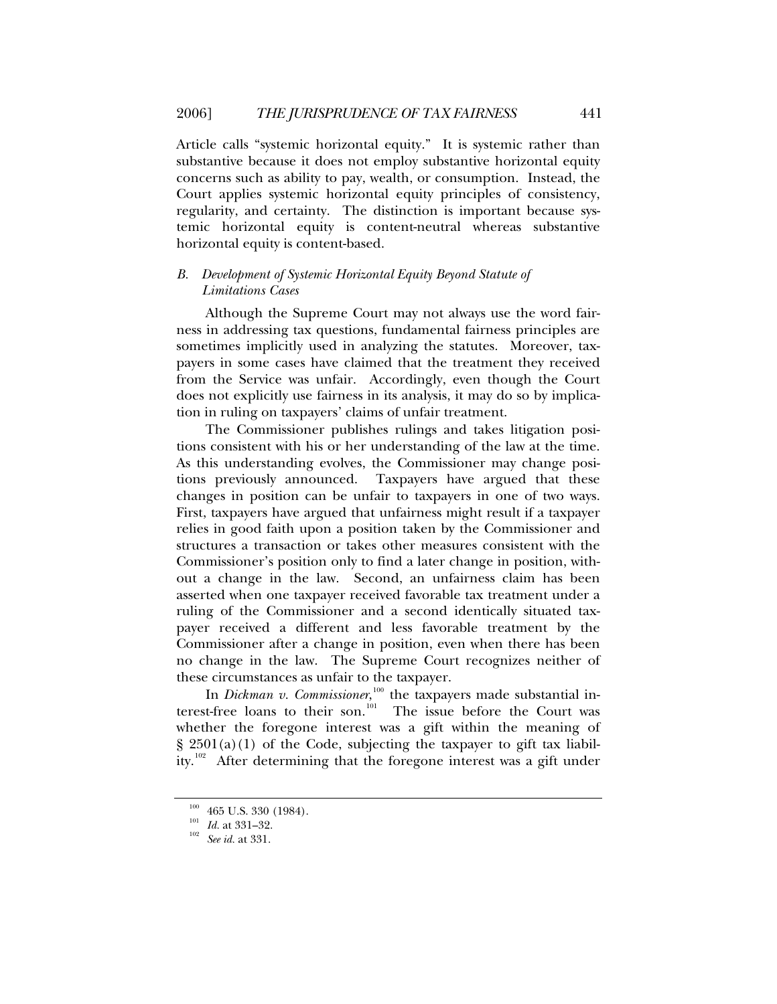<span id="page-20-0"></span>Article calls "systemic horizontal equity." It is systemic rather than substantive because it does not employ substantive horizontal equity concerns such as ability to pay, wealth, or consumption. Instead, the Court applies systemic horizontal equity principles of consistency, regularity, and certainty. The distinction is important because systemic horizontal equity is content-neutral whereas substantive horizontal equity is content-based.

# *B. Development of Systemic Horizontal Equity Beyond Statute of Limitations Cases*

Although the Supreme Court may not always use the word fairness in addressing tax questions, fundamental fairness principles are sometimes implicitly used in analyzing the statutes. Moreover, taxpayers in some cases have claimed that the treatment they received from the Service was unfair. Accordingly, even though the Court does not explicitly use fairness in its analysis, it may do so by implication in ruling on taxpayers' claims of unfair treatment.

The Commissioner publishes rulings and takes litigation positions consistent with his or her understanding of the law at the time. As this understanding evolves, the Commissioner may change positions previously announced. Taxpayers have argued that these changes in position can be unfair to taxpayers in one of two ways. First, taxpayers have argued that unfairness might result if a taxpayer relies in good faith upon a position taken by the Commissioner and structures a transaction or takes other measures consistent with the Commissioner's position only to find a later change in position, without a change in the law. Second, an unfairness claim has been asserted when one taxpayer received favorable tax treatment under a ruling of the Commissioner and a second identically situated taxpayer received a different and less favorable treatment by the Commissioner after a change in position, even when there has been no change in the law. The Supreme Court recognizes neither of these circumstances as unfair to the taxpayer.

In *Dickman v. Commissioner*,<sup>[100](#page-20-1)</sup> the taxpayers made substantial in-terest-free loans to their son.<sup>[101](#page-20-2)</sup> The issue before the Court was whether the foregone interest was a gift within the meaning of  $\S$  2501(a)(1) of the Code, subjecting the taxpayer to gift tax liabil-ity.<sup>[102](#page-20-3)</sup> After determining that the foregone interest was a gift under

<span id="page-20-2"></span><span id="page-20-1"></span><sup>100 465</sup> U.S. 330 (1984). 101 *Id.* at 331–32. 102 *See id.* at 331.

<span id="page-20-3"></span>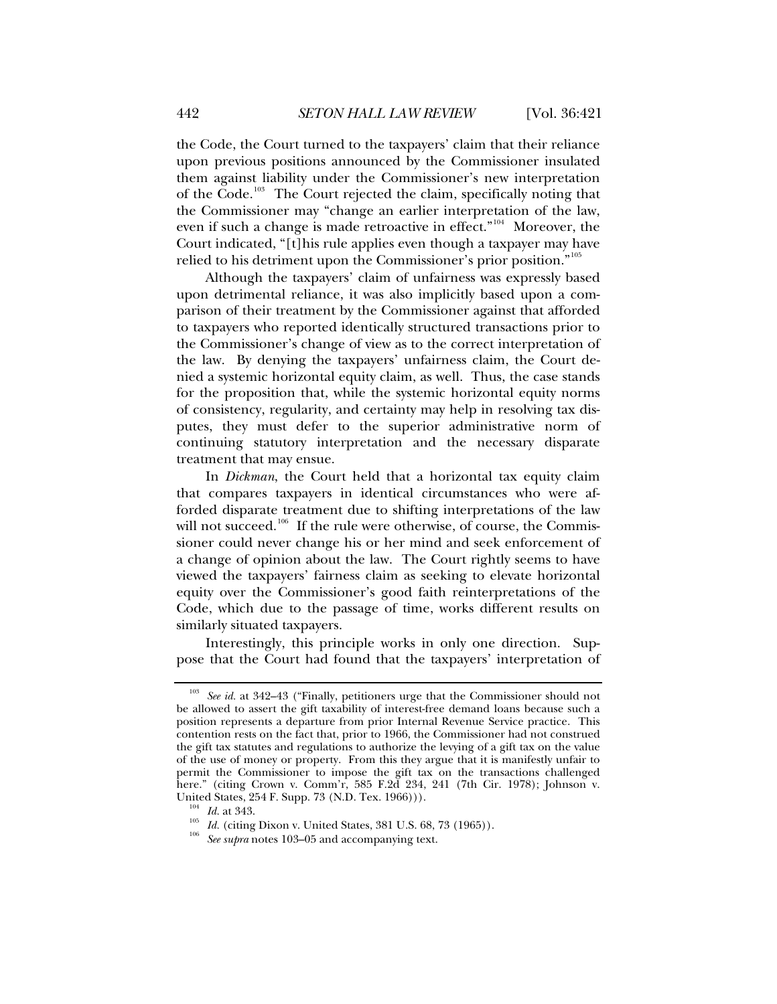the Code, the Court turned to the taxpayers' claim that their reliance upon previous positions announced by the Commissioner insulated them against liability under the Commissioner's new interpretation of the Code.<sup>[103](#page-21-0)</sup> The Court rejected the claim, specifically noting that the Commissioner may "change an earlier interpretation of the law, even if such a change is made retroactive in effect."[104](#page-21-1) Moreover, the Court indicated, "[t]his rule applies even though a taxpayer may have relied to his detriment upon the Commissioner's prior position."[105](#page-21-2)

Although the taxpayers' claim of unfairness was expressly based upon detrimental reliance, it was also implicitly based upon a comparison of their treatment by the Commissioner against that afforded to taxpayers who reported identically structured transactions prior to the Commissioner's change of view as to the correct interpretation of the law. By denying the taxpayers' unfairness claim, the Court denied a systemic horizontal equity claim, as well. Thus, the case stands for the proposition that, while the systemic horizontal equity norms of consistency, regularity, and certainty may help in resolving tax disputes, they must defer to the superior administrative norm of continuing statutory interpretation and the necessary disparate treatment that may ensue.

In *Dickman*, the Court held that a horizontal tax equity claim that compares taxpayers in identical circumstances who were afforded disparate treatment due to shifting interpretations of the law will not succeed.<sup>[106](#page-21-3)</sup> If the rule were otherwise, of course, the Commissioner could never change his or her mind and seek enforcement of a change of opinion about the law. The Court rightly seems to have viewed the taxpayers' fairness claim as seeking to elevate horizontal equity over the Commissioner's good faith reinterpretations of the Code, which due to the passage of time, works different results on similarly situated taxpayers.

Interestingly, this principle works in only one direction. Suppose that the Court had found that the taxpayers' interpretation of

<span id="page-21-0"></span>See id. at 342–43 ("Finally, petitioners urge that the Commissioner should not be allowed to assert the gift taxability of interest-free demand loans because such a position represents a departure from prior Internal Revenue Service practice. This contention rests on the fact that, prior to 1966, the Commissioner had not construed the gift tax statutes and regulations to authorize the levying of a gift tax on the value of the use of money or property. From this they argue that it is manifestly unfair to permit the Commissioner to impose the gift tax on the transactions challenged here." (citing Crown v. Comm'r, 585 F.2d 234, 241 (7th Cir. 1978); Johnson v. United States, 254 F. Supp. 73 (N.D. Tex. 1966))).<br><sup>104</sup> *Id.* at 343.<br><sup>105</sup> *Id.* (citing Dixon v. United States, 381 U.S. 68, 73 (1965)).<br><sup>106</sup> *See supra* notes 103–05 and accompanying text.

<span id="page-21-2"></span><span id="page-21-1"></span>

<span id="page-21-3"></span>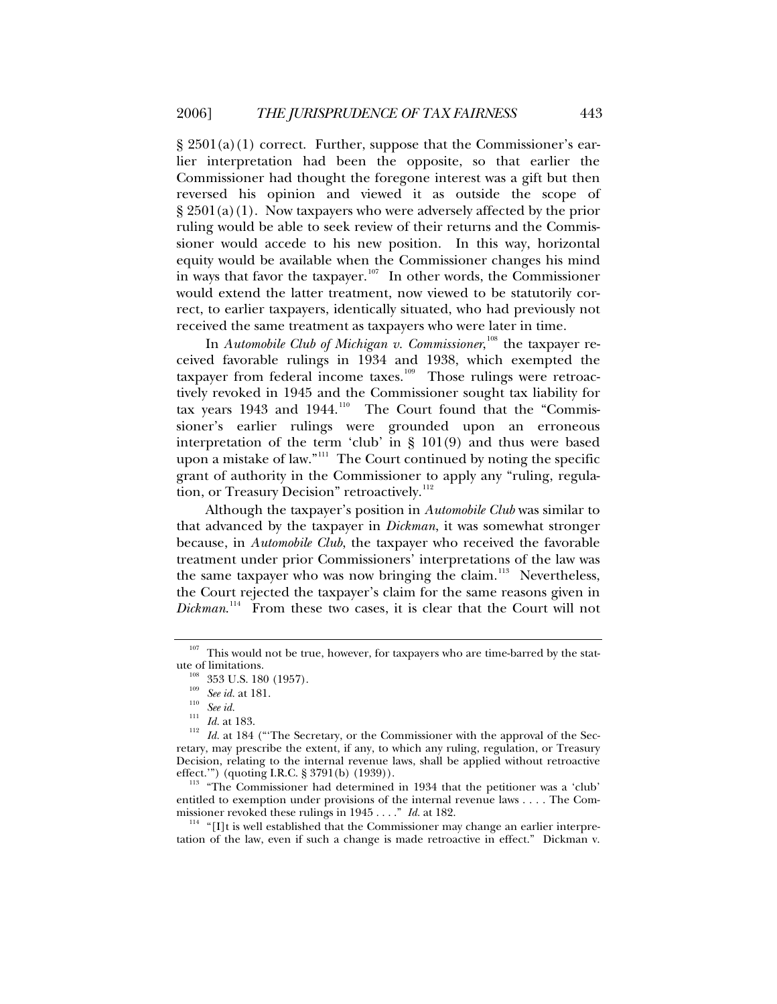$\S 2501(a)(1)$  correct. Further, suppose that the Commissioner's earlier interpretation had been the opposite, so that earlier the Commissioner had thought the foregone interest was a gift but then reversed his opinion and viewed it as outside the scope of  $\S 2501(a)(1)$ . Now taxpayers who were adversely affected by the prior ruling would be able to seek review of their returns and the Commissioner would accede to his new position. In this way, horizontal equity would be available when the Commissioner changes his mind in ways that favor the taxpayer.<sup>[107](#page-22-0)</sup> In other words, the Commissioner would extend the latter treatment, now viewed to be statutorily correct, to earlier taxpayers, identically situated, who had previously not received the same treatment as taxpayers who were later in time.

In *Automobile Club of Michigan v. Commissioner*,<sup>[108](#page-22-1)</sup> the taxpayer received favorable rulings in 1934 and 1938, which exempted the taxpayer from federal income taxes.<sup>[109](#page-22-2)</sup> Those rulings were retroactively revoked in 1945 and the Commissioner sought tax liability for tax years 1943 and 1944.<sup>[110](#page-22-3)</sup> The Court found that the "Commissioner's earlier rulings were grounded upon an erroneous interpretation of the term 'club' in § 101(9) and thus were based upon a mistake of law."<sup>[111](#page-22-4)</sup> The Court continued by noting the specific grant of authority in the Commissioner to apply any "ruling, regula-tion, or Treasury Decision" retroactively.<sup>[112](#page-22-5)</sup>

Although the taxpayer's position in *Automobile Club* was similar to that advanced by the taxpayer in *Dickman*, it was somewhat stronger because, in *Automobile Club*, the taxpayer who received the favorable treatment under prior Commissioners' interpretations of the law was the same taxpayer who was now bringing the claim.<sup>[113](#page-22-6)</sup> Nevertheless, the Court rejected the taxpayer's claim for the same reasons given in *Dickman*. [114](#page-22-7) From these two cases, it is clear that the Court will not

 $107$  This would not be true, however, for taxpayers who are time-barred by the stat-

<span id="page-22-4"></span><span id="page-22-3"></span><span id="page-22-2"></span><span id="page-22-1"></span><span id="page-22-0"></span>ute of limitations.<br><sup>108</sup> 353 U.S. 180 (1957).<br><sup>109</sup> *See id.* at 181.<br><sup>110</sup> *See id.* 111 *Id.* at 183.<br><sup>112</sup> *Id.* at 184 ("The Secretary, or the Commissioner with the approval of the Secretary, may prescribe the extent, if any, to which any ruling, regulation, or Treasury Decision, relating to the internal revenue laws, shall be applied without retroactive effect.") (quoting I.R.C. § 3791(b) (1939)).

<span id="page-22-6"></span><span id="page-22-5"></span> $113$  "The Commissioner had determined in 1934 that the petitioner was a 'club' entitled to exemption under provisions of the internal revenue laws . . . . The Com-

<span id="page-22-7"></span>missioner revoked these rulings in 1945 . . . . *" Id.* at 182.<br><sup>114</sup> "[I]t is well established that the Commissioner may change an earlier interpretation of the law, even if such a change is made retroactive in effect." Dickman v.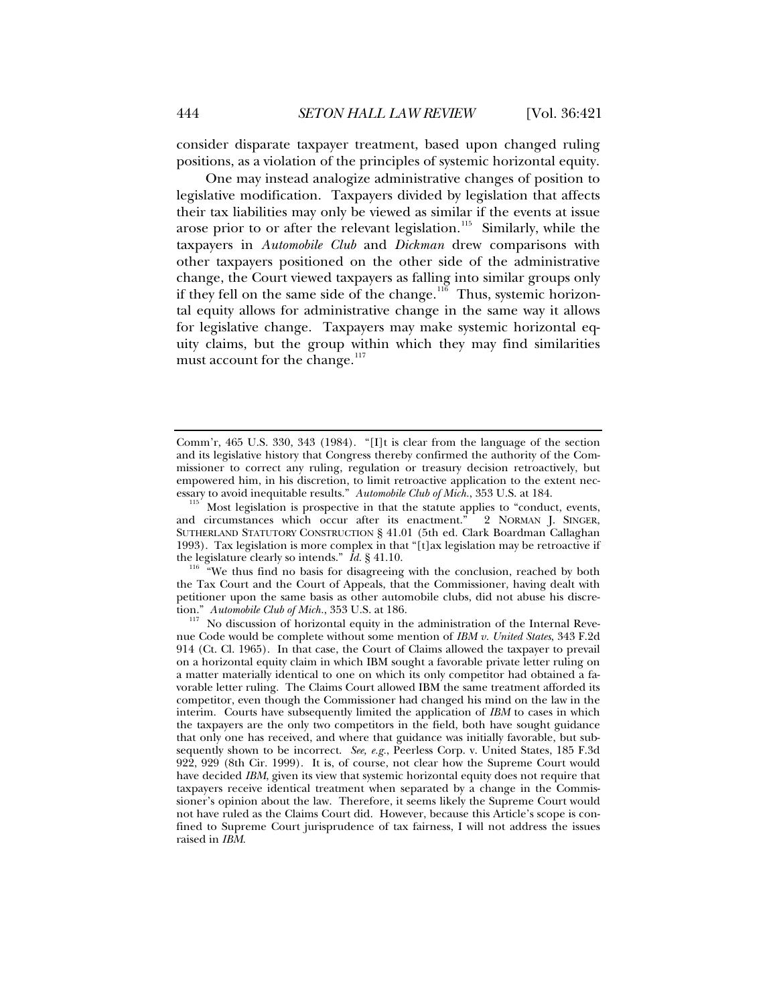consider disparate taxpayer treatment, based upon changed ruling positions, as a violation of the principles of systemic horizontal equity.

One may instead analogize administrative changes of position to legislative modification. Taxpayers divided by legislation that affects their tax liabilities may only be viewed as similar if the events at issue arose prior to or after the relevant legislation.<sup>[115](#page-23-0)</sup> Similarly, while the taxpayers in *Automobile Club* and *Dickman* drew comparisons with other taxpayers positioned on the other side of the administrative change, the Court viewed taxpayers as falling into similar groups only if they fell on the same side of the change.<sup>[116](#page-23-1)</sup> Thus, systemic horizontal equity allows for administrative change in the same way it allows for legislative change. Taxpayers may make systemic horizontal equity claims, but the group within which they may find similarities must account for the change. $117$ 

<span id="page-23-1"></span>the Tax Court and the Court of Appeals, that the Commissioner, having dealt with petitioner upon the same basis as other automobile clubs, did not abuse his discretion." Automobile Club of Mich., 353 U.S. at 186.

Comm'r, 465 U.S. 330, 343 (1984). "[I]t is clear from the language of the section and its legislative history that Congress thereby confirmed the authority of the Commissioner to correct any ruling, regulation or treasury decision retroactively, but empowered him, in his discretion, to limit retroactive application to the extent necessary to avoid inequitable results." Automobile Club of Mich., 353 U.S. at 184.

<span id="page-23-0"></span>Most legislation is prospective in that the statute applies to "conduct, events, circumstances which occur after its enactment." 2 NORMAN J. SINGER, and circumstances which occur after its enactment." SUTHERLAND STATUTORY CONSTRUCTION § 41.01 (5th ed. Clark Boardman Callaghan 1993). Tax legislation is more complex in that " $[t]$ ax legislation may be retroactive if the legislature clearly so intends." *Id.* § 41.10.<br><sup>116</sup> "We thus find no basis for disagreeing with the conclusion, reached by both

<span id="page-23-2"></span>No discussion of horizontal equity in the administration of the Internal Revenue Code would be complete without some mention of *IBM v. United States*, 343 F.2d 914 (Ct. Cl. 1965). In that case, the Court of Claims allowed the taxpayer to prevail on a horizontal equity claim in which IBM sought a favorable private letter ruling on a matter materially identical to one on which its only competitor had obtained a favorable letter ruling. The Claims Court allowed IBM the same treatment afforded its competitor, even though the Commissioner had changed his mind on the law in the interim. Courts have subsequently limited the application of *IBM* to cases in which the taxpayers are the only two competitors in the field, both have sought guidance that only one has received, and where that guidance was initially favorable, but subsequently shown to be incorrect. *See, e.g.*, Peerless Corp. v. United States, 185 F.3d 922, 929 (8th Cir. 1999). It is, of course, not clear how the Supreme Court would have decided *IBM*, given its view that systemic horizontal equity does not require that taxpayers receive identical treatment when separated by a change in the Commissioner's opinion about the law. Therefore, it seems likely the Supreme Court would not have ruled as the Claims Court did. However, because this Article's scope is confined to Supreme Court jurisprudence of tax fairness, I will not address the issues raised in *IBM*.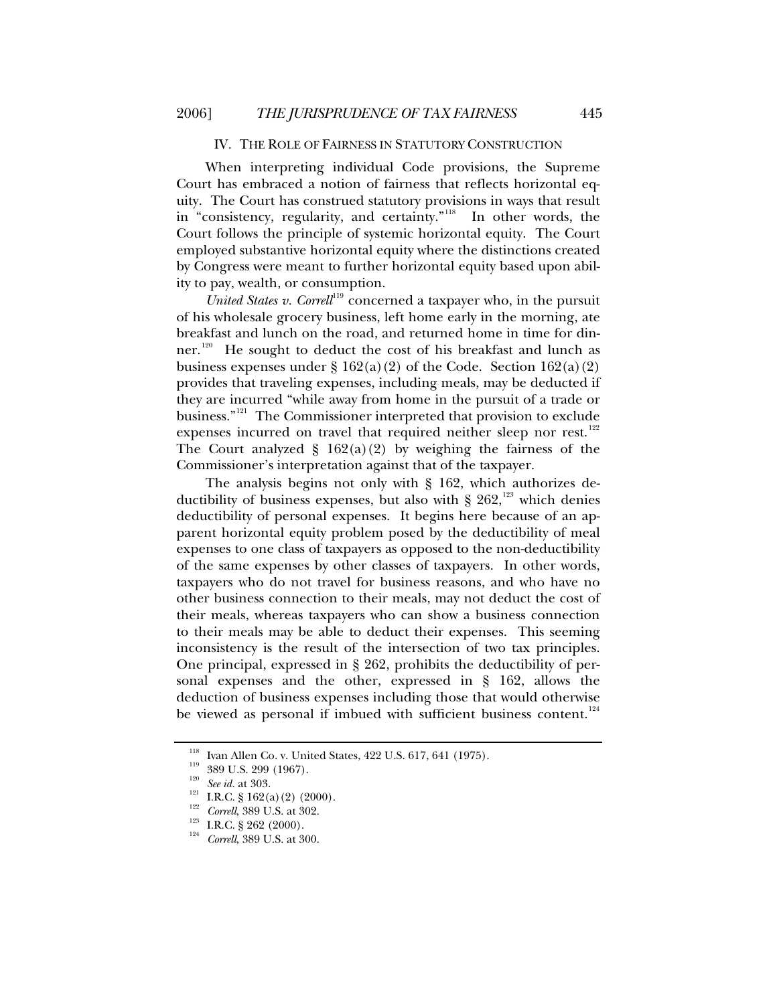#### IV. THE ROLE OF FAIRNESS IN STATUTORY CONSTRUCTION

<span id="page-24-0"></span>When interpreting individual Code provisions, the Supreme Court has embraced a notion of fairness that reflects horizontal equity. The Court has construed statutory provisions in ways that result in "consistency, regularity, and certainty."[118](#page-24-1) In other words, the Court follows the principle of systemic horizontal equity. The Court employed substantive horizontal equity where the distinctions created by Congress were meant to further horizontal equity based upon ability to pay, wealth, or consumption.

*United States v. Correll*<sup>[119](#page-24-2)</sup> concerned a taxpayer who, in the pursuit of his wholesale grocery business, left home early in the morning, ate breakfast and lunch on the road, and returned home in time for din-ner.<sup>[120](#page-24-3)</sup> He sought to deduct the cost of his breakfast and lunch as business expenses under  $\S 162(a)(2)$  of the Code. Section  $162(a)(2)$ provides that traveling expenses, including meals, may be deducted if they are incurred "while away from home in the pursuit of a trade or business."<sup>[121](#page-24-4)</sup> The Commissioner interpreted that provision to exclude expenses incurred on travel that required neither sleep nor rest. $122$ The Court analyzed  $\S$  162(a)(2) by weighing the fairness of the Commissioner's interpretation against that of the taxpayer.

The analysis begins not only with § 162, which authorizes deductibility of business expenses, but also with  $\S 262$ ,<sup>[123](#page-24-6)</sup> which denies deductibility of personal expenses. It begins here because of an apparent horizontal equity problem posed by the deductibility of meal expenses to one class of taxpayers as opposed to the non-deductibility of the same expenses by other classes of taxpayers. In other words, taxpayers who do not travel for business reasons, and who have no other business connection to their meals, may not deduct the cost of their meals, whereas taxpayers who can show a business connection to their meals may be able to deduct their expenses. This seeming inconsistency is the result of the intersection of two tax principles. One principal, expressed in § 262, prohibits the deductibility of personal expenses and the other, expressed in § 162, allows the deduction of business expenses including those that would otherwise be viewed as personal if imbued with sufficient business content.<sup>[124](#page-24-7)</sup>

<span id="page-24-2"></span><span id="page-24-1"></span><sup>&</sup>lt;sup>118</sup> Ivan Allen Co. v. United States, 422 U.S. 617, 641 (1975).<br>
<sup>119</sup> 389 U.S. 299 (1967).<br> *see id.* at 303.<br>
<sup>121</sup> I.R.C. § 162(a) (2) (2000).<br>
<sup>122</sup> *Correll*, 389 U.S. at 302.<br>
<sup>122</sup> I.R.C. § 262 (2000).<br>
<sup>124</sup> *Cor* 

<span id="page-24-4"></span><span id="page-24-3"></span>

<span id="page-24-7"></span><span id="page-24-6"></span><span id="page-24-5"></span>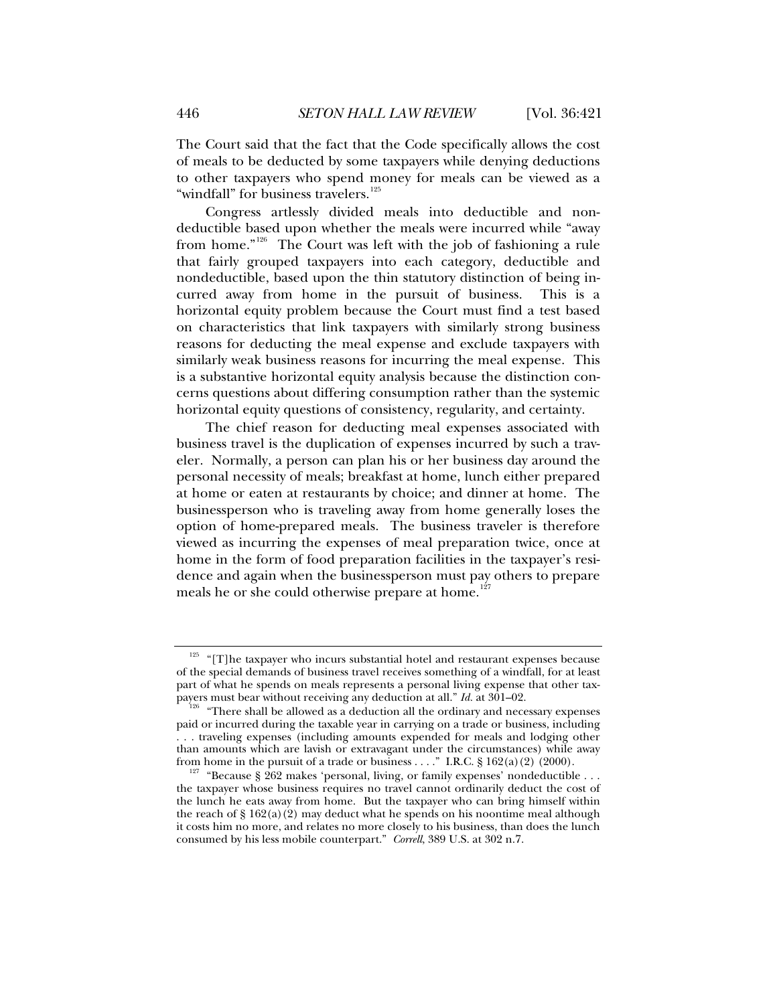The Court said that the fact that the Code specifically allows the cost of meals to be deducted by some taxpayers while denying deductions to other taxpayers who spend money for meals can be viewed as a "windfall" for business travelers.<sup>[125](#page-25-0)</sup>

Congress artlessly divided meals into deductible and nondeductible based upon whether the meals were incurred while "away from home."<sup>[126](#page-25-1)</sup> The Court was left with the job of fashioning a rule that fairly grouped taxpayers into each category, deductible and nondeductible, based upon the thin statutory distinction of being incurred away from home in the pursuit of business. This is a horizontal equity problem because the Court must find a test based on characteristics that link taxpayers with similarly strong business reasons for deducting the meal expense and exclude taxpayers with similarly weak business reasons for incurring the meal expense. This is a substantive horizontal equity analysis because the distinction concerns questions about differing consumption rather than the systemic horizontal equity questions of consistency, regularity, and certainty.

The chief reason for deducting meal expenses associated with business travel is the duplication of expenses incurred by such a traveler. Normally, a person can plan his or her business day around the personal necessity of meals; breakfast at home, lunch either prepared at home or eaten at restaurants by choice; and dinner at home. The businessperson who is traveling away from home generally loses the option of home-prepared meals. The business traveler is therefore viewed as incurring the expenses of meal preparation twice, once at home in the form of food preparation facilities in the taxpayer's residence and again when the businessperson must pay others to prepare meals he or she could otherwise prepare at home.<sup>[127](#page-25-2)</sup>

<span id="page-25-0"></span> $125$  "[T]he taxpayer who incurs substantial hotel and restaurant expenses because of the special demands of business travel receives something of a windfall, for at least part of what he spends on meals represents a personal living expense that other tax-<br>payers must bear without receiving any deduction at all."  $Id$ . at 301-02.

<span id="page-25-1"></span><sup>&</sup>lt;sup>126</sup> "There shall be allowed as a deduction all the ordinary and necessary expenses paid or incurred during the taxable year in carrying on a trade or business, including . . . traveling expenses (including amounts expended for meals and lodging other than amounts which are lavish or extravagant under the circumstances) while away from home in the pursuit of a trade or business . . . . " I.R.C. § 162(a)(2)(2000).

<span id="page-25-2"></span><sup>&</sup>lt;sup>127</sup> "Because § 262 makes 'personal, living, or family expenses' nondeductible . . . the taxpayer whose business requires no travel cannot ordinarily deduct the cost of the lunch he eats away from home. But the taxpayer who can bring himself within the reach of  $\S 162(a)(2)$  may deduct what he spends on his noontime meal although it costs him no more, and relates no more closely to his business, than does the lunch consumed by his less mobile counterpart." *Correll*, 389 U.S. at 302 n.7.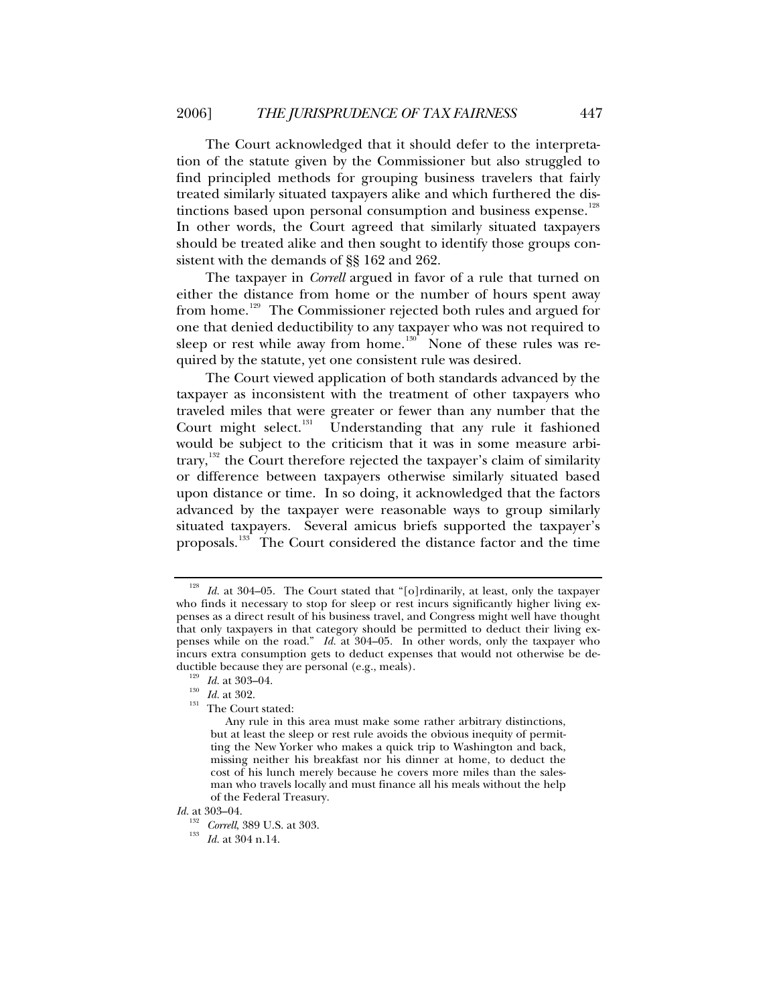The Court acknowledged that it should defer to the interpretation of the statute given by the Commissioner but also struggled to find principled methods for grouping business travelers that fairly treated similarly situated taxpayers alike and which furthered the dis-tinctions based upon personal consumption and business expense.<sup>[128](#page-26-0)</sup> In other words, the Court agreed that similarly situated taxpayers should be treated alike and then sought to identify those groups consistent with the demands of §§ 162 and 262.

The taxpayer in *Correll* argued in favor of a rule that turned on either the distance from home or the number of hours spent away from home.<sup>[129](#page-26-1)</sup> The Commissioner rejected both rules and argued for one that denied deductibility to any taxpayer who was not required to sleep or rest while away from home.<sup>[130](#page-26-2)</sup> None of these rules was required by the statute, yet one consistent rule was desired.

The Court viewed application of both standards advanced by the taxpayer as inconsistent with the treatment of other taxpayers who traveled miles that were greater or fewer than any number that the Court might select.<sup>[131](#page-26-3)</sup> Understanding that any rule it fashioned would be subject to the criticism that it was in some measure arbi-trary,<sup>[132](#page-26-4)</sup> the Court therefore rejected the taxpayer's claim of similarity or difference between taxpayers otherwise similarly situated based upon distance or time. In so doing, it acknowledged that the factors advanced by the taxpayer were reasonable ways to group similarly situated taxpayers. Several amicus briefs supported the taxpayer's proposals.<sup>[133](#page-26-5)</sup> The Court considered the distance factor and the time

<span id="page-26-5"></span><span id="page-26-4"></span>*Id.* at 303–04.

<span id="page-26-0"></span><sup>&</sup>lt;sup>128</sup> *Id.* at 304–05. The Court stated that "[o]rdinarily, at least, only the taxpayer who finds it necessary to stop for sleep or rest incurs significantly higher living expenses as a direct result of his business travel, and Congress might well have thought that only taxpayers in that category should be permitted to deduct their living expenses while on the road." *Id.* at 304–05. In other words, only the taxpayer who incurs extra consumption gets to deduct expenses that would not otherwise be deductible because they are personal (e.g., meals).<br><sup>129</sup> *Id.* at 303–04.<br><sup>130</sup> *Id.* at 302.<br>The Court stated:

<span id="page-26-2"></span><span id="page-26-1"></span>

<span id="page-26-3"></span>

Any rule in this area must make some rather arbitrary distinctions, but at least the sleep or rest rule avoids the obvious inequity of permitting the New Yorker who makes a quick trip to Washington and back, missing neither his breakfast nor his dinner at home, to deduct the cost of his lunch merely because he covers more miles than the salesman who travels locally and must finance all his meals without the help of the Federal Treasury.

<sup>132</sup> *Correll*, 389 U.S. at 303. 133 *Id.* at 304 n.14.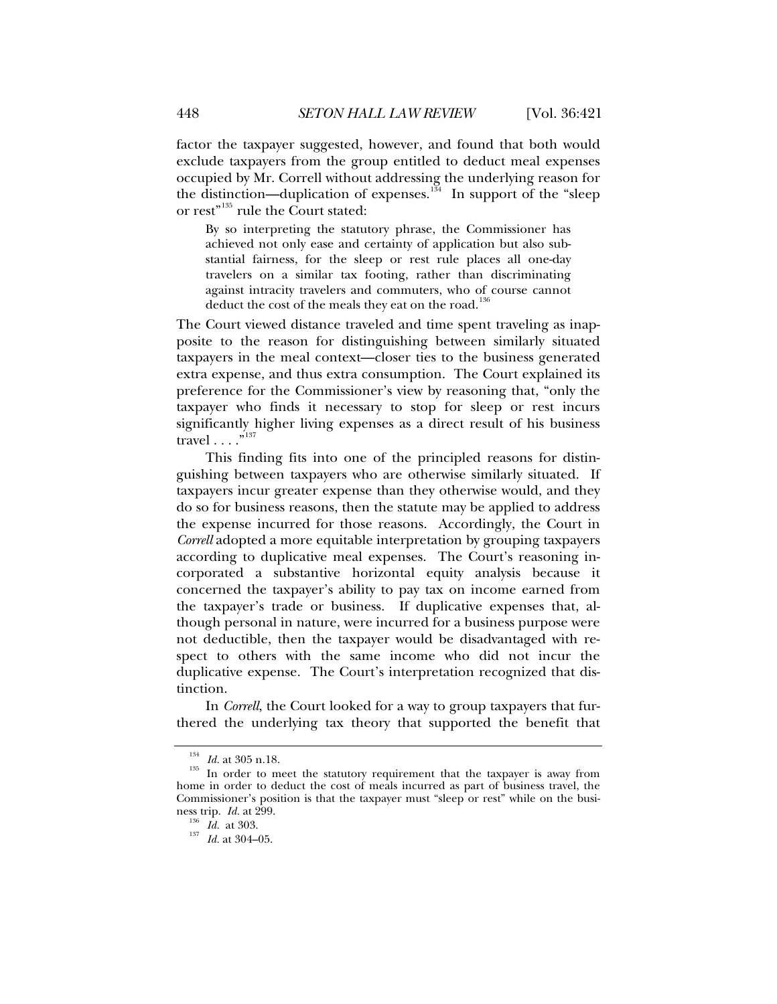factor the taxpayer suggested, however, and found that both would exclude taxpayers from the group entitled to deduct meal expenses occupied by Mr. Correll without addressing the underlying reason for the distinction—duplication of expenses. $134$  In support of the "sleep or rest"<sup>[135](#page-27-1)</sup> rule the Court stated:

By so interpreting the statutory phrase, the Commissioner has achieved not only ease and certainty of application but also substantial fairness, for the sleep or rest rule places all one-day travelers on a similar tax footing, rather than discriminating against intracity travelers and commuters, who of course cannot deduct the cost of the meals they eat on the road.<sup>[136](#page-27-2)</sup>

The Court viewed distance traveled and time spent traveling as inapposite to the reason for distinguishing between similarly situated taxpayers in the meal context—closer ties to the business generated extra expense, and thus extra consumption. The Court explained its preference for the Commissioner's view by reasoning that, "only the taxpayer who finds it necessary to stop for sleep or rest incurs significantly higher living expenses as a direct result of his business travel . . . . "<sup>[137](#page-27-3)</sup>

This finding fits into one of the principled reasons for distinguishing between taxpayers who are otherwise similarly situated. If taxpayers incur greater expense than they otherwise would, and they do so for business reasons, then the statute may be applied to address the expense incurred for those reasons. Accordingly, the Court in *Correll* adopted a more equitable interpretation by grouping taxpayers according to duplicative meal expenses. The Court's reasoning incorporated a substantive horizontal equity analysis because it concerned the taxpayer's ability to pay tax on income earned from the taxpayer's trade or business. If duplicative expenses that, although personal in nature, were incurred for a business purpose were not deductible, then the taxpayer would be disadvantaged with respect to others with the same income who did not incur the duplicative expense. The Court's interpretation recognized that distinction.

In *Correll*, the Court looked for a way to group taxpayers that furthered the underlying tax theory that supported the benefit that

<span id="page-27-1"></span><span id="page-27-0"></span><sup>&</sup>lt;sup>134</sup> *Id.* at 305 n.18.<br><sup>135</sup> In order to meet the statutory requirement that the taxpayer is away from home in order to deduct the cost of meals incurred as part of business travel, the Commissioner's position is that the taxpayer must "sleep or rest" while on the business trip. *Id.* at 299.

<span id="page-27-3"></span><span id="page-27-2"></span>ness trip. *Id.* at 299. 136 *Id.* at 303. 137 *Id.* at 304–05.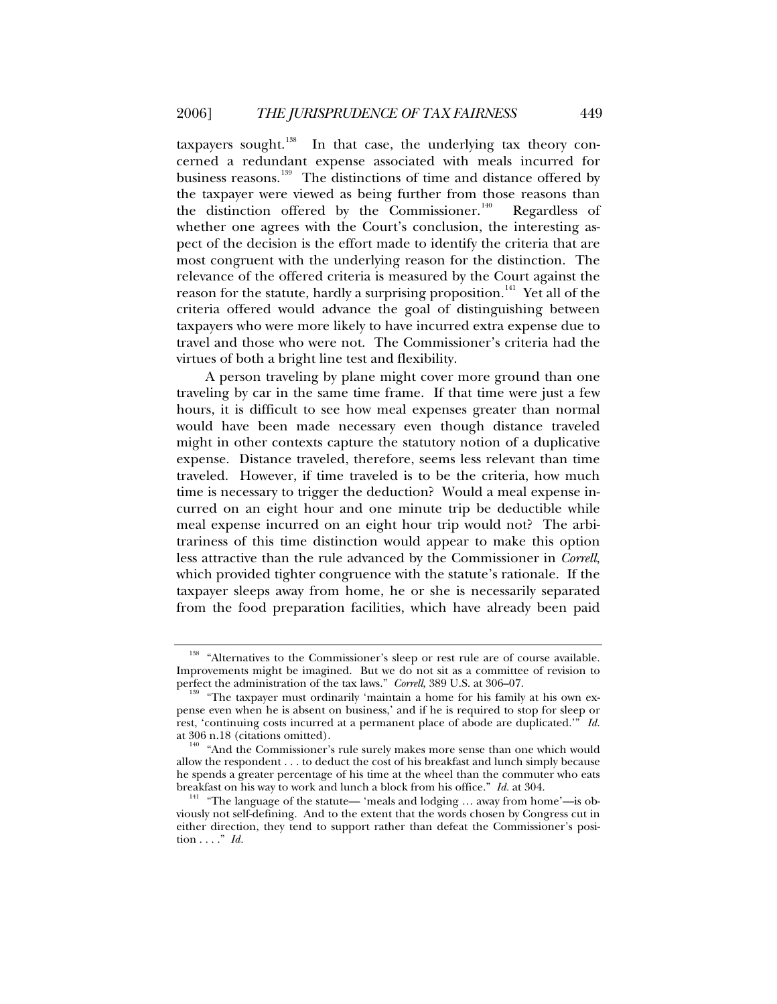taxpayers sought. $138$  In that case, the underlying tax theory concerned a redundant expense associated with meals incurred for business reasons.<sup>[139](#page-28-1)</sup> The distinctions of time and distance offered by the taxpayer were viewed as being further from those reasons than the distinction offered by the Commissioner.<sup>[140](#page-28-2)</sup> Regardless of whether one agrees with the Court's conclusion, the interesting aspect of the decision is the effort made to identify the criteria that are most congruent with the underlying reason for the distinction. The relevance of the offered criteria is measured by the Court against the reason for the statute, hardly a surprising proposition.<sup>[141](#page-28-3)</sup> Yet all of the criteria offered would advance the goal of distinguishing between taxpayers who were more likely to have incurred extra expense due to travel and those who were not. The Commissioner's criteria had the virtues of both a bright line test and flexibility.

A person traveling by plane might cover more ground than one traveling by car in the same time frame. If that time were just a few hours, it is difficult to see how meal expenses greater than normal would have been made necessary even though distance traveled might in other contexts capture the statutory notion of a duplicative expense. Distance traveled, therefore, seems less relevant than time traveled. However, if time traveled is to be the criteria, how much time is necessary to trigger the deduction? Would a meal expense incurred on an eight hour and one minute trip be deductible while meal expense incurred on an eight hour trip would not? The arbitrariness of this time distinction would appear to make this option less attractive than the rule advanced by the Commissioner in *Correll*, which provided tighter congruence with the statute's rationale. If the taxpayer sleeps away from home, he or she is necessarily separated from the food preparation facilities, which have already been paid

<span id="page-28-0"></span><sup>&</sup>lt;sup>138</sup> "Alternatives to the Commissioner's sleep or rest rule are of course available. Improvements might be imagined. But we do not sit as a committee of revision to perfect the administration of the tax laws." Correll, 389 U.S. at 306–07.

<span id="page-28-1"></span><sup>&</sup>quot;The tax payer must ordinarily 'maintain a home for his family at his own expense even when he is absent on business,' and if he is required to stop for sleep or rest, 'continuing costs incurred at a permanent place of abode are duplicated.'" *Id.*

<span id="page-28-2"></span>at 306 n.18 (citations omitted).  $140$  "And the Commissioner's rule surely makes more sense than one which would allow the respondent . . . to deduct the cost of his breakfast and lunch simply because he spends a greater percentage of his time at the wheel than the commuter who eats breakfast on his way to work and lunch a block from his office."  $Id$  at 304.

<span id="page-28-3"></span><sup>&</sup>lt;sup>141</sup> "The language of the statute— 'meals and lodging ... away from home'—is obviously not self-defining. And to the extent that the words chosen by Congress cut in either direction, they tend to support rather than defeat the Commissioner's position . . . ." *Id.*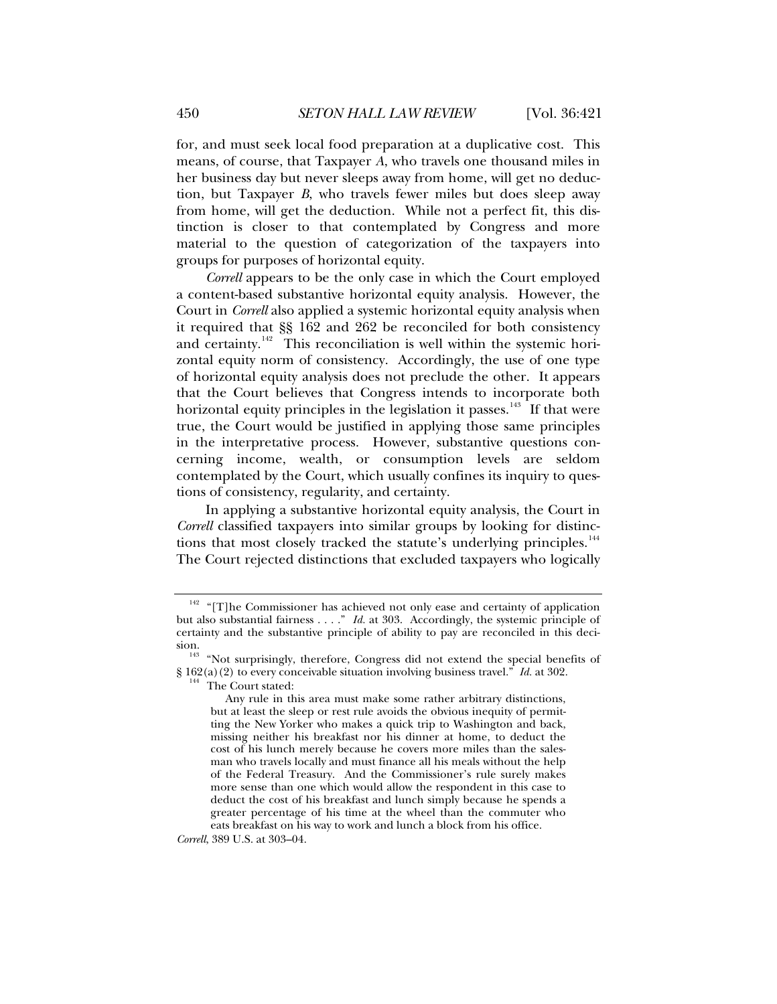for, and must seek local food preparation at a duplicative cost. This means, of course, that Taxpayer *A*, who travels one thousand miles in her business day but never sleeps away from home, will get no deduction, but Taxpayer *B*, who travels fewer miles but does sleep away from home, will get the deduction. While not a perfect fit, this distinction is closer to that contemplated by Congress and more material to the question of categorization of the taxpayers into groups for purposes of horizontal equity.

*Correll* appears to be the only case in which the Court employed a content-based substantive horizontal equity analysis. However, the Court in *Correll* also applied a systemic horizontal equity analysis when it required that §§ 162 and 262 be reconciled for both consistency and certainty.<sup> $142$ </sup> This reconciliation is well within the systemic horizontal equity norm of consistency. Accordingly, the use of one type of horizontal equity analysis does not preclude the other. It appears that the Court believes that Congress intends to incorporate both horizontal equity principles in the legislation it passes.<sup>[143](#page-29-1)</sup> If that were true, the Court would be justified in applying those same principles in the interpretative process. However, substantive questions concerning income, wealth, or consumption levels are seldom contemplated by the Court, which usually confines its inquiry to questions of consistency, regularity, and certainty.

In applying a substantive horizontal equity analysis, the Court in *Correll* classified taxpayers into similar groups by looking for distinc-tions that most closely tracked the statute's underlying principles.<sup>[144](#page-29-2)</sup> The Court rejected distinctions that excluded taxpayers who logically

*Correll*, 389 U.S. at 303–04.

<span id="page-29-0"></span> $142$  "[T]he Commissioner has achieved not only ease and certainty of application but also substantial fairness . . . ." *Id.* at 303. Accordingly, the systemic principle of certainty and the substantive principle of ability to pay are reconciled in this deci-

<span id="page-29-2"></span><span id="page-29-1"></span>sion.<br><sup>143</sup> "Not surprisingly, therefore, Congress did not extend the special benefits of § 162(a)(2) to every conceivable situation involving business travel." *Id.* at 302. <sup>144</sup> The Court stated:

Any rule in this area must make some rather arbitrary distinctions, but at least the sleep or rest rule avoids the obvious inequity of permitting the New Yorker who makes a quick trip to Washington and back, missing neither his breakfast nor his dinner at home, to deduct the cost of his lunch merely because he covers more miles than the salesman who travels locally and must finance all his meals without the help of the Federal Treasury. And the Commissioner's rule surely makes more sense than one which would allow the respondent in this case to deduct the cost of his breakfast and lunch simply because he spends a greater percentage of his time at the wheel than the commuter who eats breakfast on his way to work and lunch a block from his office.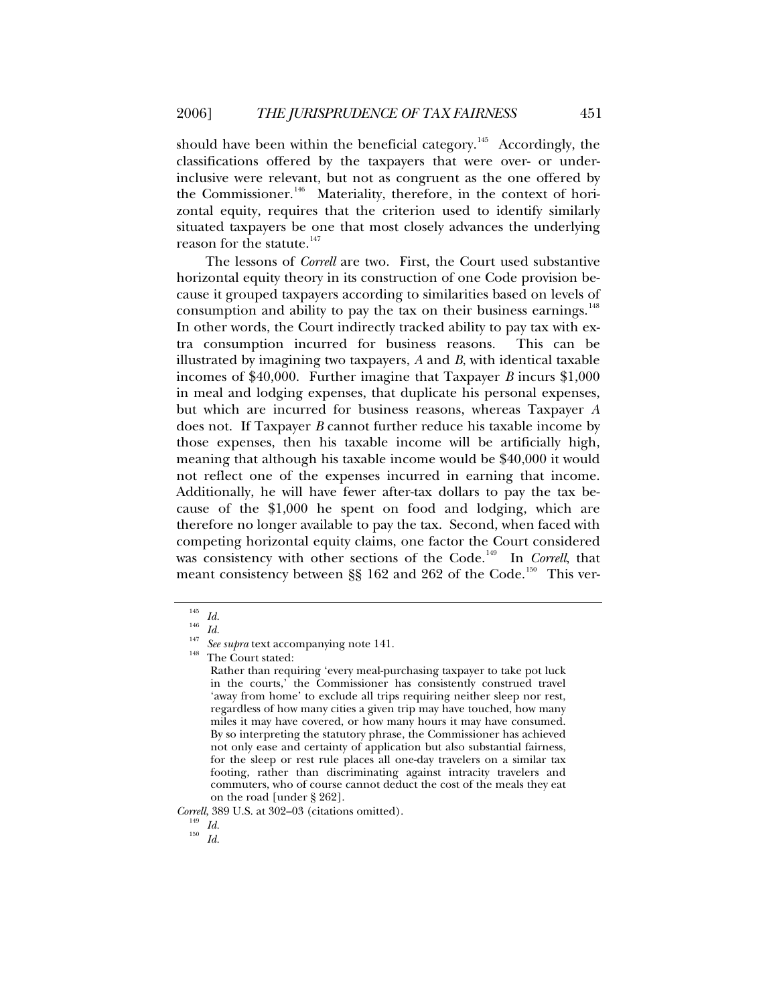should have been within the beneficial category.<sup>[145](#page-30-0)</sup> Accordingly, the classifications offered by the taxpayers that were over- or underinclusive were relevant, but not as congruent as the one offered by the Commissioner.<sup>[146](#page-30-1)</sup> Materiality, therefore, in the context of horizontal equity, requires that the criterion used to identify similarly situated taxpayers be one that most closely advances the underlying reason for the statute.<sup>[147](#page-30-2)</sup>

The lessons of *Correll* are two. First, the Court used substantive horizontal equity theory in its construction of one Code provision because it grouped taxpayers according to similarities based on levels of consumption and ability to pay the tax on their business earnings.<sup>[148](#page-30-3)</sup> In other words, the Court indirectly tracked ability to pay tax with extra consumption incurred for business reasons. This can be illustrated by imagining two taxpayers, *A* and *B*, with identical taxable incomes of \$40,000. Further imagine that Taxpayer *B* incurs \$1,000 in meal and lodging expenses, that duplicate his personal expenses, but which are incurred for business reasons, whereas Taxpayer *A* does not. If Taxpayer *B* cannot further reduce his taxable income by those expenses, then his taxable income will be artificially high, meaning that although his taxable income would be \$40,000 it would not reflect one of the expenses incurred in earning that income. Additionally, he will have fewer after-tax dollars to pay the tax because of the \$1,000 he spent on food and lodging, which are therefore no longer available to pay the tax. Second, when faced with competing horizontal equity claims, one factor the Court considered was consistency with other sections of the Code.<sup>[149](#page-30-4)</sup> In *Correll*, that meant consistency between  $\S$ § 162 and 262 of the Code.<sup>[150](#page-30-5)</sup> This ver-

<span id="page-30-3"></span>

<span id="page-30-5"></span><span id="page-30-4"></span>*Correll*, 389 U.S. at 302–03 (citations omitted). 149 *Id.* <sup>150</sup> *Id.*

<span id="page-30-2"></span><span id="page-30-1"></span><span id="page-30-0"></span><sup>145</sup> *Id.* <sup>146</sup> *Id.* <sup>147</sup> *See supra* text accompanying note 141. 148 The Court stated:

Rather than requiring 'every meal-purchasing taxpayer to take pot luck in the courts,' the Commissioner has consistently construed travel 'away from home' to exclude all trips requiring neither sleep nor rest, regardless of how many cities a given trip may have touched, how many miles it may have covered, or how many hours it may have consumed. By so interpreting the statutory phrase, the Commissioner has achieved not only ease and certainty of application but also substantial fairness, for the sleep or rest rule places all one-day travelers on a similar tax footing, rather than discriminating against intracity travelers and commuters, who of course cannot deduct the cost of the meals they eat on the road [under § 262].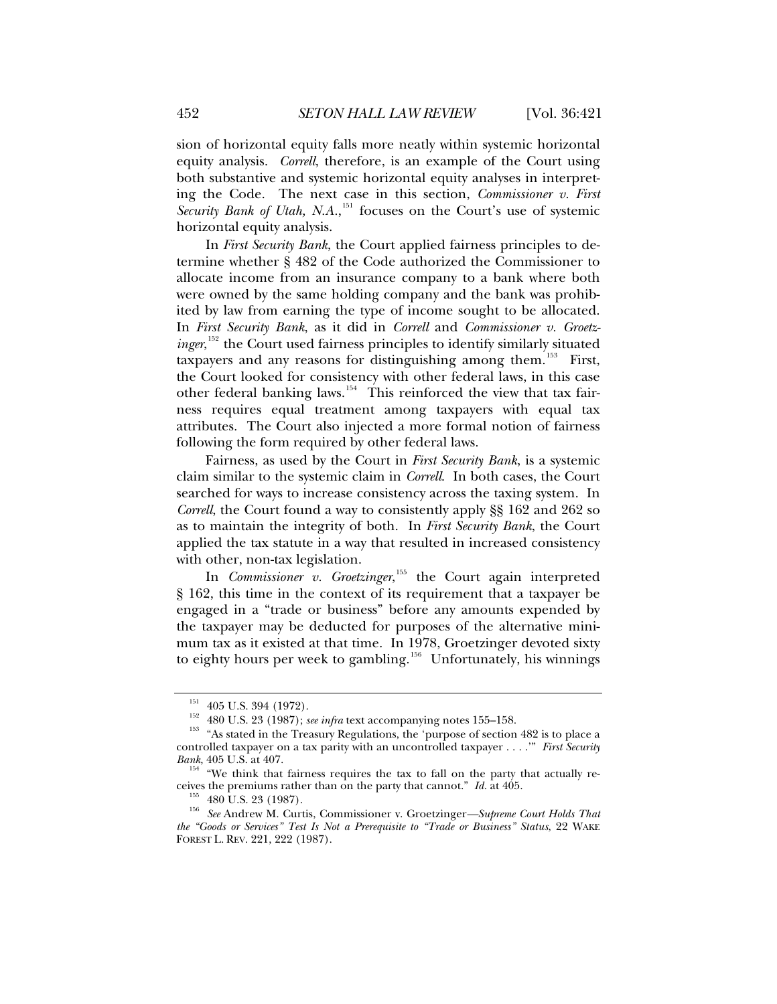sion of horizontal equity falls more neatly within systemic horizontal equity analysis. *Correll*, therefore, is an example of the Court using both substantive and systemic horizontal equity analyses in interpreting the Code. The next case in this section, *Commissioner v. First*  Security Bank of Utah, N.A.,<sup>[151](#page-31-0)</sup> focuses on the Court's use of systemic horizontal equity analysis.

In *First Security Bank*, the Court applied fairness principles to determine whether § 482 of the Code authorized the Commissioner to allocate income from an insurance company to a bank where both were owned by the same holding company and the bank was prohibited by law from earning the type of income sought to be allocated. In *First Security Bank*, as it did in *Correll* and *Commissioner v. Groetz-*inger,<sup>[152](#page-31-1)</sup> the Court used fairness principles to identify similarly situated taxpayers and any reasons for distinguishing among them.<sup>[153](#page-31-2)</sup> First, the Court looked for consistency with other federal laws, in this case other federal banking laws.<sup>[154](#page-31-3)</sup> This reinforced the view that tax fairness requires equal treatment among taxpayers with equal tax attributes. The Court also injected a more formal notion of fairness following the form required by other federal laws.

Fairness, as used by the Court in *First Security Bank*, is a systemic claim similar to the systemic claim in *Correll*. In both cases, the Court searched for ways to increase consistency across the taxing system. In *Correll*, the Court found a way to consistently apply §§ 162 and 262 so as to maintain the integrity of both. In *First Security Bank*, the Court applied the tax statute in a way that resulted in increased consistency with other, non-tax legislation.

In *Commissioner v. Groetzinger*,<sup>[155](#page-31-4)</sup> the Court again interpreted § 162, this time in the context of its requirement that a taxpayer be engaged in a "trade or business" before any amounts expended by the taxpayer may be deducted for purposes of the alternative minimum tax as it existed at that time. In 1978, Groetzinger devoted sixty to eighty hours per week to gambling.<sup>[156](#page-31-5)</sup> Unfortunately, his winnings

<span id="page-31-2"></span><span id="page-31-1"></span><span id="page-31-0"></span><sup>&</sup>lt;sup>151</sup> 405 U.S. 394 (1972).<br><sup>152</sup> 480 U.S. 23 (1987); *see infra* text accompanying notes 155–158.<br><sup>153</sup> "As stated in the Treasury Regulations, the 'purpose of section 482 is to place a controlled taxpayer on a tax parity with an uncontrolled taxpayer . . . .'" *First Security* 

*Bank*, 405 U.S. at 407.<br><sup>154</sup> "We think that fairness requires the tax to fall on the party that actually re-

<span id="page-31-5"></span><span id="page-31-4"></span><span id="page-31-3"></span>ceives the premiums rather than on the party that cannot." *Id.* at 405. 155 480 U.S. 23 (1987). 156 *See* Andrew M. Curtis, Commissioner v. Groetzinger*—Supreme Court Holds That the "Goods or Services" Test Is Not a Prerequisite to "Trade or Business" Status*, 22 WAKE FOREST L. REV. 221, 222 (1987).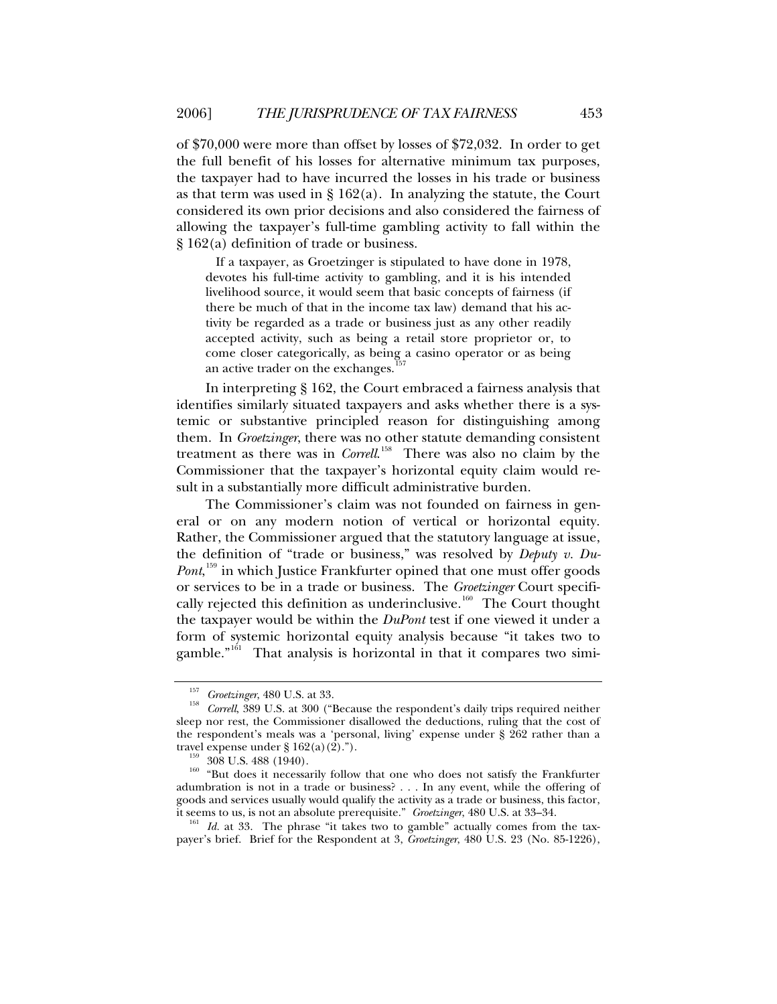of \$70,000 were more than offset by losses of \$72,032. In order to get the full benefit of his losses for alternative minimum tax purposes, the taxpayer had to have incurred the losses in his trade or business as that term was used in  $\S 162(a)$ . In analyzing the statute, the Court considered its own prior decisions and also considered the fairness of allowing the taxpayer's full-time gambling activity to fall within the § 162(a) definition of trade or business.

 If a taxpayer, as Groetzinger is stipulated to have done in 1978, devotes his full-time activity to gambling, and it is his intended livelihood source, it would seem that basic concepts of fairness (if there be much of that in the income tax law) demand that his activity be regarded as a trade or business just as any other readily accepted activity, such as being a retail store proprietor or, to come closer categorically, as being a casino operator or as being an active trader on the exchanges.

In interpreting § 162, the Court embraced a fairness analysis that identifies similarly situated taxpayers and asks whether there is a systemic or substantive principled reason for distinguishing among them. In *Groetzinger*, there was no other statute demanding consistent treatment as there was in *Correll*. [158](#page-32-1) There was also no claim by the Commissioner that the taxpayer's horizontal equity claim would result in a substantially more difficult administrative burden.

The Commissioner's claim was not founded on fairness in general or on any modern notion of vertical or horizontal equity. Rather, the Commissioner argued that the statutory language at issue, the definition of "trade or business," was resolved by *Deputy v. Du-*Pont,<sup>[159](#page-32-2)</sup> in which Justice Frankfurter opined that one must offer goods or services to be in a trade or business. The *Groetzinger* Court specifi-cally rejected this definition as underinclusive.<sup>[160](#page-32-3)</sup> The Court thought the taxpayer would be within the *DuPont* test if one viewed it under a form of systemic horizontal equity analysis because "it takes two to gamble."<sup>[161](#page-32-4)</sup> That analysis is horizontal in that it compares two simi-

<span id="page-32-4"></span>payer's brief. Brief for the Respondent at 3, *Groetzinger*, 480 U.S. 23 (No. 85-1226),

<span id="page-32-1"></span><span id="page-32-0"></span><sup>&</sup>lt;sup>157</sup> Groetzinger, 480 U.S. at 33.<br><sup>158</sup> Correll, 389 U.S. at 300 ("Because the respondent's daily trips required neither sleep nor rest, the Commissioner disallowed the deductions, ruling that the cost of the respondent's meals was a 'personal, living' expense under § 262 rather than a travel expense under §  $162(a)(2)$ .").

<span id="page-32-3"></span><span id="page-32-2"></span><sup>&</sup>lt;sup>159</sup> 308 U.S. 488 (1940). <sup>159</sup> 308 U.S. 488 (1940). <sup>160</sup> "But does it necessarily follow that one who does not satisfy the Frankfurter adumbration is not in a trade or business? . . . In any event, while the offering of goods and services usually would qualify the activity as a trade or business, this factor, it seems to us, is not an absolute prerequisite." *Groetzinger*, 480 U.S. at 33–34. 161 *Id.* at 33. The phrase "it takes two to gamble" actually comes from the tax-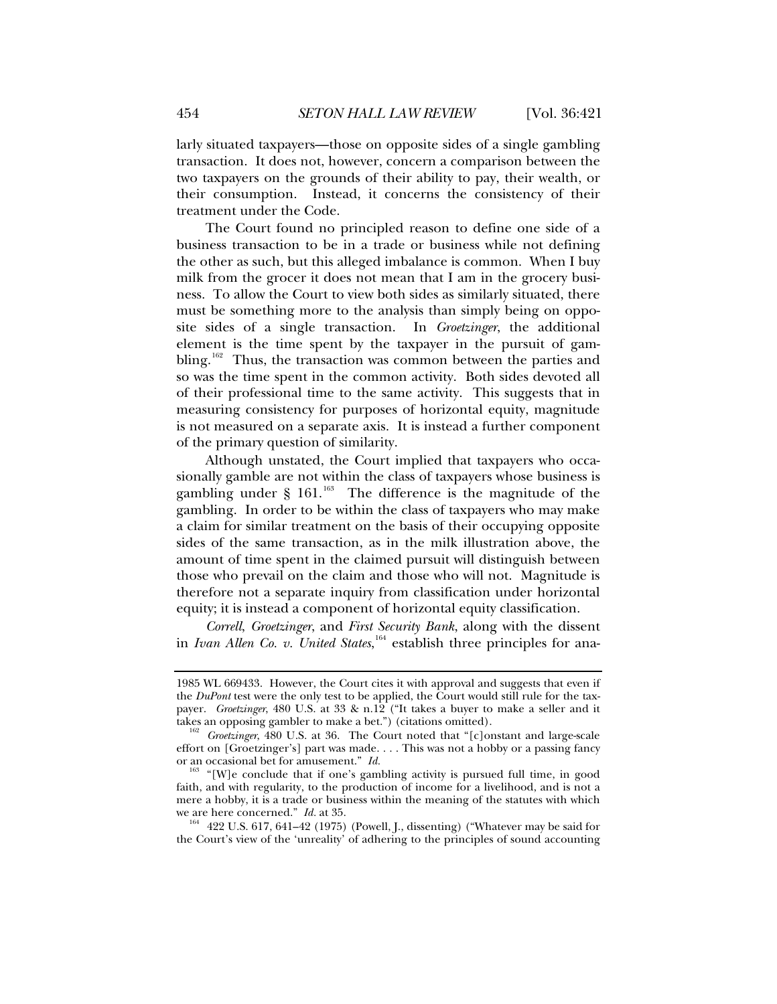larly situated taxpayers—those on opposite sides of a single gambling transaction. It does not, however, concern a comparison between the two taxpayers on the grounds of their ability to pay, their wealth, or their consumption. Instead, it concerns the consistency of their treatment under the Code.

The Court found no principled reason to define one side of a business transaction to be in a trade or business while not defining the other as such, but this alleged imbalance is common. When I buy milk from the grocer it does not mean that I am in the grocery business. To allow the Court to view both sides as similarly situated, there must be something more to the analysis than simply being on opposite sides of a single transaction. In *Groetzinger*, the additional element is the time spent by the taxpayer in the pursuit of gam-bling.<sup>[162](#page-33-0)</sup> Thus, the transaction was common between the parties and so was the time spent in the common activity. Both sides devoted all of their professional time to the same activity. This suggests that in measuring consistency for purposes of horizontal equity, magnitude is not measured on a separate axis. It is instead a further component of the primary question of similarity.

Although unstated, the Court implied that taxpayers who occasionally gamble are not within the class of taxpayers whose business is gambling under  $\S$  161.<sup>[163](#page-33-1)</sup> The difference is the magnitude of the gambling. In order to be within the class of taxpayers who may make a claim for similar treatment on the basis of their occupying opposite sides of the same transaction, as in the milk illustration above, the amount of time spent in the claimed pursuit will distinguish between those who prevail on the claim and those who will not. Magnitude is therefore not a separate inquiry from classification under horizontal equity; it is instead a component of horizontal equity classification.

*Correll*, *Groetzinger*, and *First Security Bank*, along with the dissent in *Ivan Allen Co. v. United States*, [164](#page-33-2) establish three principles for ana-

<sup>1985</sup> WL 669433. However, the Court cites it with approval and suggests that even if the *DuPont* test were the only test to be applied, the Court would still rule for the taxpayer. *Groetzinger*, 480 U.S. at 33 & n.12 ("It takes a buyer to make a seller and it

<span id="page-33-0"></span>takes an opposing gambler to make a bet.") (citations omitted).<br><sup>162</sup> Groetzinger, 480 U.S. at 36. The Court noted that "[c]onstant and large-scale effort on [Groetzinger's] part was made. . . . This was not a hobby or a passing fancy or an occasional bet for amusement."  $Id$ .

<span id="page-33-1"></span><sup>&</sup>lt;sup>163</sup> "[W]e conclude that if one's gambling activity is pursued full time, in good faith, and with regularity, to the production of income for a livelihood, and is not a mere a hobby, it is a trade or business within the meaning of the statutes with which we are here concerned." *Id.* at 35.<br><sup>164</sup> 422 U.S. 617, 641–42 (1975) (Powell, J., dissenting) ("Whatever may be said for

<span id="page-33-2"></span>the Court's view of the 'unreality' of adhering to the principles of sound accounting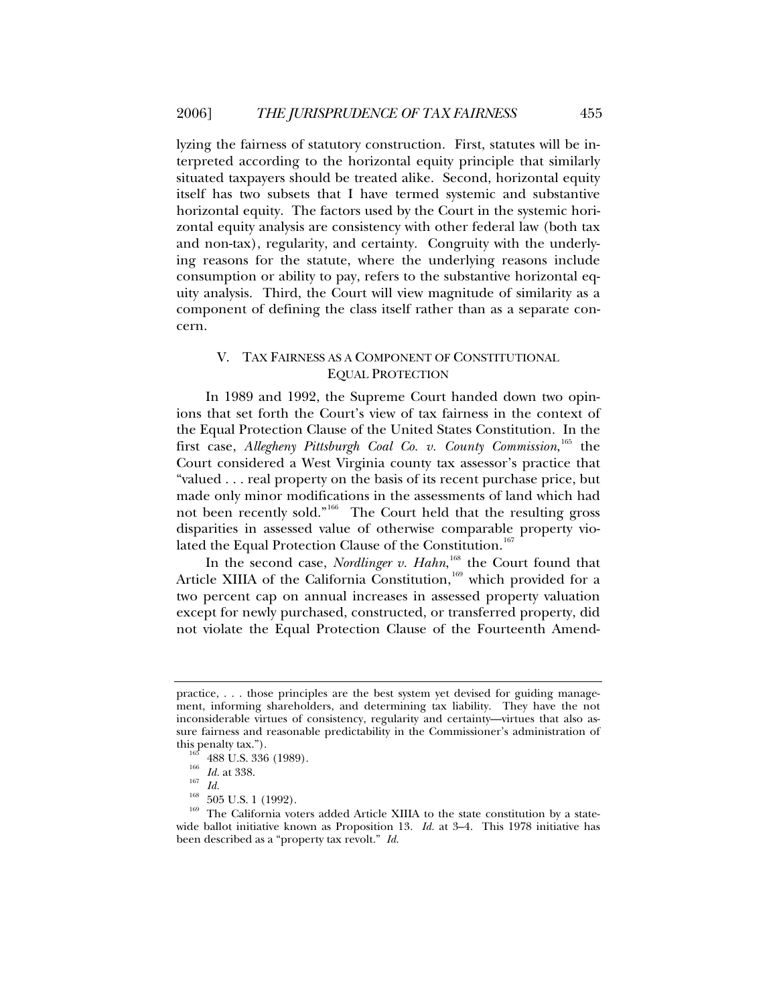<span id="page-34-0"></span>lyzing the fairness of statutory construction. First, statutes will be interpreted according to the horizontal equity principle that similarly situated taxpayers should be treated alike. Second, horizontal equity itself has two subsets that I have termed systemic and substantive horizontal equity. The factors used by the Court in the systemic horizontal equity analysis are consistency with other federal law (both tax and non-tax), regularity, and certainty. Congruity with the underlying reasons for the statute, where the underlying reasons include consumption or ability to pay, refers to the substantive horizontal equity analysis. Third, the Court will view magnitude of similarity as a component of defining the class itself rather than as a separate concern.

## V. TAX FAIRNESS AS A COMPONENT OF CONSTITUTIONAL EQUAL PROTECTION

In 1989 and 1992, the Supreme Court handed down two opinions that set forth the Court's view of tax fairness in the context of the Equal Protection Clause of the United States Constitution. In the first case, Allegheny Pittsburgh Coal Co. v. County Commission, [165](#page-34-1) the Court considered a West Virginia county tax assessor's practice that "valued . . . real property on the basis of its recent purchase price, but made only minor modifications in the assessments of land which had not been recently sold."[166](#page-34-2) The Court held that the resulting gross disparities in assessed value of otherwise comparable property violated the Equal Protection Clause of the Constitution.<sup>16</sup>

In the second case, *Nordlinger v. Hahn*,<sup>[168](#page-34-4)</sup> the Court found that Article XIIIA of the California Constitution,  $169$  which provided for a two percent cap on annual increases in assessed property valuation except for newly purchased, constructed, or transferred property, did not violate the Equal Protection Clause of the Fourteenth Amend-

practice, . . . those principles are the best system yet devised for guiding management, informing shareholders, and determining tax liability. They have the not inconsiderable virtues of consistency, regularity and certainty—virtues that also assure fairness and reasonable predictability in the Commissioner's administration of this penalty tax.").<br><sup>165</sup> 488 U.S. 336 (1989).<br><sup>166</sup> *Id.* at 338. <sup>167</sup> *Id.* 168 505 U.S. 1 (1992).<br><sup>169</sup> The California voters added Article XIIIA to the state constitution by a state-

<span id="page-34-5"></span><span id="page-34-4"></span><span id="page-34-3"></span><span id="page-34-2"></span><span id="page-34-1"></span>wide ballot initiative known as Proposition 13. *Id.* at 3–4. This 1978 initiative has been described as a "property tax revolt." *Id.*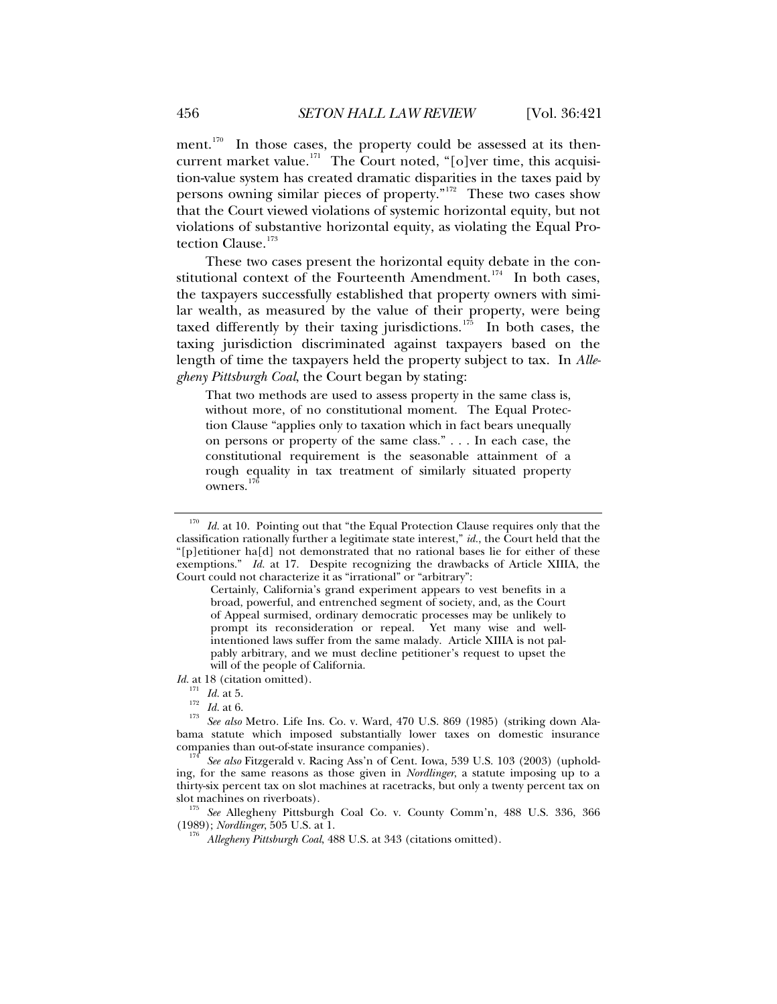ment.<sup>[170](#page-35-0)</sup> In those cases, the property could be assessed at its then-current market value.<sup>[171](#page-35-1)</sup> The Court noted, "[o]ver time, this acquisition-value system has created dramatic disparities in the taxes paid by persons owning similar pieces of property."[172](#page-35-2) These two cases show that the Court viewed violations of systemic horizontal equity, but not violations of substantive horizontal equity, as violating the Equal Pro-tection Clause.<sup>[173](#page-35-3)</sup>

These two cases present the horizontal equity debate in the con-stitutional context of the Fourteenth Amendment.<sup>[174](#page-35-4)</sup> In both cases, the taxpayers successfully established that property owners with similar wealth, as measured by the value of their property, were being taxed differently by their taxing jurisdictions.<sup>[175](#page-35-5)</sup> In both cases, the taxing jurisdiction discriminated against taxpayers based on the length of time the taxpayers held the property subject to tax. In *Allegheny Pittsburgh Coal*, the Court began by stating:

That two methods are used to assess property in the same class is, without more, of no constitutional moment. The Equal Protection Clause "applies only to taxation which in fact bears unequally on persons or property of the same class." . . . In each case, the constitutional requirement is the seasonable attainment of a rough equality in tax treatment of similarly situated property owners.

*Id.* at 18 (citation omitted).<br><sup>171</sup> *Id.* at 5.

<span id="page-35-0"></span><sup>&</sup>lt;sup>170</sup> *Id.* at 10. Pointing out that "the Equal Protection Clause requires only that the classification rationally further a legitimate state interest," *id.*, the Court held that the "[p]etitioner ha[d] not demonstrated that no rational bases lie for either of these exemptions." *Id.* at 17. Despite recognizing the drawbacks of Article XIIIA, the Court could not characterize it as "irrational" or "arbitrary":

Certainly, California's grand experiment appears to vest benefits in a broad, powerful, and entrenched segment of society, and, as the Court of Appeal surmised, ordinary democratic processes may be unlikely to prompt its reconsideration or repeal. Yet many wise and wellintentioned laws suffer from the same malady. Article XIIIA is not palpably arbitrary, and we must decline petitioner's request to upset the will of the people of California.

<span id="page-35-3"></span><span id="page-35-2"></span><span id="page-35-1"></span><sup>172</sup> *Id.* at 6.<br>
173 *Id.* at 6.<br>
173 *See also* Metro. Life Ins. Co. v. Ward, 470 U.S. 869 (1985) (striking down Alabama statute which imposed substantially lower taxes on domestic insurance

<span id="page-35-4"></span>See also Fitzgerald v. Racing Ass'n of Cent. Iowa, 539 U.S. 103 (2003) (upholding, for the same reasons as those given in *Nordlinger*, a statute imposing up to a thirty-six percent tax on slot machines at racetracks, but only a twenty percent tax on

<span id="page-35-6"></span><span id="page-35-5"></span>slot machines on riverboats).<br><sup>175</sup> See Allegheny Pittsburgh Coal Co. v. County Comm'n, 488 U.S. 336, 366<br>(1989); *Nordlinger*, 505 U.S. at 1.

Allegheny Pittsburgh Coal, 488 U.S. at 343 (citations omitted).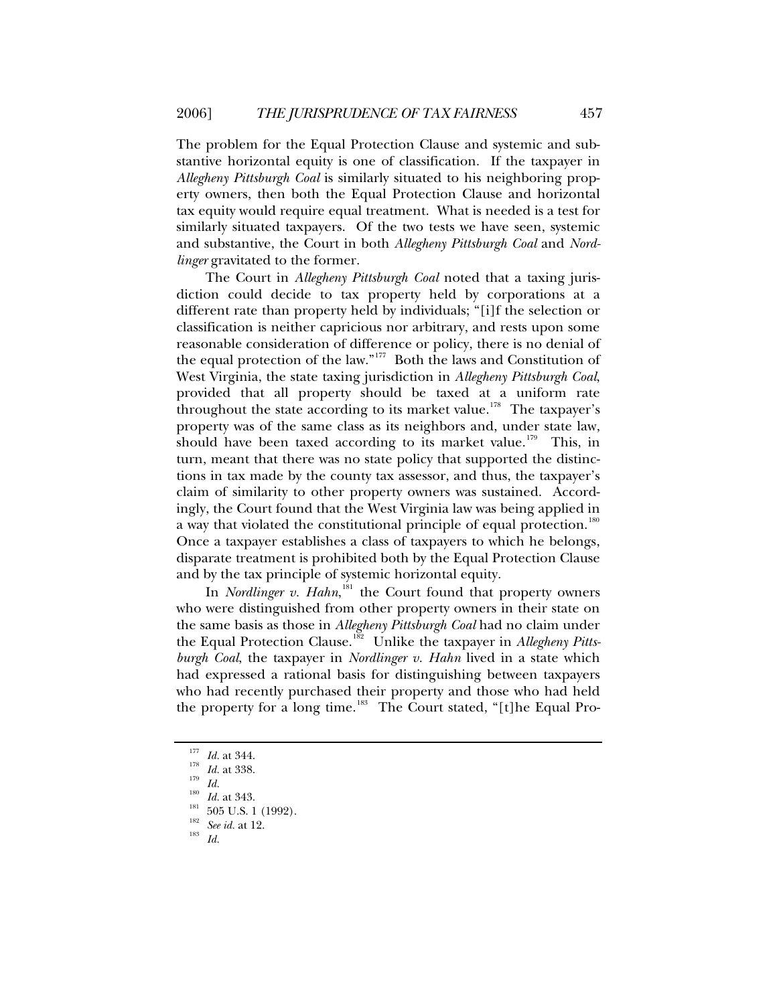The problem for the Equal Protection Clause and systemic and substantive horizontal equity is one of classification. If the taxpayer in *Allegheny Pittsburgh Coal* is similarly situated to his neighboring property owners, then both the Equal Protection Clause and horizontal tax equity would require equal treatment. What is needed is a test for similarly situated taxpayers. Of the two tests we have seen, systemic and substantive, the Court in both *Allegheny Pittsburgh Coal* and *Nordlinger* gravitated to the former.

The Court in *Allegheny Pittsburgh Coal* noted that a taxing jurisdiction could decide to tax property held by corporations at a different rate than property held by individuals; "[i]f the selection or classification is neither capricious nor arbitrary, and rests upon some reasonable consideration of difference or policy, there is no denial of the equal protection of the law."[177](#page-36-0) Both the laws and Constitution of West Virginia, the state taxing jurisdiction in *Allegheny Pittsburgh Coal*, provided that all property should be taxed at a uniform rate throughout the state according to its market value.<sup>[178](#page-36-1)</sup> The taxpayer's property was of the same class as its neighbors and, under state law, should have been taxed according to its market value.<sup>[179](#page-36-2)</sup> This, in turn, meant that there was no state policy that supported the distinctions in tax made by the county tax assessor, and thus, the taxpayer's claim of similarity to other property owners was sustained. Accordingly, the Court found that the West Virginia law was being applied in a way that violated the constitutional principle of equal protection.<sup>[180](#page-36-3)</sup> Once a taxpayer establishes a class of taxpayers to which he belongs, disparate treatment is prohibited both by the Equal Protection Clause and by the tax principle of systemic horizontal equity.

In *Nordlinger v. Hahn*,<sup>[181](#page-36-4)</sup> the Court found that property owners who were distinguished from other property owners in their state on the same basis as those in *Allegheny Pittsburgh Coal* had no claim under the Equal Protection Clause.[182](#page-36-5) Unlike the taxpayer in *Allegheny Pittsburgh Coal*, the taxpayer in *Nordlinger v. Hahn* lived in a state which had expressed a rational basis for distinguishing between taxpayers who had recently purchased their property and those who had held the property for a long time.<sup>[183](#page-36-6)</sup> The Court stated, "[t]he Equal Pro-

<span id="page-36-3"></span><span id="page-36-2"></span><span id="page-36-1"></span><span id="page-36-0"></span>

<sup>177</sup> *Id.* at 344.<br>
179 *Id.* at 338.<br>
180 *Id.* at 343.<br>
181 505 U.S. 1 (1992).<br>
182 *See id.* at 12.<br>
183 *Id.* 

<span id="page-36-6"></span><span id="page-36-5"></span><span id="page-36-4"></span>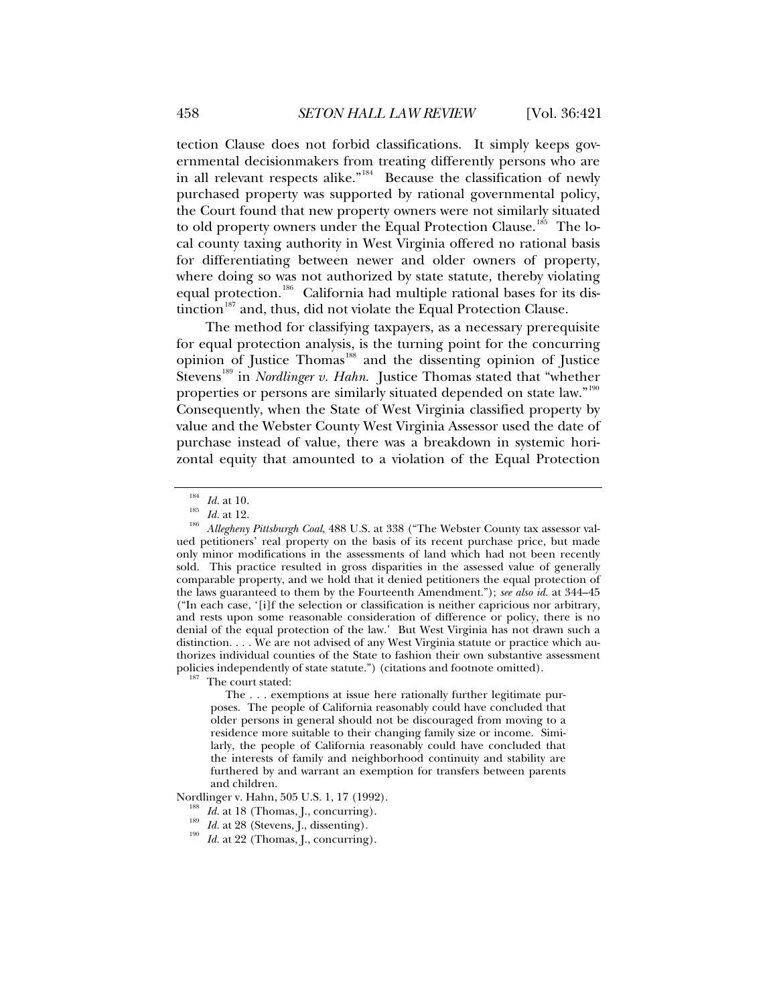tection Clause does not forbid classifications. It simply keeps governmental decisionmakers from treating differently persons who are in all relevant respects alike."<sup>[184](#page-37-0)</sup> Because the classification of newly purchased property was supported by rational governmental policy, the Court found that new property owners were not similarly situated

to old property owners under the Equal Protection Clause.<sup>[185](#page-37-1)</sup> The local county taxing authority in West Virginia offered no rational basis for differentiating between newer and older owners of property, where doing so was not authorized by state statute, thereby violating equal protection.<sup>[186](#page-37-2)</sup> California had multiple rational bases for its dis-tinction<sup>[187](#page-37-3)</sup> and, thus, did not violate the Equal Protection Clause.

The method for classifying taxpayers, as a necessary prerequisite for equal protection analysis, is the turning point for the concurring opinion of Justice Thomas<sup>[188](#page-37-4)</sup> and the dissenting opinion of Justice Stevens<sup>[189](#page-37-5)</sup> in *Nordlinger v. Hahn*. Justice Thomas stated that "whether properties or persons are similarly situated depended on state law."<sup>[190](#page-37-6)</sup> Consequently, when the State of West Virginia classified property by value and the Webster County West Virginia Assessor used the date of purchase instead of value, there was a breakdown in systemic horizontal equity that amounted to a violation of the Equal Protection

<span id="page-37-3"></span>

 The . . . exemptions at issue here rationally further legitimate purposes. The people of California reasonably could have concluded that older persons in general should not be discouraged from moving to a residence more suitable to their changing family size or income. Similarly, the people of California reasonably could have concluded that the interests of family and neighborhood continuity and stability are furthered by and warrant an exemption for transfers between parents and children.

<span id="page-37-6"></span><span id="page-37-5"></span><span id="page-37-4"></span>Nordlinger v. Hahn, 505 U.S. 1, 17 (1992).<br><sup>188</sup> *Id.* at 18 (Thomas, J., concurring).<br><sup>189</sup> *Id.* at 28 (Stevens, J., dissenting).<br>*Id.* at 22 (Thomas, J., concurring).

<span id="page-37-2"></span><span id="page-37-1"></span><span id="page-37-0"></span><sup>&</sup>lt;sup>184</sup> Id. at 10.<br><sup>185</sup> Id. at 12.<br><sup>186</sup> Allegheny Pittsburgh Coal, 488 U.S. at 338 ("The Webster County tax assessor valued petitioners' real property on the basis of its recent purchase price, but made only minor modifications in the assessments of land which had not been recently sold. This practice resulted in gross disparities in the assessed value of generally comparable property, and we hold that it denied petitioners the equal protection of the laws guaranteed to them by the Fourteenth Amendment."); *see also id.* at 344–45 ("In each case, '[i]f the selection or classification is neither capricious nor arbitrary, and rests upon some reasonable consideration of difference or policy, there is no denial of the equal protection of the law.' But West Virginia has not drawn such a distinction. . . . We are not advised of any West Virginia statute or practice which authorizes individual counties of the State to fashion their own substantive assessment policies independently of state statute.") (citations and footnote omitted).  $187$  The court stated: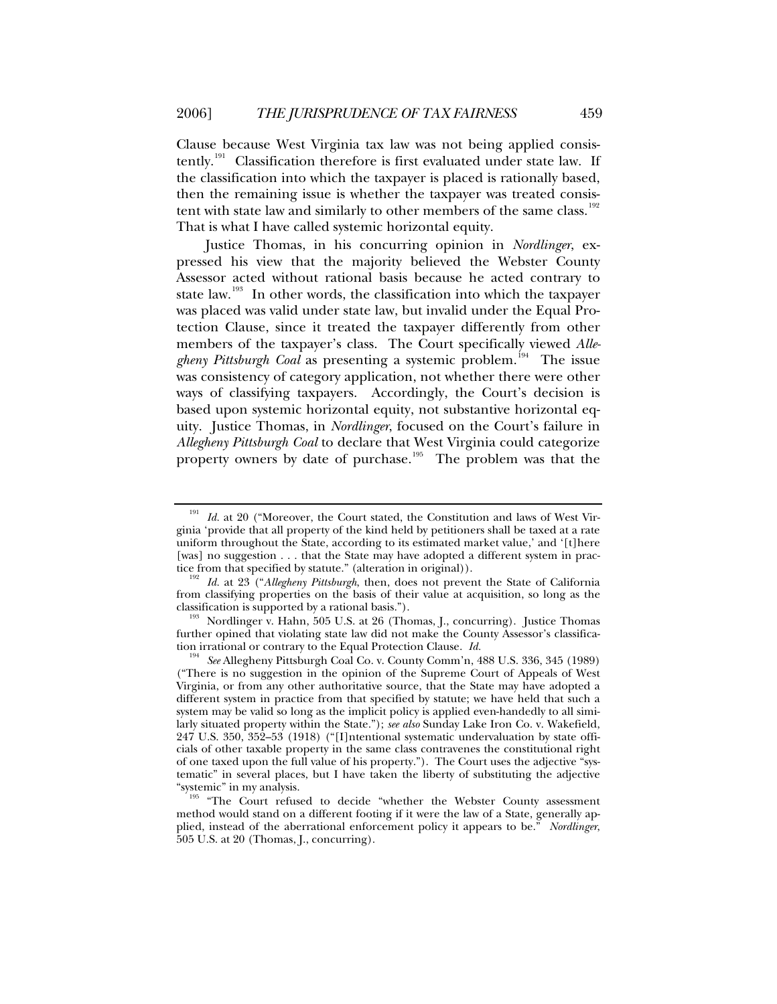Clause because West Virginia tax law was not being applied consis-tently.<sup>[191](#page-38-0)</sup> Classification therefore is first evaluated under state law. If the classification into which the taxpayer is placed is rationally based, then the remaining issue is whether the taxpayer was treated consis-tent with state law and similarly to other members of the same class.<sup>[192](#page-38-1)</sup> That is what I have called systemic horizontal equity.

Justice Thomas, in his concurring opinion in *Nordlinger*, expressed his view that the majority believed the Webster County Assessor acted without rational basis because he acted contrary to state law.<sup>[193](#page-38-2)</sup> In other words, the classification into which the taxpayer was placed was valid under state law, but invalid under the Equal Protection Clause, since it treated the taxpayer differently from other members of the taxpayer's class. The Court specifically viewed *Allegheny Pittsburgh Coal* as presenting a systemic problem.<sup>[194](#page-38-3)</sup> The issue was consistency of category application, not whether there were other ways of classifying taxpayers. Accordingly, the Court's decision is based upon systemic horizontal equity, not substantive horizontal equity. Justice Thomas, in *Nordlinger*, focused on the Court's failure in *Allegheny Pittsburgh Coal* to declare that West Virginia could categorize property owners by date of purchase.<sup>[195](#page-38-4)</sup> The problem was that the

<span id="page-38-2"></span>further opined that violating state law did not make the County Assessor's classifica-<br>tion irrational or contrary to the Equal Protection Clause.  $Id$ .

<span id="page-38-0"></span>Id. at 20 ("Moreover, the Court stated, the Constitution and laws of West Virginia 'provide that all property of the kind held by petitioners shall be taxed at a rate uniform throughout the State, according to its estimated market value,' and '[t]here [was] no suggestion . . . that the State may have adopted a different system in prac-<br>tice from that specified by statute." (alteration in original)).

<span id="page-38-1"></span><sup>&</sup>lt;sup>192</sup> Id. at 23 ("Allegheny Pittsburgh, then, does not prevent the State of California from classifying properties on the basis of their value at acquisition, so long as the classification is supported by a rational basis.").<br><sup>193</sup> Nordlinger v. Hahn, 505 U.S. at 26 (Thomas, J., concurring). Justice Thomas

<span id="page-38-3"></span><sup>194</sup> See Allegheny Pittsburgh Coal Co. v. County Comm'n, 488 U.S. 336, 345 (1989) ("There is no suggestion in the opinion of the Supreme Court of Appeals of West Virginia, or from any other authoritative source, that the State may have adopted a different system in practice from that specified by statute; we have held that such a system may be valid so long as the implicit policy is applied even-handedly to all similarly situated property within the State."); *see also* Sunday Lake Iron Co. v. Wakefield, 247 U.S. 350, 352–53 (1918) ("[I]ntentional systematic undervaluation by state officials of other taxable property in the same class contravenes the constitutional right of one taxed upon the full value of his property."). The Court uses the adjective "systematic" in several places, but I have taken the liberty of substituting the adjective

<span id="page-38-4"></span><sup>&</sup>quot;The Court refused to decide "whether the Webster County assessment method would stand on a different footing if it were the law of a State, generally applied, instead of the aberrational enforcement policy it appears to be." *Nordlinger*, 505 U.S. at 20 (Thomas, J., concurring).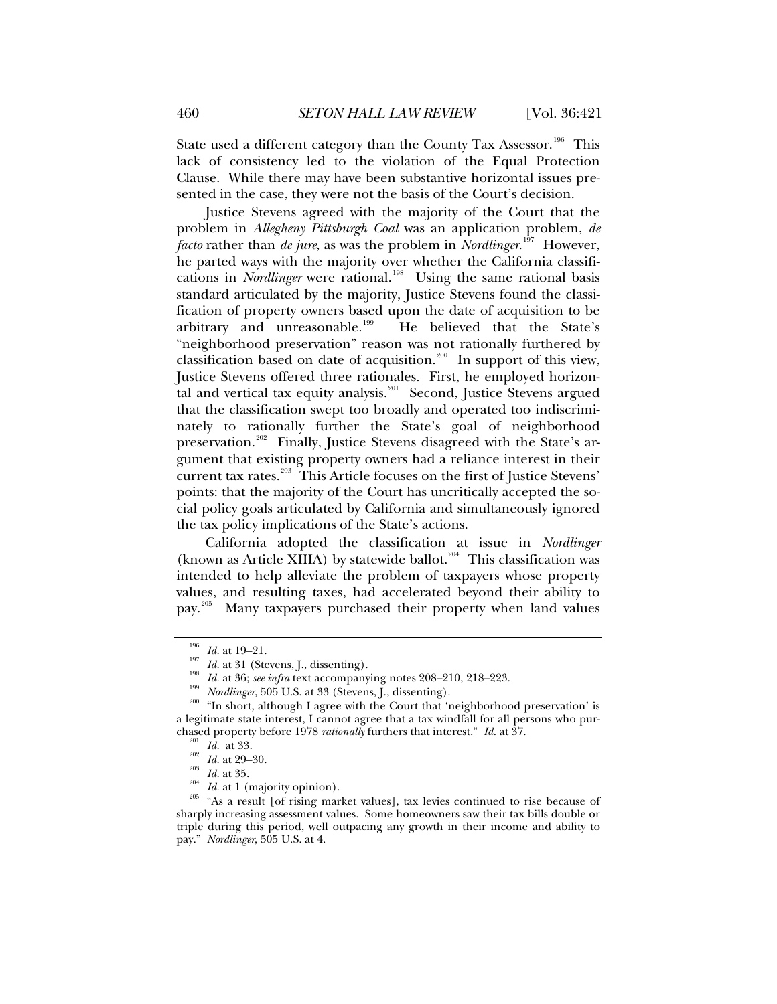State used a different category than the County Tax Assessor.<sup>[196](#page-39-0)</sup> This lack of consistency led to the violation of the Equal Protection Clause. While there may have been substantive horizontal issues presented in the case, they were not the basis of the Court's decision.

Justice Stevens agreed with the majority of the Court that the problem in *Allegheny Pittsburgh Coal* was an application problem, *de facto* rather than *de jure*, as was the problem in *Nordlinger*. [197](#page-39-1) However, he parted ways with the majority over whether the California classifications in *Nordlinger* were rational.<sup>[198](#page-39-2)</sup> Using the same rational basis standard articulated by the majority, Justice Stevens found the classification of property owners based upon the date of acquisition to be arbitrary and unreasonable.<sup>[199](#page-39-3)</sup> He believed that the State's "neighborhood preservation" reason was not rationally furthered by classification based on date of acquisition.<sup>[200](#page-39-4)</sup> In support of this view, Justice Stevens offered three rationales. First, he employed horizon-tal and vertical tax equity analysis.<sup>[201](#page-39-5)</sup> Second, Justice Stevens argued that the classification swept too broadly and operated too indiscriminately to rationally further the State's goal of neighborhood preservation.<sup>[202](#page-39-6)</sup> Finally, Justice Stevens disagreed with the State's argument that existing property owners had a reliance interest in their current tax rates.<sup>[203](#page-39-7)</sup> This Article focuses on the first of Justice Stevens' points: that the majority of the Court has uncritically accepted the social policy goals articulated by California and simultaneously ignored the tax policy implications of the State's actions.

California adopted the classification at issue in *Nordlinger* (known as Article XIIIA) by statewide ballot.<sup>[204](#page-39-8)</sup> This classification was intended to help alleviate the problem of taxpayers whose property values, and resulting taxes, had accelerated beyond their ability to pay.[205](#page-39-9) Many taxpayers purchased their property when land values

<span id="page-39-3"></span><span id="page-39-2"></span><span id="page-39-1"></span><span id="page-39-0"></span><sup>&</sup>lt;sup>196</sup> *Id.* at 19–21.<br>
<sup>197</sup> *Id.* at 31 (Stevens, J., dissenting).<br>
<sup>198</sup> *Id.* at 36; *see infra* text accompanying notes 208–210, 218–223.<br>
<sup>199</sup> *Nordlinger*, 505 U.S. at 33 (Stevens, J., dissenting).<br>
<sup>200</sup> "In short a legitimate state interest, I cannot agree that a tax windfall for all persons who pur-<br>chased property before 1978 *rationally* furthers that interest."  $Id$ . at 37.

<span id="page-39-9"></span><span id="page-39-8"></span><span id="page-39-7"></span><span id="page-39-6"></span><span id="page-39-5"></span><span id="page-39-4"></span><sup>&</sup>lt;sup>201</sup> *Id.* at 33.<br><sup>202</sup> *Id.* at 29–30.<br><sup>203</sup> *Id.* at 35.<br><sup>204</sup> *Id.* at 1 (majority opinion).<br><sup>205</sup> "As a result [of rising market values], tax levies continued to rise because of sharply increasing assessment values. Some homeowners saw their tax bills double or triple during this period, well outpacing any growth in their income and ability to pay." *Nordlinger*, 505 U.S. at 4.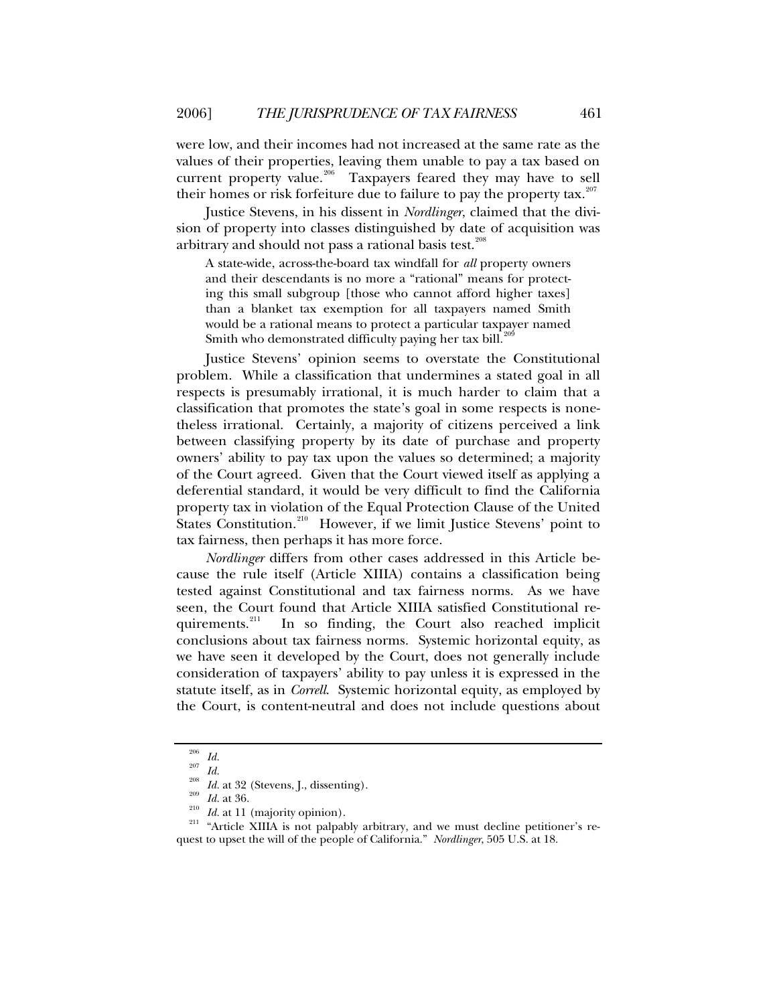were low, and their incomes had not increased at the same rate as the values of their properties, leaving them unable to pay a tax based on current property value.<sup>[206](#page-40-0)</sup> Taxpayers feared they may have to sell their homes or risk forfeiture due to failure to pay the property tax. $207$ 

Justice Stevens, in his dissent in *Nordlinger*, claimed that the division of property into classes distinguished by date of acquisition was arbitrary and should not pass a rational basis test.<sup>[208](#page-40-2)</sup>

A state-wide, across-the-board tax windfall for *all* property owners and their descendants is no more a "rational" means for protecting this small subgroup [those who cannot afford higher taxes] than a blanket tax exemption for all taxpayers named Smith would be a rational means to protect a particular taxpayer named Smith who demonstrated difficulty paying her tax bill.<sup>[209](#page-40-3)</sup>

Justice Stevens' opinion seems to overstate the Constitutional problem. While a classification that undermines a stated goal in all respects is presumably irrational, it is much harder to claim that a classification that promotes the state's goal in some respects is nonetheless irrational. Certainly, a majority of citizens perceived a link between classifying property by its date of purchase and property owners' ability to pay tax upon the values so determined; a majority of the Court agreed. Given that the Court viewed itself as applying a deferential standard, it would be very difficult to find the California property tax in violation of the Equal Protection Clause of the United States Constitution.<sup>[210](#page-40-4)</sup> However, if we limit Justice Stevens' point to tax fairness, then perhaps it has more force.

*Nordlinger* differs from other cases addressed in this Article because the rule itself (Article XIIIA) contains a classification being tested against Constitutional and tax fairness norms. As we have seen, the Court found that Article XIIIA satisfied Constitutional requirements.<sup>211</sup> In so finding, the Court also reached implicit In so finding, the Court also reached implicit conclusions about tax fairness norms. Systemic horizontal equity, as we have seen it developed by the Court, does not generally include consideration of taxpayers' ability to pay unless it is expressed in the statute itself, as in *Correll*. Systemic horizontal equity, as employed by the Court, is content-neutral and does not include questions about

<span id="page-40-5"></span>

<span id="page-40-4"></span><span id="page-40-3"></span><span id="page-40-2"></span><span id="page-40-1"></span><span id="page-40-0"></span><sup>&</sup>lt;sup>206</sup> *Id.*<br><sup>208</sup> *Id.* at 32 (Stevens, J., dissenting).<br><sup>209</sup> *Id.* at 36.<br><sup>210</sup> *Id.* at 11 (majority opinion).<br><sup>211</sup> "Article XIIIA is not palpably arbitrary, and we must decline petitioner's request to upset the will of the people of California." *Nordlinger*, 505 U.S. at 18.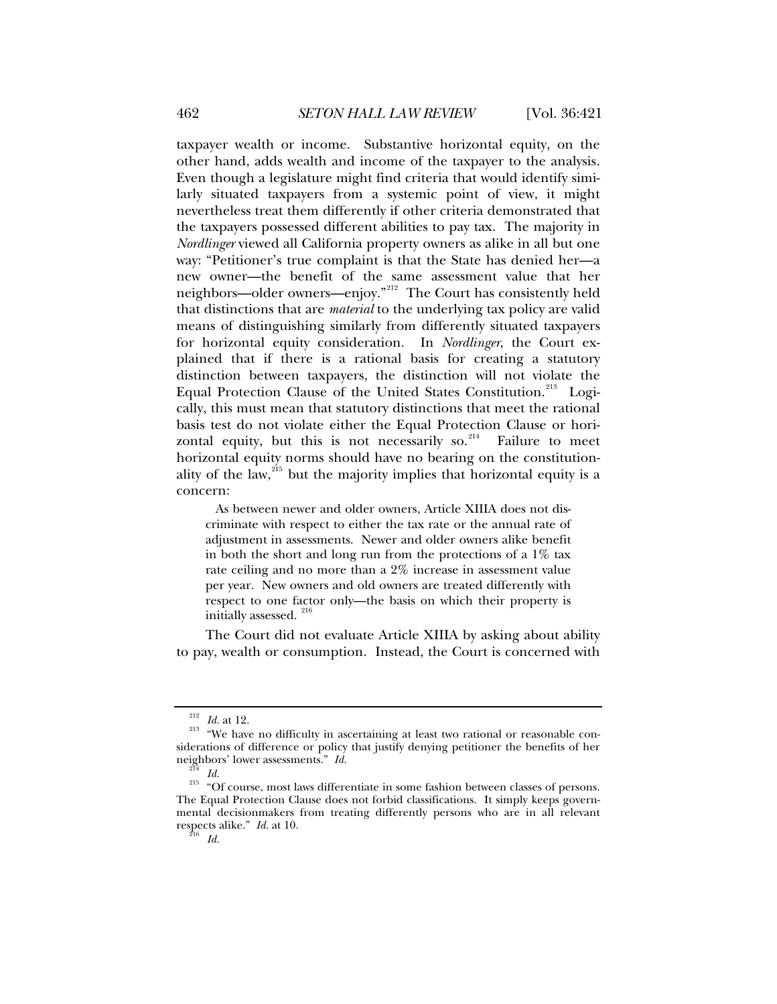taxpayer wealth or income. Substantive horizontal equity, on the other hand, adds wealth and income of the taxpayer to the analysis. Even though a legislature might find criteria that would identify similarly situated taxpayers from a systemic point of view, it might nevertheless treat them differently if other criteria demonstrated that the taxpayers possessed different abilities to pay tax. The majority in *Nordlinger* viewed all California property owners as alike in all but one way: "Petitioner's true complaint is that the State has denied her—a new owner—the benefit of the same assessment value that her neighbors—older owners—enjoy."<sup>[212](#page-41-0)</sup> The Court has consistently held that distinctions that are *material* to the underlying tax policy are valid means of distinguishing similarly from differently situated taxpayers for horizontal equity consideration. In *Nordlinger*, the Court explained that if there is a rational basis for creating a statutory distinction between taxpayers, the distinction will not violate the Equal Protection Clause of the United States Constitution.<sup>[213](#page-41-1)</sup> Logically, this must mean that statutory distinctions that meet the rational basis test do not violate either the Equal Protection Clause or horizontal equity, but this is not necessarily so. $^{214}$  $^{214}$  $^{214}$  Failure to meet

horizontal equity norms should have no bearing on the constitution-ality of the law,<sup>[215](#page-41-3)</sup> but the majority implies that horizontal equity is a concern:

 As between newer and older owners, Article XIIIA does not discriminate with respect to either the tax rate or the annual rate of adjustment in assessments. Newer and older owners alike benefit in both the short and long run from the protections of a  $1\%$  tax rate ceiling and no more than a 2% increase in assessment value per year. New owners and old owners are treated differently with respect to one factor only—the basis on which their property is initially assessed.<sup>[216](#page-41-4)</sup>

The Court did not evaluate Article XIIIA by asking about ability to pay, wealth or consumption. Instead, the Court is concerned with

<span id="page-41-1"></span><span id="page-41-0"></span><sup>&</sup>lt;sup>212</sup> *Id.* at 12.<br><sup>213</sup> "We have no difficulty in ascertaining at least two rational or reasonable considerations of difference or policy that justify denying petitioner the benefits of her

<span id="page-41-4"></span><span id="page-41-3"></span><span id="page-41-2"></span>neighbors' lower assessments." *Id.* <sup>214</sup> *Id.* <sup>215</sup> *Id.* <sup>215</sup> "Of course, most laws differentiate in some fashion between classes of persons. The Equal Protection Clause does not forbid classifications. It simply keeps governmental decisionmakers from treating differently persons who are in all relevant respects alike." *Id.* at 10. 216 *Id.*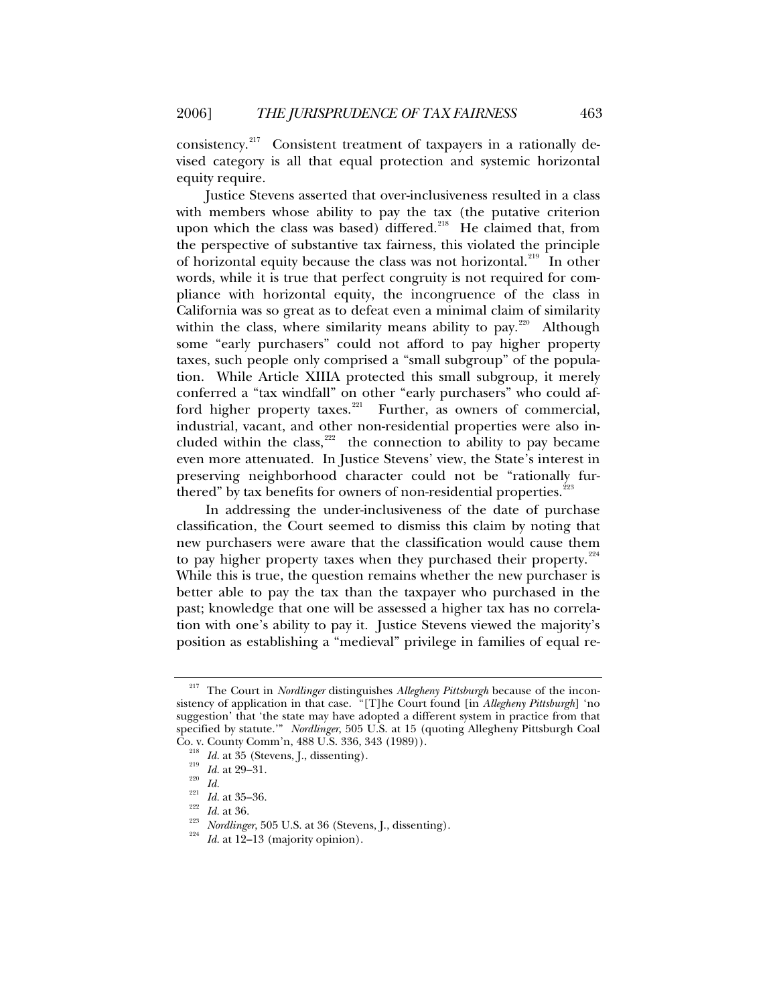consistency.<sup>[217](#page-42-0)</sup> Consistent treatment of taxpayers in a rationally devised category is all that equal protection and systemic horizontal equity require.

Justice Stevens asserted that over-inclusiveness resulted in a class with members whose ability to pay the tax (the putative criterion upon which the class was based) differed.<sup>[218](#page-42-1)</sup> He claimed that, from the perspective of substantive tax fairness, this violated the principle of horizontal equity because the class was not horizontal.<sup>[219](#page-42-2)</sup> In other words, while it is true that perfect congruity is not required for compliance with horizontal equity, the incongruence of the class in California was so great as to defeat even a minimal claim of similarity within the class, where similarity means ability to pay. $220$  Although some "early purchasers" could not afford to pay higher property taxes, such people only comprised a "small subgroup" of the population. While Article XIIIA protected this small subgroup, it merely conferred a "tax windfall" on other "early purchasers" who could af-ford higher property taxes.<sup>[221](#page-42-4)</sup> Further, as owners of commercial, industrial, vacant, and other non-residential properties were also included within the class,  $222$  the connection to ability to pay became even more attenuated. In Justice Stevens' view, the State's interest in preserving neighborhood character could not be "rationally fur-thered" by tax benefits for owners of non-residential properties.<sup>[223](#page-42-6)</sup>

In addressing the under-inclusiveness of the date of purchase classification, the Court seemed to dismiss this claim by noting that new purchasers were aware that the classification would cause them to pay higher property taxes when they purchased their property. $224$ While this is true, the question remains whether the new purchaser is better able to pay the tax than the taxpayer who purchased in the past; knowledge that one will be assessed a higher tax has no correlation with one's ability to pay it. Justice Stevens viewed the majority's position as establishing a "medieval" privilege in families of equal re-

<span id="page-42-0"></span><sup>217</sup> The Court in *Nordlinger* distinguishes *Allegheny Pittsburgh* because of the inconsistency of application in that case. "[T]he Court found [in *Allegheny Pittsburgh*] 'no suggestion' that 'the state may have adopted a different system in practice from that specified by statute.'" *Nordlinger*, 505 U.S. at 15 (quoting Allegheny Pittsburgh Coal

<span id="page-42-7"></span><span id="page-42-6"></span><span id="page-42-5"></span>

<span id="page-42-4"></span><span id="page-42-3"></span><span id="page-42-2"></span><span id="page-42-1"></span>Co. v. County Comm'n, 488 U.S. 336, 343 (1989)).<br>
<sup>218</sup> *Id.* at 35 (Stevens, J., dissenting).<br>
<sup>219</sup> *Id.* at 29–31.<br> *Id.* at 35–36.<br>
<sup>221</sup> *Id.* at 36.<br>
<sup>222</sup> *Id.* at 36.<br>
<sup>223</sup> *Nordlinger*, 505 U.S. at 36 (Stevens,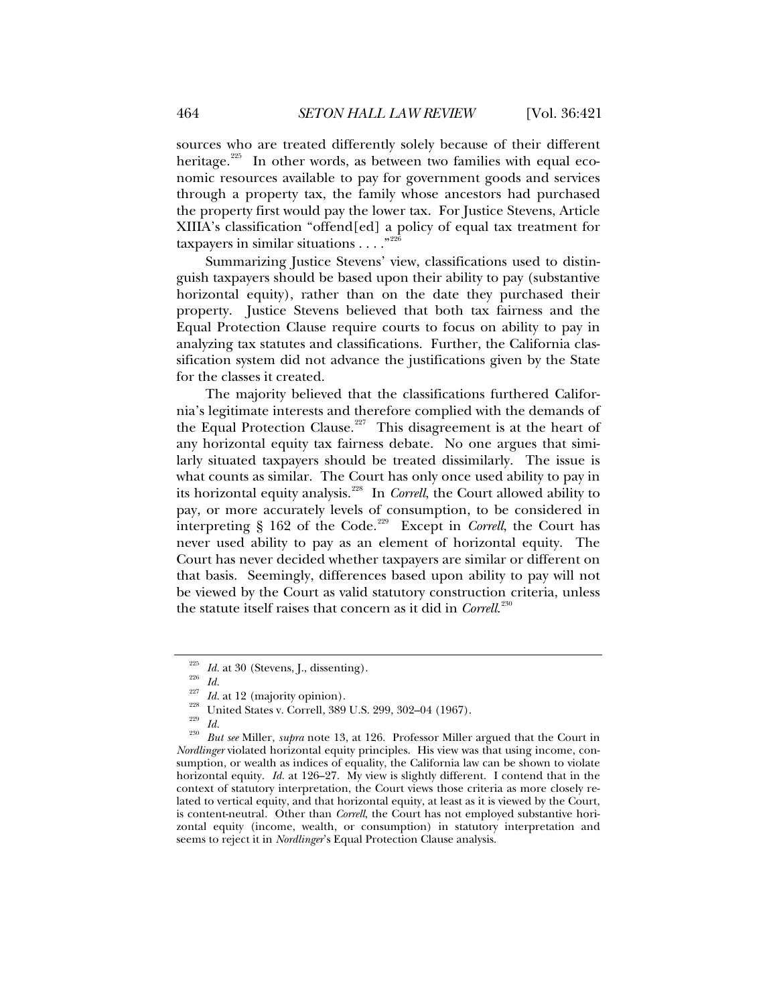sources who are treated differently solely because of their different heritage.<sup>[225](#page-43-0)</sup> In other words, as between two families with equal economic resources available to pay for government goods and services through a property tax, the family whose ancestors had purchased

the property first would pay the lower tax. For Justice Stevens, Article XIIIA's classification "offend[ed] a policy of equal tax treatment for taxpayers in similar situations  $\dots$ ."<sup>22</sup>

Summarizing Justice Stevens' view, classifications used to distinguish taxpayers should be based upon their ability to pay (substantive horizontal equity), rather than on the date they purchased their property. Justice Stevens believed that both tax fairness and the Equal Protection Clause require courts to focus on ability to pay in analyzing tax statutes and classifications. Further, the California classification system did not advance the justifications given by the State for the classes it created.

The majority believed that the classifications furthered California's legitimate interests and therefore complied with the demands of the Equal Protection Clause.<sup>[227](#page-43-2)</sup> This disagreement is at the heart of any horizontal equity tax fairness debate. No one argues that similarly situated taxpayers should be treated dissimilarly. The issue is what counts as similar. The Court has only once used ability to pay in its horizontal equity analysis.[228](#page-43-3) In *Correll*, the Court allowed ability to pay, or more accurately levels of consumption, to be considered in interpreting § 162 of the Code.<sup>[229](#page-43-4)</sup> Except in *Correll*, the Court has never used ability to pay as an element of horizontal equity. The Court has never decided whether taxpayers are similar or different on that basis. Seemingly, differences based upon ability to pay will not be viewed by the Court as valid statutory construction criteria, unless the statute itself raises that concern as it did in *Correll*. [230](#page-43-5)

<span id="page-43-5"></span>

<span id="page-43-4"></span><span id="page-43-3"></span><span id="page-43-2"></span><span id="page-43-1"></span><span id="page-43-0"></span><sup>&</sup>lt;sup>225</sup> *Id.* at 30 (Stevens, J., dissenting).<br>
<sup>226</sup> *Id. Id.* at 12 (majority opinion).<br>
<sup>227</sup> *Id.* at 12 (majority opinion).<br>
<sup>228</sup> *Id.*<br> *Id.*<br> *But see Miller, <i>supra* note 13, at 126. Professor Miller argued that *Nordlinger* violated horizontal equity principles. His view was that using income, consumption, or wealth as indices of equality, the California law can be shown to violate horizontal equity. *Id.* at 126–27. My view is slightly different. I contend that in the context of statutory interpretation, the Court views those criteria as more closely related to vertical equity, and that horizontal equity, at least as it is viewed by the Court, is content-neutral. Other than *Correll*, the Court has not employed substantive horizontal equity (income, wealth, or consumption) in statutory interpretation and seems to reject it in *Nordlinger*'s Equal Protection Clause analysis.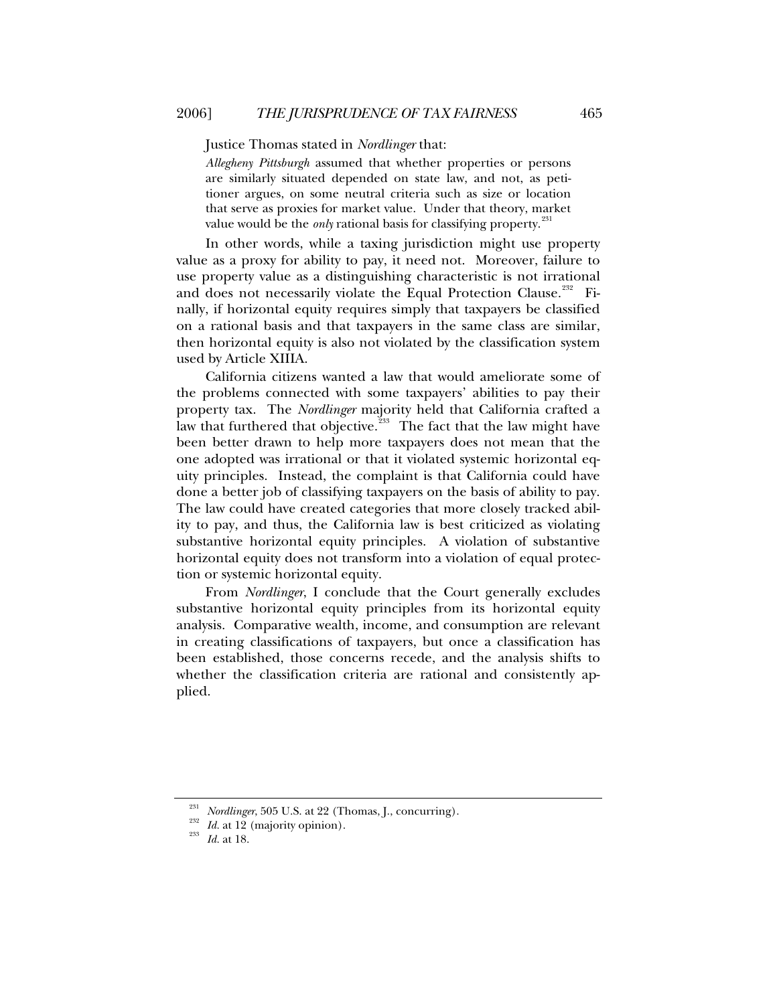Justice Thomas stated in *Nordlinger* that:

*Allegheny Pittsburgh* assumed that whether properties or persons are similarly situated depended on state law, and not, as petitioner argues, on some neutral criteria such as size or location that serve as proxies for market value. Under that theory, market value would be the *only* rational basis for classifying property.<sup>23</sup>

In other words, while a taxing jurisdiction might use property value as a proxy for ability to pay, it need not. Moreover, failure to use property value as a distinguishing characteristic is not irrational and does not necessarily violate the Equal Protection Clause.<sup>[232](#page-44-1)</sup> Finally, if horizontal equity requires simply that taxpayers be classified on a rational basis and that taxpayers in the same class are similar, then horizontal equity is also not violated by the classification system used by Article XIIIA.

California citizens wanted a law that would ameliorate some of the problems connected with some taxpayers' abilities to pay their property tax. The *Nordlinger* majority held that California crafted a law that furthered that objective.<sup>[233](#page-44-2)</sup> The fact that the law might have been better drawn to help more taxpayers does not mean that the one adopted was irrational or that it violated systemic horizontal equity principles. Instead, the complaint is that California could have done a better job of classifying taxpayers on the basis of ability to pay. The law could have created categories that more closely tracked ability to pay, and thus, the California law is best criticized as violating substantive horizontal equity principles. A violation of substantive horizontal equity does not transform into a violation of equal protection or systemic horizontal equity.

From *Nordlinger*, I conclude that the Court generally excludes substantive horizontal equity principles from its horizontal equity analysis. Comparative wealth, income, and consumption are relevant in creating classifications of taxpayers, but once a classification has been established, those concerns recede, and the analysis shifts to whether the classification criteria are rational and consistently applied.

<span id="page-44-2"></span><span id="page-44-1"></span><span id="page-44-0"></span><sup>231</sup> *Nordlinger*, 505 U.S. at 22 (Thomas, J., concurring). 232 *Id.* at 12 (majority opinion). 233 *Id.* at 18.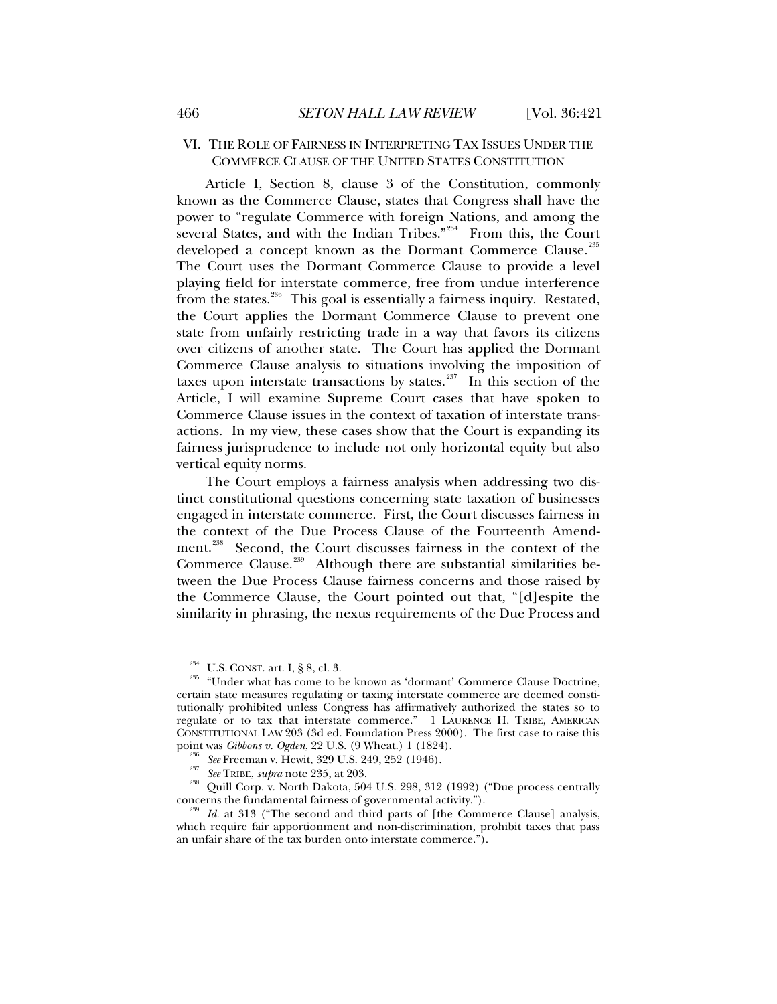# <span id="page-45-0"></span>VI. THE ROLE OF FAIRNESS IN INTERPRETING TAX ISSUES UNDER THE COMMERCE CLAUSE OF THE UNITED STATES CONSTITUTION

Article I, Section 8, clause 3 of the Constitution, commonly known as the Commerce Clause, states that Congress shall have the power to "regulate Commerce with foreign Nations, and among the several States, and with the Indian Tribes."<sup>[234](#page-45-1)</sup> From this, the Court developed a concept known as the Dormant Commerce Clause.<sup>[235](#page-45-2)</sup> The Court uses the Dormant Commerce Clause to provide a level playing field for interstate commerce, free from undue interference from the states.<sup>[236](#page-45-3)</sup> This goal is essentially a fairness inquiry. Restated, the Court applies the Dormant Commerce Clause to prevent one state from unfairly restricting trade in a way that favors its citizens over citizens of another state. The Court has applied the Dormant Commerce Clause analysis to situations involving the imposition of taxes upon interstate transactions by states.<sup>[237](#page-45-4)</sup> In this section of the Article, I will examine Supreme Court cases that have spoken to Commerce Clause issues in the context of taxation of interstate transactions. In my view, these cases show that the Court is expanding its fairness jurisprudence to include not only horizontal equity but also vertical equity norms.

The Court employs a fairness analysis when addressing two distinct constitutional questions concerning state taxation of businesses engaged in interstate commerce. First, the Court discusses fairness in the context of the Due Process Clause of the Fourteenth Amend-ment.<sup>[238](#page-45-5)</sup> Second, the Court discusses fairness in the context of the Commerce Clause.<sup>[239](#page-45-6)</sup> Although there are substantial similarities between the Due Process Clause fairness concerns and those raised by the Commerce Clause, the Court pointed out that, "[d]espite the similarity in phrasing, the nexus requirements of the Due Process and

<span id="page-45-2"></span><span id="page-45-1"></span><sup>&</sup>lt;sup>234</sup> U.S. CONST. art. I, § 8, cl. 3. <sup>235</sup> "Under what has come to be known as 'dormant' Commerce Clause Doctrine, certain state measures regulating or taxing interstate commerce are deemed constitutionally prohibited unless Congress has affirmatively authorized the states so to regulate or to tax that interstate commerce." 1 LAURENCE H. TRIBE, AMERICAN CONSTITUTIONAL LAW 203 (3d ed. Foundation Press 2000). The first case to raise this point was *Gibbons v. Ogden*, 22 U.S. (9 Wheat.) 1 (1824).

<span id="page-45-4"></span><span id="page-45-3"></span><sup>&</sup>lt;sup>236</sup> See Freeman v. Hewit, 329 U.S. 249, 252 (1946).<br><sup>237</sup> See TRIBE, *supra* note 235, at 203.<br><sup>238</sup> Quill Corp. v. North Dakota, 504 U.S. 298, 312 (1992) ("Due process centrally concerns the fundamental fairness of gov

<span id="page-45-6"></span><span id="page-45-5"></span><sup>&</sup>lt;sup>239</sup> Id. at 313 ("The second and third parts of [the Commerce Clause] analysis, which require fair apportionment and non-discrimination, prohibit taxes that pass an unfair share of the tax burden onto interstate commerce.").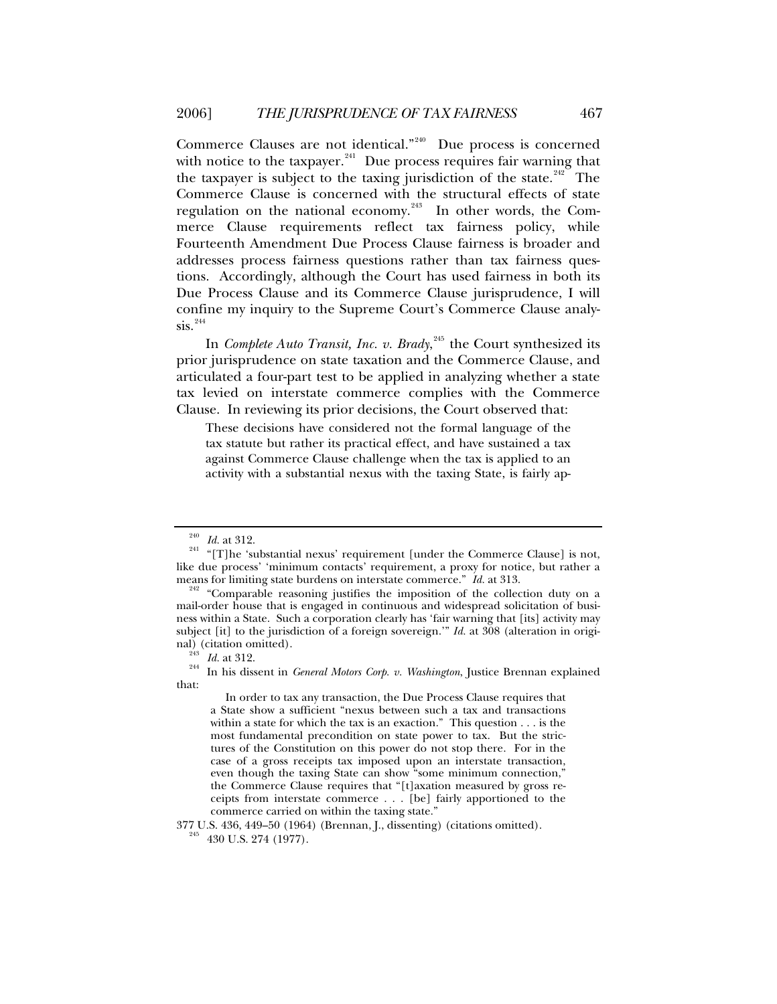Commerce Clauses are not identical."<sup>[240](#page-46-0)</sup> Due process is concerned with notice to the taxpayer. $241$  Due process requires fair warning that the taxpayer is subject to the taxing jurisdiction of the state.<sup>[242](#page-46-2)</sup> The Commerce Clause is concerned with the structural effects of state regulation on the national economy.<sup>[243](#page-46-3)</sup> In other words, the Commerce Clause requirements reflect tax fairness policy, while Fourteenth Amendment Due Process Clause fairness is broader and addresses process fairness questions rather than tax fairness questions. Accordingly, although the Court has used fairness in both its Due Process Clause and its Commerce Clause jurisprudence, I will confine my inquiry to the Supreme Court's Commerce Clause analy- $\sin^{244}$  $\sin^{244}$  $\sin^{244}$ 

In *Complete Auto Transit, Inc. v. Brady*, [245](#page-46-5) the Court synthesized its prior jurisprudence on state taxation and the Commerce Clause, and articulated a four-part test to be applied in analyzing whether a state tax levied on interstate commerce complies with the Commerce Clause. In reviewing its prior decisions, the Court observed that:

These decisions have considered not the formal language of the tax statute but rather its practical effect, and have sustained a tax against Commerce Clause challenge when the tax is applied to an activity with a substantial nexus with the taxing State, is fairly ap-

 In order to tax any transaction, the Due Process Clause requires that a State show a sufficient "nexus between such a tax and transactions within a state for which the tax is an exaction." This question . . . is the most fundamental precondition on state power to tax. But the strictures of the Constitution on this power do not stop there. For in the case of a gross receipts tax imposed upon an interstate transaction, even though the taxing State can show "some minimum connection," the Commerce Clause requires that "[t]axation measured by gross receipts from interstate commerce . . . [be] fairly apportioned to the commerce carried on within the taxing state."

<span id="page-46-5"></span> $377$  U.S.  $436, \, 449$  –  $50$  (1964) (Brennan, J., dissenting) (citations omitted).  $^{245}$  –  $430$  U.S. 274 (1977).

<span id="page-46-1"></span><span id="page-46-0"></span><sup>&</sup>lt;sup>240</sup> *Id.* at 312. <sup>241</sup> "[T]he 'substantial nexus' requirement [under the Commerce Clause] is not, like due process' 'minimum contacts' requirement, a proxy for notice, but rather a means for limiting state burdens on interstate commerce."  $Id$  at 313.

<span id="page-46-2"></span><sup>&</sup>lt;sup>242</sup> "Comparable reasoning justifies the imposition of the collection duty on a mail-order house that is engaged in continuous and widespread solicitation of business within a State. Such a corporation clearly has 'fair warning that [its] activity may subject [it] to the jurisdiction of a foreign sovereign.'" *Id.* at 308 (alteration in original) (citation omitted).<br><sup>243</sup> Id. at 312.<br><sup>244</sup> In his dissent in *General Motors Corp. v. Washington*, Justice Brennan explained

<span id="page-46-4"></span><span id="page-46-3"></span>that: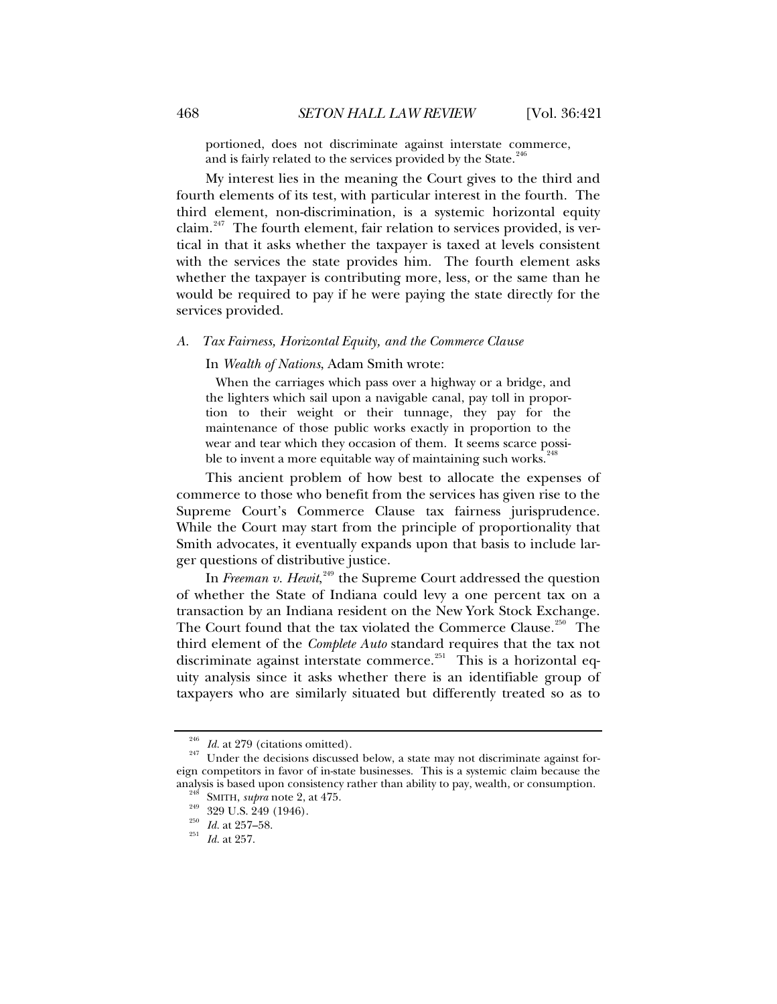<span id="page-47-0"></span>portioned, does not discriminate against interstate commerce, and is fairly related to the services provided by the State.<sup>[246](#page-47-1)</sup>

My interest lies in the meaning the Court gives to the third and fourth elements of its test, with particular interest in the fourth. The third element, non-discrimination, is a systemic horizontal equity claim.<sup>[247](#page-47-2)</sup> The fourth element, fair relation to services provided, is vertical in that it asks whether the taxpayer is taxed at levels consistent with the services the state provides him. The fourth element asks whether the taxpayer is contributing more, less, or the same than he would be required to pay if he were paying the state directly for the services provided.

#### *A. Tax Fairness, Horizontal Equity, and the Commerce Clause*

In *Wealth of Nations*, Adam Smith wrote:

 When the carriages which pass over a highway or a bridge, and the lighters which sail upon a navigable canal, pay toll in proportion to their weight or their tunnage, they pay for the maintenance of those public works exactly in proportion to the wear and tear which they occasion of them. It seems scarce possible to invent a more equitable way of maintaining such works.<sup>24</sup>

This ancient problem of how best to allocate the expenses of commerce to those who benefit from the services has given rise to the Supreme Court's Commerce Clause tax fairness jurisprudence. While the Court may start from the principle of proportionality that Smith advocates, it eventually expands upon that basis to include larger questions of distributive justice.

In *Freeman v. Hewit*,<sup>[249](#page-47-4)</sup> the Supreme Court addressed the question of whether the State of Indiana could levy a one percent tax on a transaction by an Indiana resident on the New York Stock Exchange. The Court found that the tax violated the Commerce Clause.<sup>[250](#page-47-5)</sup> The third element of the *Complete Auto* standard requires that the tax not discriminate against interstate commerce.<sup>[251](#page-47-6)</sup> This is a horizontal equity analysis since it asks whether there is an identifiable group of taxpayers who are similarly situated but differently treated so as to

<span id="page-47-3"></span><span id="page-47-2"></span><span id="page-47-1"></span><sup>&</sup>lt;sup>246</sup> *Id.* at 279 (citations omitted). <sup>247</sup> Under the decisions discussed below, a state may not discriminate against foreign competitors in favor of in-state businesses. This is a systemic claim because the analysis is based upon consistency rather than ability to pay, wealth, or consumption.<br><sup>248</sup> SMITH, *supra* note 2, at 475.<br><sup>249</sup> 329 U.S. 249 (1946).<br><sup>250</sup> *Id.* at 257–58.<br><sup>251</sup> *Id.* at 257.

<span id="page-47-6"></span><span id="page-47-5"></span><span id="page-47-4"></span>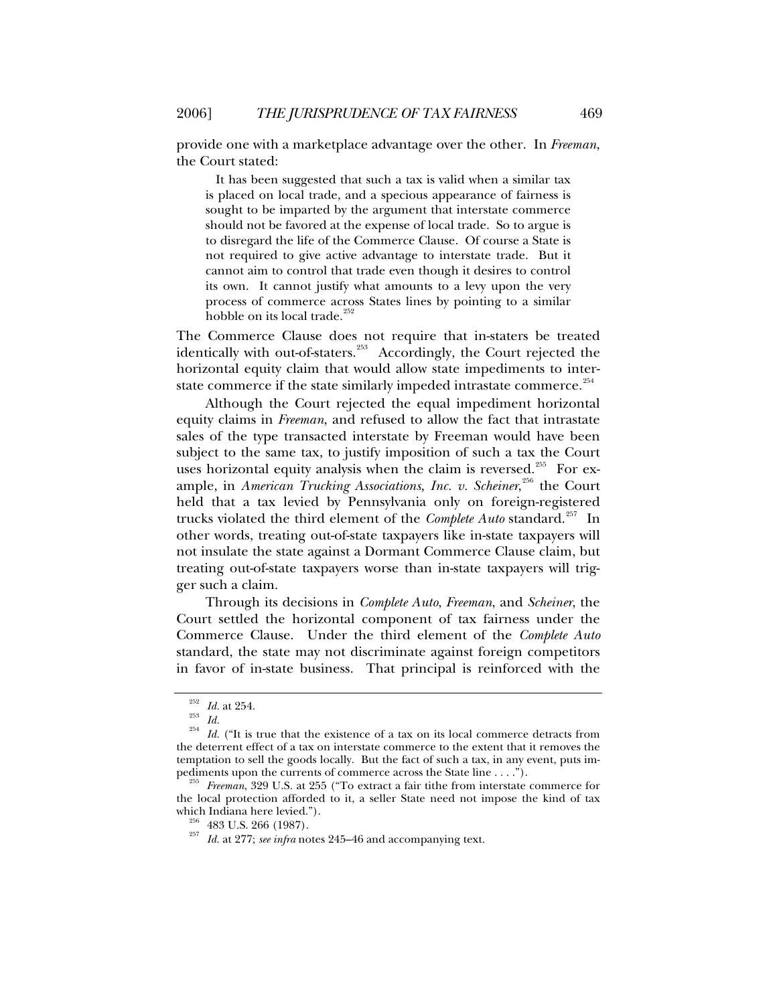provide one with a marketplace advantage over the other. In *Freeman*, the Court stated:

 It has been suggested that such a tax is valid when a similar tax is placed on local trade, and a specious appearance of fairness is sought to be imparted by the argument that interstate commerce should not be favored at the expense of local trade. So to argue is to disregard the life of the Commerce Clause. Of course a State is not required to give active advantage to interstate trade. But it cannot aim to control that trade even though it desires to control its own. It cannot justify what amounts to a levy upon the very process of commerce across States lines by pointing to a similar hobble on its local trade.<sup>[252](#page-48-0)</sup>

The Commerce Clause does not require that in-staters be treated identically with out-of-staters.<sup>[253](#page-48-1)</sup> Accordingly, the Court rejected the horizontal equity claim that would allow state impediments to inter-state commerce if the state similarly impeded intrastate commerce.<sup>[254](#page-48-2)</sup>

Although the Court rejected the equal impediment horizontal equity claims in *Freeman*, and refused to allow the fact that intrastate sales of the type transacted interstate by Freeman would have been subject to the same tax, to justify imposition of such a tax the Court uses horizontal equity analysis when the claim is reversed.<sup>[255](#page-48-3)</sup> For example, in *American Trucking Associations, Inc. v. Scheiner*,<sup>[256](#page-48-4)</sup> the Court held that a tax levied by Pennsylvania only on foreign-registered trucks violated the third element of the *Complete Auto* standard.[257](#page-48-5) In other words, treating out-of-state taxpayers like in-state taxpayers will not insulate the state against a Dormant Commerce Clause claim, but treating out-of-state taxpayers worse than in-state taxpayers will trigger such a claim.

Through its decisions in *Complete Auto*, *Freeman*, and *Scheiner*, the Court settled the horizontal component of tax fairness under the Commerce Clause. Under the third element of the *Complete Auto* standard, the state may not discriminate against foreign competitors in favor of in-state business. That principal is reinforced with the

<span id="page-48-2"></span><span id="page-48-1"></span><span id="page-48-0"></span><sup>252</sup> *Id.* at 254. 253 *Id.* <sup>254</sup> *Id.* ("It is true that the existence of a tax on its local commerce detracts from the deterrent effect of a tax on interstate commerce to the extent that it removes the temptation to sell the goods locally. But the fact of such a tax, in any event, puts impediments upon the currents of commerce across the State line  $\dots$ .").

<span id="page-48-5"></span><span id="page-48-4"></span><span id="page-48-3"></span><sup>&</sup>lt;sup>255</sup> Freeman, 329 U.S. at 255 ("To extract a fair tithe from interstate commerce for the local protection afforded to it, a seller State need not impose the kind of tax

<sup>&</sup>lt;sup>256</sup> 483 U.S. 266 (1987).  $\frac{256}{57}$  *Id.* at 277; *see infra* notes 245–46 and accompanying text.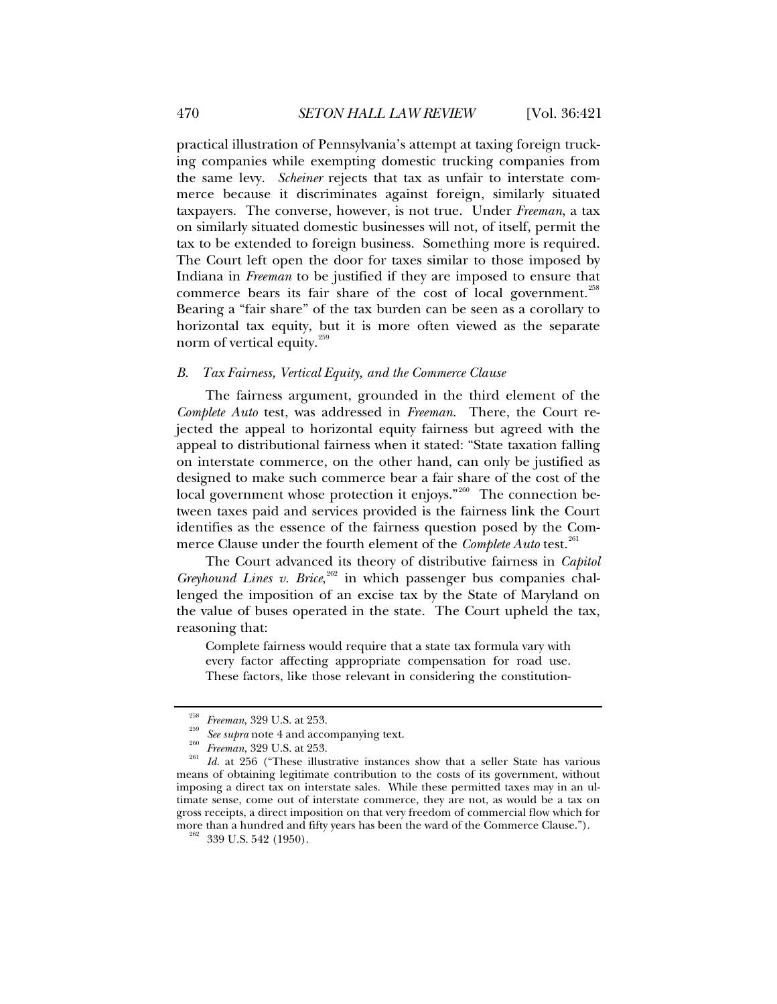<span id="page-49-0"></span>practical illustration of Pennsylvania's attempt at taxing foreign trucking companies while exempting domestic trucking companies from the same levy. *Scheiner* rejects that tax as unfair to interstate commerce because it discriminates against foreign, similarly situated taxpayers. The converse, however, is not true. Under *Freeman*, a tax on similarly situated domestic businesses will not, of itself, permit the tax to be extended to foreign business. Something more is required. The Court left open the door for taxes similar to those imposed by Indiana in *Freeman* to be justified if they are imposed to ensure that commerce bears its fair share of the cost of local government.<sup>[258](#page-49-1)</sup> Bearing a "fair share" of the tax burden can be seen as a corollary to horizontal tax equity, but it is more often viewed as the separate norm of vertical equity.<sup>[259](#page-49-2)</sup>

#### *B. Tax Fairness, Vertical Equity, and the Commerce Clause*

The fairness argument, grounded in the third element of the *Complete Auto* test, was addressed in *Freeman*. There, the Court rejected the appeal to horizontal equity fairness but agreed with the appeal to distributional fairness when it stated: "State taxation falling on interstate commerce, on the other hand, can only be justified as designed to make such commerce bear a fair share of the cost of the local government whose protection it enjoys."<sup>[260](#page-49-3)</sup> The connection between taxes paid and services provided is the fairness link the Court identifies as the essence of the fairness question posed by the Commerce Clause under the fourth element of the *Complete Auto* test.<sup>[261](#page-49-4)</sup>

The Court advanced its theory of distributive fairness in *Capitol*  Greyhound Lines v. Brice,<sup>[262](#page-49-5)</sup> in which passenger bus companies challenged the imposition of an excise tax by the State of Maryland on the value of buses operated in the state. The Court upheld the tax, reasoning that:

Complete fairness would require that a state tax formula vary with every factor affecting appropriate compensation for road use. These factors, like those relevant in considering the constitution-

<span id="page-49-4"></span><span id="page-49-3"></span><span id="page-49-2"></span><span id="page-49-1"></span><sup>&</sup>lt;sup>258</sup> *Freeman*, 329 U.S. at 253.<br><sup>259</sup> See supra note 4 and accompanying text.<br><sup>260</sup> *Freeman*, 329 U.S. at 253.<br><sup>261</sup> Id. at 256 ("These illustrative instances show that a seller State has various means of obtaining legitimate contribution to the costs of its government, without imposing a direct tax on interstate sales. While these permitted taxes may in an ultimate sense, come out of interstate commerce, they are not, as would be a tax on gross receipts, a direct imposition on that very freedom of commercial flow which for more than a hundred and fifty years has been the ward of the Commerce Clause.").  $^{262}$  339 U.S. 542 (1950).

<span id="page-49-5"></span>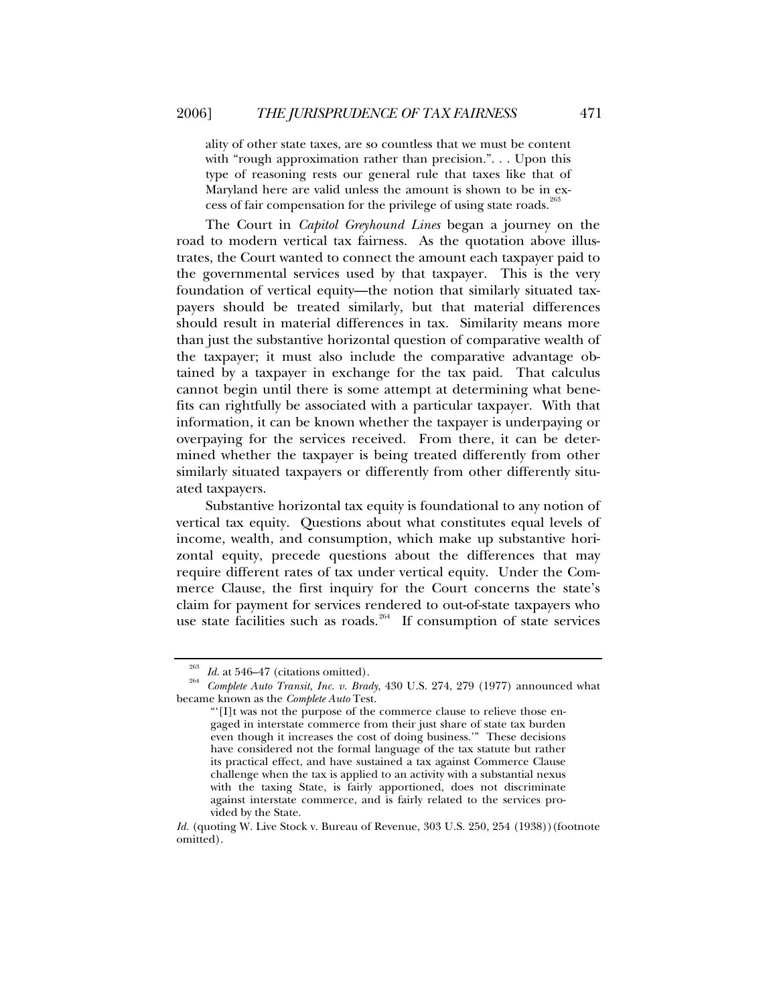ality of other state taxes, are so countless that we must be content with "rough approximation rather than precision.". . . Upon this type of reasoning rests our general rule that taxes like that of Maryland here are valid unless the amount is shown to be in ex-cess of fair compensation for the privilege of using state roads.<sup>[263](#page-50-0)</sup>

The Court in *Capitol Greyhound Lines* began a journey on the road to modern vertical tax fairness. As the quotation above illustrates, the Court wanted to connect the amount each taxpayer paid to the governmental services used by that taxpayer. This is the very foundation of vertical equity—the notion that similarly situated taxpayers should be treated similarly, but that material differences should result in material differences in tax. Similarity means more than just the substantive horizontal question of comparative wealth of the taxpayer; it must also include the comparative advantage obtained by a taxpayer in exchange for the tax paid. That calculus cannot begin until there is some attempt at determining what benefits can rightfully be associated with a particular taxpayer. With that information, it can be known whether the taxpayer is underpaying or overpaying for the services received. From there, it can be determined whether the taxpayer is being treated differently from other similarly situated taxpayers or differently from other differently situated taxpayers.

Substantive horizontal tax equity is foundational to any notion of vertical tax equity. Questions about what constitutes equal levels of income, wealth, and consumption, which make up substantive horizontal equity, precede questions about the differences that may require different rates of tax under vertical equity. Under the Commerce Clause, the first inquiry for the Court concerns the state's claim for payment for services rendered to out-of-state taxpayers who use state facilities such as roads.<sup>[264](#page-50-1)</sup> If consumption of state services

<span id="page-50-1"></span><span id="page-50-0"></span><sup>263</sup> *Id.* at 546–47 (citations omitted). 264 *Complete Auto Transit, Inc. v. Brady*, 430 U.S. 274, 279 (1977) announced what became known as the *Complete Auto* Test.

<sup>&</sup>quot;'[I]t was not the purpose of the commerce clause to relieve those engaged in interstate commerce from their just share of state tax burden even though it increases the cost of doing business.'" These decisions have considered not the formal language of the tax statute but rather its practical effect, and have sustained a tax against Commerce Clause challenge when the tax is applied to an activity with a substantial nexus with the taxing State, is fairly apportioned, does not discriminate against interstate commerce, and is fairly related to the services provided by the State.

*Id.* (quoting W. Live Stock v. Bureau of Revenue, 303 U.S. 250, 254 (1938))(footnote omitted).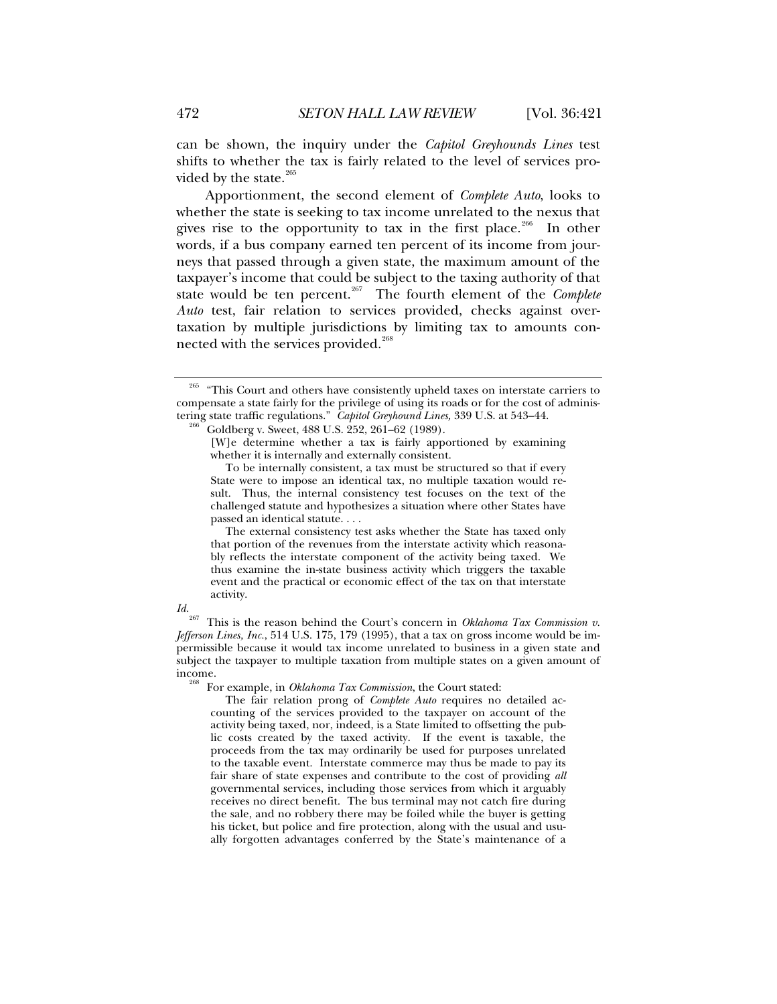can be shown, the inquiry under the *Capitol Greyhounds Lines* test shifts to whether the tax is fairly related to the level of services provided by the state. $265$ 

Apportionment, the second element of *Complete Auto*, looks to whether the state is seeking to tax income unrelated to the nexus that gives rise to the opportunity to tax in the first place.<sup>[266](#page-51-1)</sup> In other words, if a bus company earned ten percent of its income from journeys that passed through a given state, the maximum amount of the taxpayer's income that could be subject to the taxing authority of that state would be ten percent.[267](#page-51-2) The fourth element of the *Complete Auto* test, fair relation to services provided, checks against overtaxation by multiple jurisdictions by limiting tax to amounts con-nected with the services provided.<sup>[268](#page-51-3)</sup>

 The external consistency test asks whether the State has taxed only that portion of the revenues from the interstate activity which reasonably reflects the interstate component of the activity being taxed. We thus examine the in-state business activity which triggers the taxable event and the practical or economic effect of the tax on that interstate activity.

<span id="page-51-3"></span>

<span id="page-51-2"></span>*Id.*<br><sup>267</sup> This is the reason behind the Court's concern in *Oklahoma Tax Commission v. Jefferson Lines, Inc.*, 514 U.S. 175, 179 (1995), that a tax on gross income would be impermissible because it would tax income unrelated to business in a given state and subject the taxpayer to multiple taxation from multiple states on a given amount of income.

For example, in *Oklahoma Tax Commission*, the Court stated:

 The fair relation prong of *Complete Auto* requires no detailed accounting of the services provided to the taxpayer on account of the activity being taxed, nor, indeed, is a State limited to offsetting the public costs created by the taxed activity. If the event is taxable, the proceeds from the tax may ordinarily be used for purposes unrelated to the taxable event. Interstate commerce may thus be made to pay its fair share of state expenses and contribute to the cost of providing *all* governmental services, including those services from which it arguably receives no direct benefit. The bus terminal may not catch fire during the sale, and no robbery there may be foiled while the buyer is getting his ticket, but police and fire protection, along with the usual and usually forgotten advantages conferred by the State's maintenance of a

<span id="page-51-1"></span><span id="page-51-0"></span><sup>&</sup>lt;sup>265</sup> "This Court and others have consistently upheld taxes on interstate carriers to compensate a state fairly for the privilege of using its roads or for the cost of administering state traffic regulations." *Capitol Greyhound Lines,* 339 U.S. at 543–44. 266 Goldberg v. Sweet, 488 U.S. 252, 261–62 (1989).

<sup>[</sup>W]e determine whether a tax is fairly apportioned by examining whether it is internally and externally consistent.

To be internally consistent, a tax must be structured so that if every State were to impose an identical tax, no multiple taxation would result. Thus, the internal consistency test focuses on the text of the challenged statute and hypothesizes a situation where other States have passed an identical statute. . . .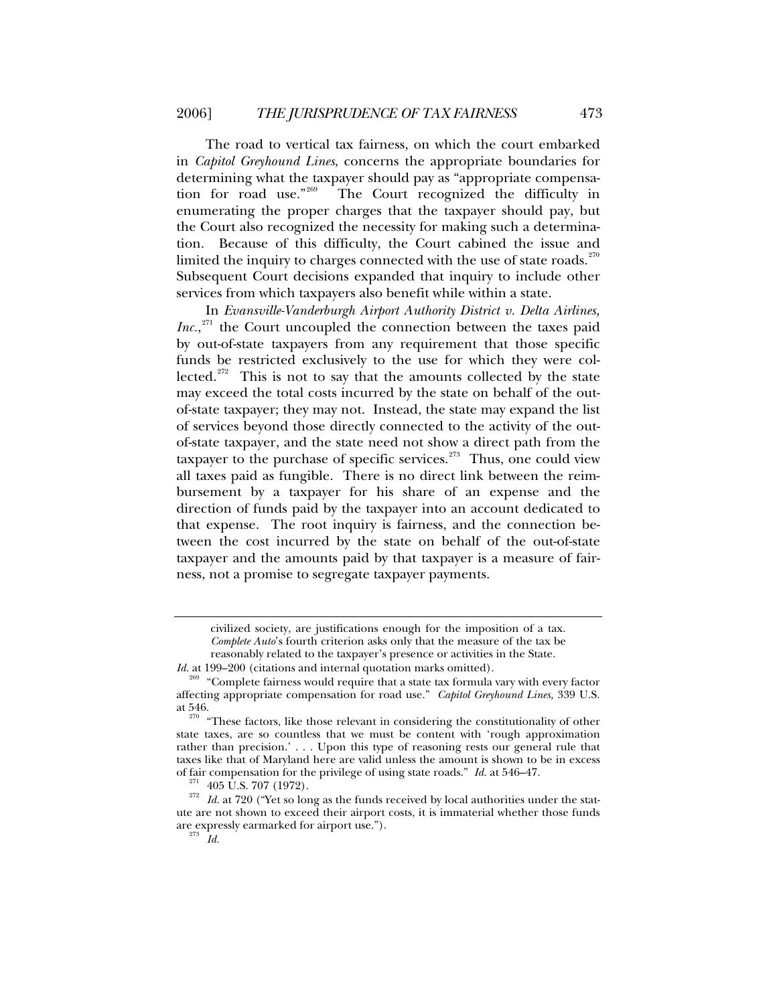The road to vertical tax fairness, on which the court embarked in *Capitol Greyhound Lines*, concerns the appropriate boundaries for determining what the taxpayer should pay as "appropriate compensation for road use."[269](#page-52-0) The Court recognized the difficulty in enumerating the proper charges that the taxpayer should pay, but the Court also recognized the necessity for making such a determination. Because of this difficulty, the Court cabined the issue and limited the inquiry to charges connected with the use of state roads. $270$ Subsequent Court decisions expanded that inquiry to include other services from which taxpayers also benefit while within a state.

In *Evansville-Vanderburgh Airport Authority District v. Delta Airlines,*  Inc.,<sup>[271](#page-52-2)</sup> the Court uncoupled the connection between the taxes paid by out-of-state taxpayers from any requirement that those specific funds be restricted exclusively to the use for which they were col-lected.<sup>[272](#page-52-3)</sup> This is not to say that the amounts collected by the state may exceed the total costs incurred by the state on behalf of the outof-state taxpayer; they may not. Instead, the state may expand the list of services beyond those directly connected to the activity of the outof-state taxpayer, and the state need not show a direct path from the taxpayer to the purchase of specific services.<sup> $273$ </sup> Thus, one could view all taxes paid as fungible. There is no direct link between the reimbursement by a taxpayer for his share of an expense and the direction of funds paid by the taxpayer into an account dedicated to that expense. The root inquiry is fairness, and the connection between the cost incurred by the state on behalf of the out-of-state taxpayer and the amounts paid by that taxpayer is a measure of fairness, not a promise to segregate taxpayer payments.

civilized society, are justifications enough for the imposition of a tax. *Complete Auto*'s fourth criterion asks only that the measure of the tax be reasonably related to the taxpayer's presence or activities in the State.

*Id.* at 199–200 (citations and internal quotation marks omitted).

<span id="page-52-0"></span><sup>&</sup>lt;sup>269</sup> "Complete fairness would require that a state tax formula vary with every factor affecting appropriate compensation for road use." *Capitol Greyhound Lines,* 339 U.S.

<span id="page-52-1"></span>at 546.  $\frac{270}{270}$  "These factors, like those relevant in considering the constitutionality of other state taxes, are so countless that we must be content with 'rough approximation rather than precision.' . . . Upon this type of reasoning rests our general rule that taxes like that of Maryland here are valid unless the amount is shown to be in excess of fair compensation for the privilege of using state roads."  $Id$  at 546–47.

<span id="page-52-4"></span><span id="page-52-3"></span><span id="page-52-2"></span><sup>&</sup>lt;sup>271</sup> 405 U.S. 707 (1972).  $Id.$  at 720 ("Yet so long as the funds received by local authorities under the statute are not shown to exceed their airport costs, it is immaterial whether those funds are expressly earmarked for airport use."). 273 *Id.*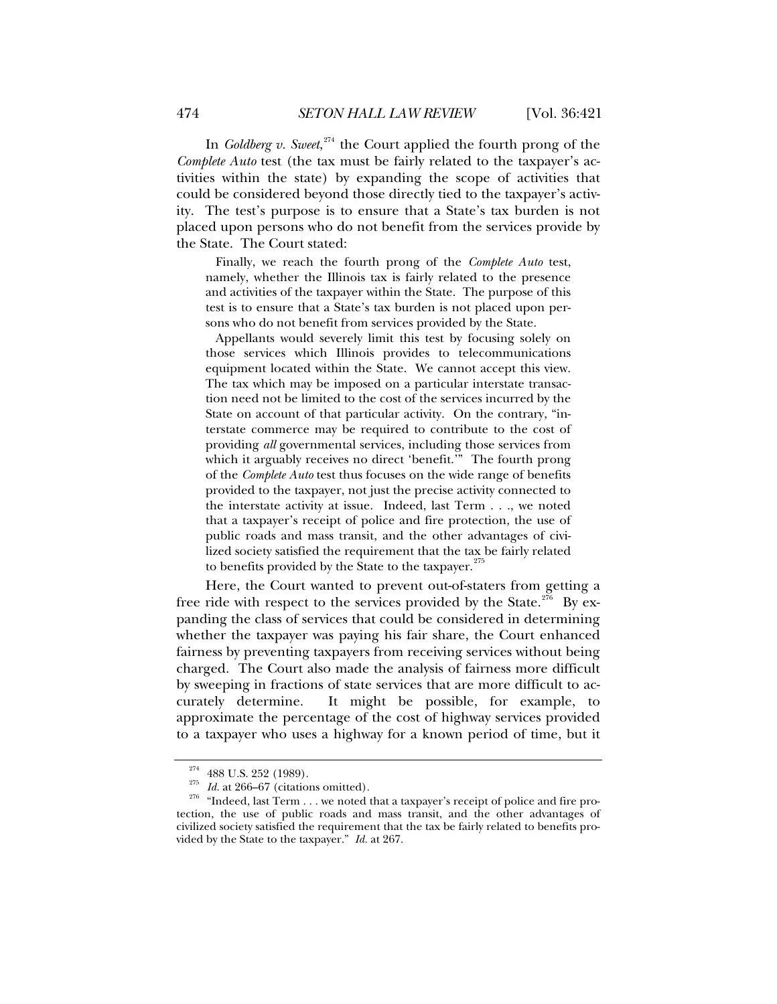In *Goldberg v. Sweet*, [274](#page-53-0) the Court applied the fourth prong of the *Complete Auto* test (the tax must be fairly related to the taxpayer's activities within the state) by expanding the scope of activities that could be considered beyond those directly tied to the taxpayer's activity. The test's purpose is to ensure that a State's tax burden is not placed upon persons who do not benefit from the services provide by the State. The Court stated:

 Finally, we reach the fourth prong of the *Complete Auto* test, namely, whether the Illinois tax is fairly related to the presence and activities of the taxpayer within the State. The purpose of this test is to ensure that a State's tax burden is not placed upon persons who do not benefit from services provided by the State.

 Appellants would severely limit this test by focusing solely on those services which Illinois provides to telecommunications equipment located within the State. We cannot accept this view. The tax which may be imposed on a particular interstate transaction need not be limited to the cost of the services incurred by the State on account of that particular activity. On the contrary, "interstate commerce may be required to contribute to the cost of providing *all* governmental services, including those services from which it arguably receives no direct 'benefit.'" The fourth prong of the *Complete Auto* test thus focuses on the wide range of benefits provided to the taxpayer, not just the precise activity connected to the interstate activity at issue. Indeed, last Term . . ., we noted that a taxpayer's receipt of police and fire protection, the use of public roads and mass transit, and the other advantages of civilized society satisfied the requirement that the tax be fairly related to benefits provided by the State to the taxpayer.<sup>[275](#page-53-1)</sup>

Here, the Court wanted to prevent out-of-staters from getting a free ride with respect to the services provided by the State.<sup>[276](#page-53-2)</sup> By expanding the class of services that could be considered in determining whether the taxpayer was paying his fair share, the Court enhanced fairness by preventing taxpayers from receiving services without being charged. The Court also made the analysis of fairness more difficult by sweeping in fractions of state services that are more difficult to accurately determine. It might be possible, for example, to approximate the percentage of the cost of highway services provided to a taxpayer who uses a highway for a known period of time, but it

<span id="page-53-2"></span><span id="page-53-1"></span><span id="page-53-0"></span><sup>&</sup>lt;sup>274</sup> 488 U.S. 252 (1989).<br><sup>275</sup> *Id.* at 266–67 (citations omitted).<br><sup>276</sup> "Indeed, last Term  $\dots$  we noted that a taxpayer's receipt of police and fire protection, the use of public roads and mass transit, and the other advantages of civilized society satisfied the requirement that the tax be fairly related to benefits provided by the State to the taxpayer." *Id.* at 267.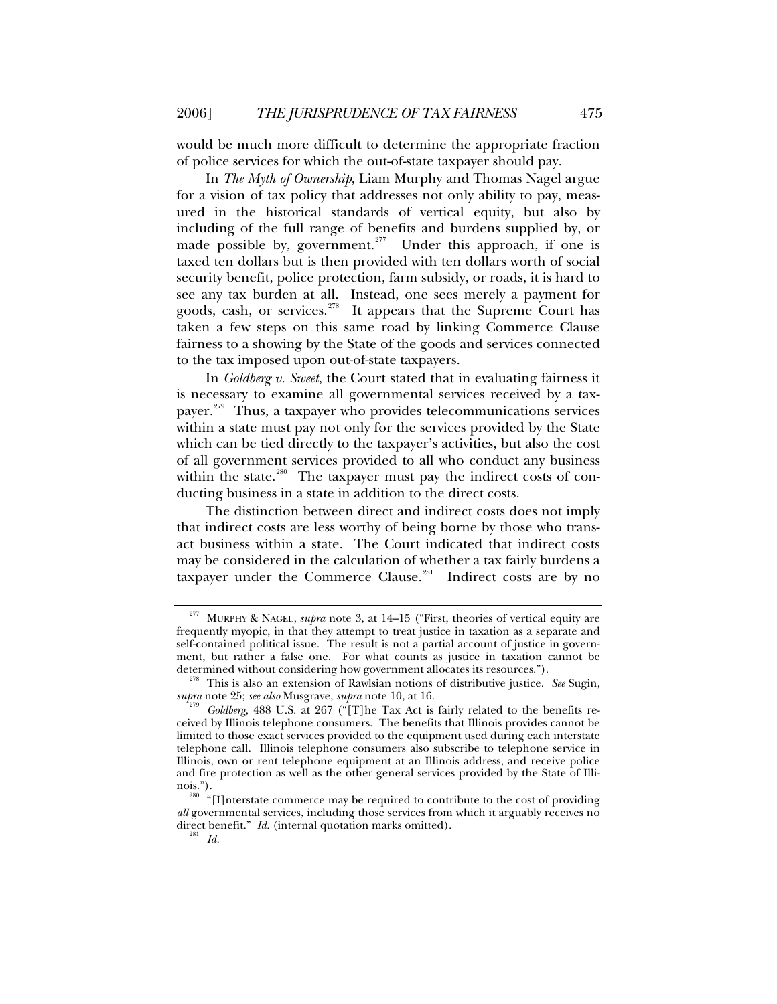would be much more difficult to determine the appropriate fraction of police services for which the out-of-state taxpayer should pay.

In *The Myth of Ownership*, Liam Murphy and Thomas Nagel argue for a vision of tax policy that addresses not only ability to pay, measured in the historical standards of vertical equity, but also by including of the full range of benefits and burdens supplied by, or made possible by, government.<sup>[277](#page-54-0)</sup> Under this approach, if one is taxed ten dollars but is then provided with ten dollars worth of social security benefit, police protection, farm subsidy, or roads, it is hard to see any tax burden at all. Instead, one sees merely a payment for goods, cash, or services.<sup>[278](#page-54-1)</sup> It appears that the Supreme Court has taken a few steps on this same road by linking Commerce Clause fairness to a showing by the State of the goods and services connected to the tax imposed upon out-of-state taxpayers.

In *Goldberg v. Sweet*, the Court stated that in evaluating fairness it is necessary to examine all governmental services received by a taxpayer.[279](#page-54-2) Thus, a taxpayer who provides telecommunications services within a state must pay not only for the services provided by the State which can be tied directly to the taxpayer's activities, but also the cost of all government services provided to all who conduct any business within the state.<sup>[280](#page-54-3)</sup> The taxpayer must pay the indirect costs of conducting business in a state in addition to the direct costs.

The distinction between direct and indirect costs does not imply that indirect costs are less worthy of being borne by those who transact business within a state. The Court indicated that indirect costs may be considered in the calculation of whether a tax fairly burdens a taxpayer under the Commerce Clause.<sup>[281](#page-54-4)</sup> Indirect costs are by no

<span id="page-54-0"></span>MURPHY & NAGEL, *supra* note 3, at 14–15 ("First, theories of vertical equity are frequently myopic, in that they attempt to treat justice in taxation as a separate and self-contained political issue. The result is not a partial account of justice in government, but rather a false one. For what counts as justice in taxation cannot be determined without considering how government allocates its resources.").

<span id="page-54-1"></span><sup>&</sup>lt;sup>278</sup> This is also an extension of Rawlsian notions of distributive justice. *See* Sugin, *supra* note 25; *see also* Musgrave, *supra* note 10, at 16.

<span id="page-54-2"></span>*Goldberg*, 488 U.S. at 267 ("[T]he Tax Act is fairly related to the benefits received by Illinois telephone consumers. The benefits that Illinois provides cannot be limited to those exact services provided to the equipment used during each interstate telephone call. Illinois telephone consumers also subscribe to telephone service in Illinois, own or rent telephone equipment at an Illinois address, and receive police and fire protection as well as the other general services provided by the State of Illinois.").<br><sup>280</sup> "[I]nterstate commerce may be required to contribute to the cost of providing

<span id="page-54-4"></span><span id="page-54-3"></span>*all* governmental services, including those services from which it arguably receives no direct benefit." *Id.* (internal quotation marks omitted). 281 *Id.*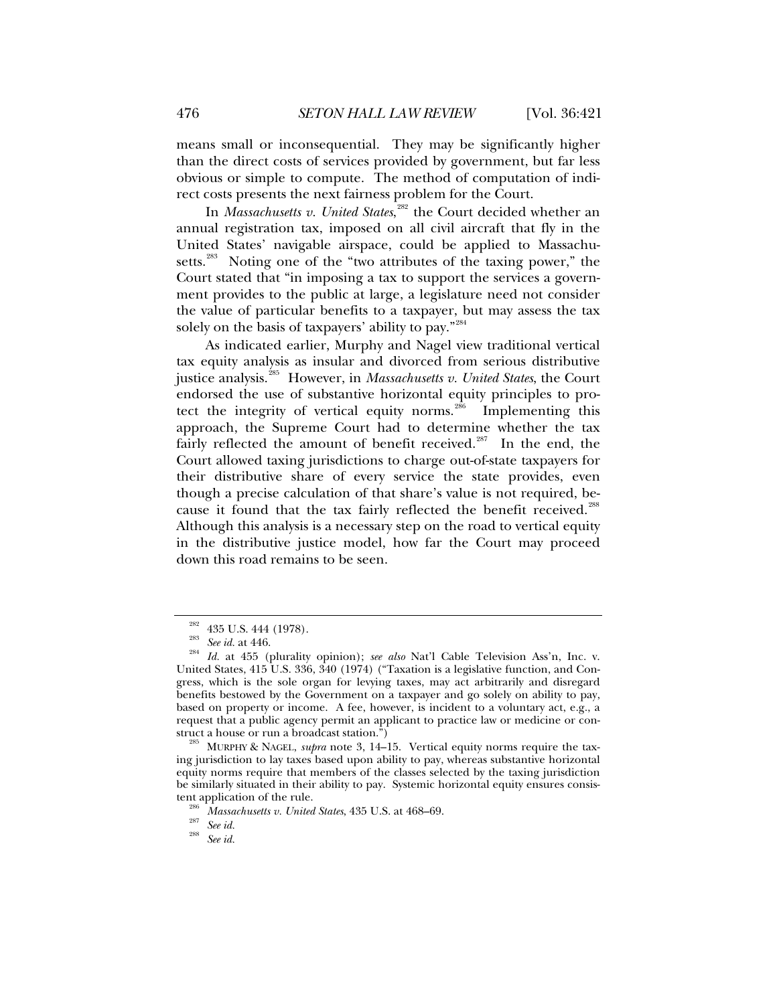means small or inconsequential. They may be significantly higher than the direct costs of services provided by government, but far less obvious or simple to compute. The method of computation of indirect costs presents the next fairness problem for the Court.

In *Massachusetts v. United States*,<sup>[282](#page-55-0)</sup> the Court decided whether an annual registration tax, imposed on all civil aircraft that fly in the United States' navigable airspace, could be applied to Massachu-setts.<sup>[283](#page-55-1)</sup> Noting one of the "two attributes of the taxing power," the Court stated that "in imposing a tax to support the services a government provides to the public at large, a legislature need not consider the value of particular benefits to a taxpayer, but may assess the tax solely on the basis of taxpayers' ability to pay."<sup>[284](#page-55-2)</sup>

As indicated earlier, Murphy and Nagel view traditional vertical tax equity analysis as insular and divorced from serious distributive justice analysis.[285](#page-55-3) However, in *Massachusetts v. United States*, the Court endorsed the use of substantive horizontal equity principles to pro-tect the integrity of vertical equity norms.<sup>[286](#page-55-4)</sup> Implementing this approach, the Supreme Court had to determine whether the tax fairly reflected the amount of benefit received.<sup>[287](#page-55-5)</sup> In the end, the Court allowed taxing jurisdictions to charge out-of-state taxpayers for their distributive share of every service the state provides, even though a precise calculation of that share's value is not required, be-cause it found that the tax fairly reflected the benefit received.<sup>[288](#page-55-6)</sup> Although this analysis is a necessary step on the road to vertical equity in the distributive justice model, how far the Court may proceed down this road remains to be seen.

<span id="page-55-6"></span><span id="page-55-5"></span>

<span id="page-55-2"></span><span id="page-55-1"></span><span id="page-55-0"></span><sup>282 435</sup> U.S. 444 (1978). 283 *See id.* at 446. 284 *Id.* at 455 (plurality opinion); *see also* Nat'l Cable Television Ass'n, Inc. v. United States, 415 U.S. 336, 340 (1974) ("Taxation is a legislative function, and Congress, which is the sole organ for levying taxes, may act arbitrarily and disregard benefits bestowed by the Government on a taxpayer and go solely on ability to pay, based on property or income. A fee, however, is incident to a voluntary act, e.g., a request that a public agency permit an applicant to practice law or medicine or construct a house or run a broadcast station.") 285 MURPHY & NAGEL, *supra* note 3, 14–15. Vertical equity norms require the tax-

<span id="page-55-4"></span><span id="page-55-3"></span>ing jurisdiction to lay taxes based upon ability to pay, whereas substantive horizontal equity norms require that members of the classes selected by the taxing jurisdiction be similarly situated in their ability to pay. Systemic horizontal equity ensures consistent application of the rule.<br><sup>286</sup> *Massachusetts v. United States*, 435 U.S. at 468–69.<br><sup>287</sup> *See id.* 288 *See id.*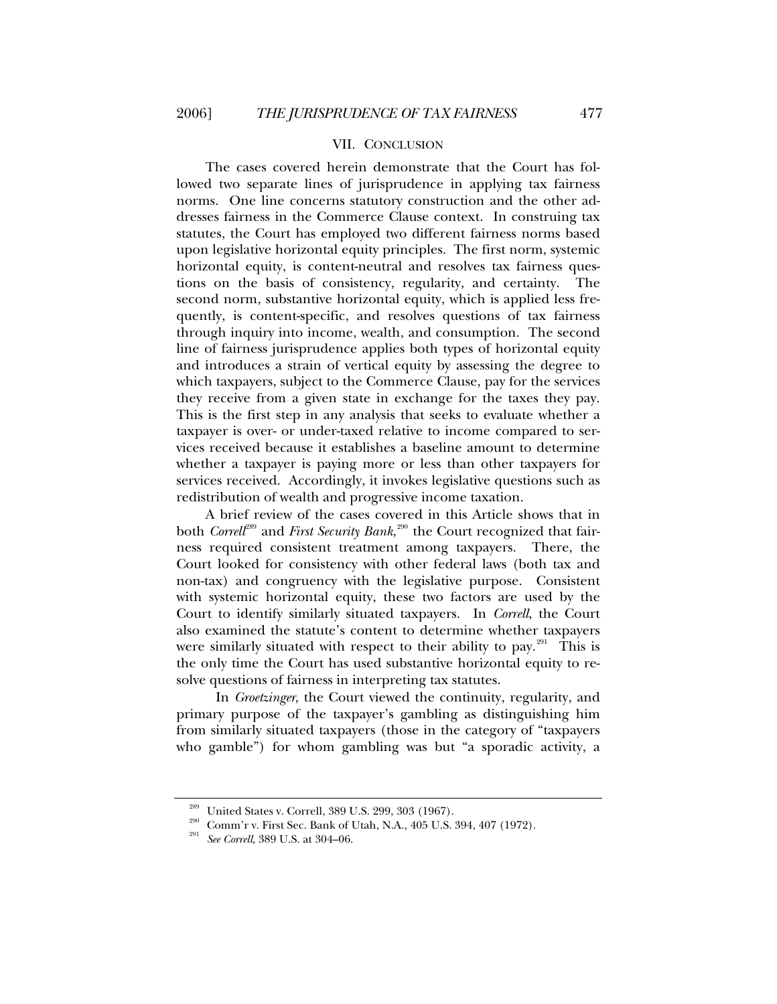## VII. CONCLUSION

<span id="page-56-0"></span>The cases covered herein demonstrate that the Court has followed two separate lines of jurisprudence in applying tax fairness norms. One line concerns statutory construction and the other addresses fairness in the Commerce Clause context. In construing tax statutes, the Court has employed two different fairness norms based upon legislative horizontal equity principles. The first norm, systemic horizontal equity, is content-neutral and resolves tax fairness questions on the basis of consistency, regularity, and certainty. The second norm, substantive horizontal equity, which is applied less frequently, is content-specific, and resolves questions of tax fairness through inquiry into income, wealth, and consumption. The second line of fairness jurisprudence applies both types of horizontal equity and introduces a strain of vertical equity by assessing the degree to which taxpayers, subject to the Commerce Clause, pay for the services they receive from a given state in exchange for the taxes they pay. This is the first step in any analysis that seeks to evaluate whether a taxpayer is over- or under-taxed relative to income compared to services received because it establishes a baseline amount to determine whether a taxpayer is paying more or less than other taxpayers for services received. Accordingly, it invokes legislative questions such as redistribution of wealth and progressive income taxation.

A brief review of the cases covered in this Article shows that in both *Correll<sup>[289](#page-56-1)</sup>* and *First Security Bank,* $^{290}$  $^{290}$  $^{290}$  *the Court recognized that fair*ness required consistent treatment among taxpayers. There, the Court looked for consistency with other federal laws (both tax and non-tax) and congruency with the legislative purpose. Consistent with systemic horizontal equity, these two factors are used by the Court to identify similarly situated taxpayers. In *Correll*, the Court also examined the statute's content to determine whether taxpayers were similarly situated with respect to their ability to pay.<sup>[291](#page-56-3)</sup> This is the only time the Court has used substantive horizontal equity to resolve questions of fairness in interpreting tax statutes.

 In *Groetzinger*, the Court viewed the continuity, regularity, and primary purpose of the taxpayer's gambling as distinguishing him from similarly situated taxpayers (those in the category of "taxpayers who gamble") for whom gambling was but "a sporadic activity, a

<span id="page-56-3"></span><span id="page-56-2"></span><span id="page-56-1"></span>

<sup>&</sup>lt;sup>289</sup> United States v. Correll, 389 U.S. 299, 303 (1967).<br><sup>290</sup> Comm'r v. First Sec. Bank of Utah, N.A., 405 U.S. 394, 407 (1972).<br><sup>291</sup> *See Correll*, 389 U.S. at 304–06.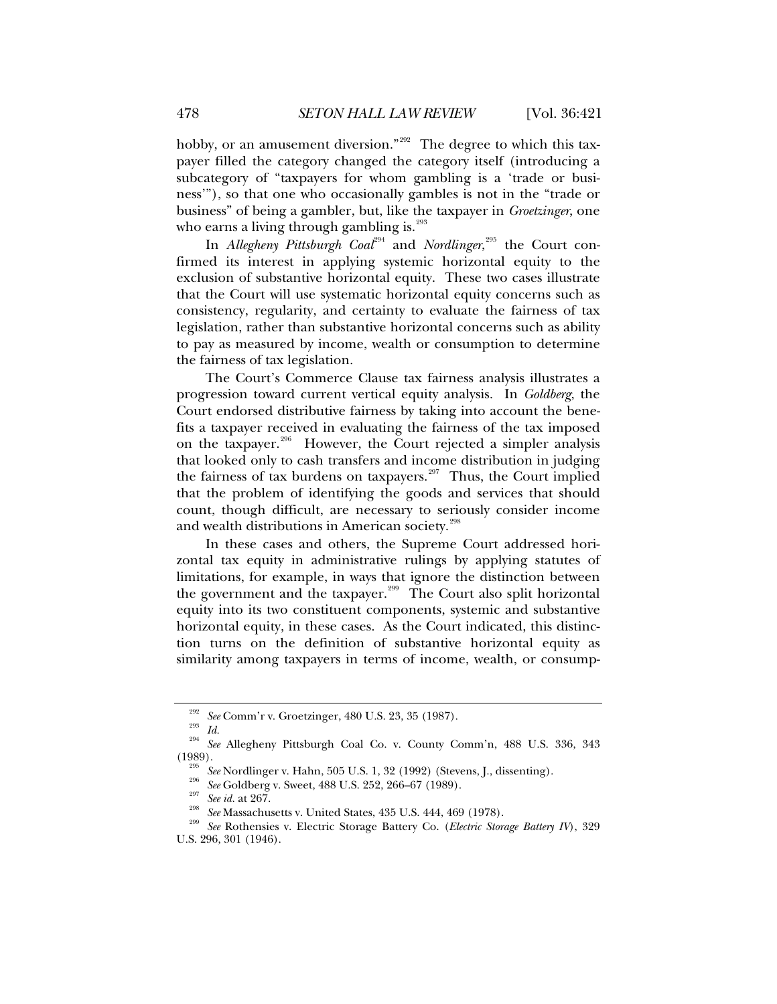hobby, or an amusement diversion."<sup>[292](#page-57-0)</sup> The degree to which this taxpayer filled the category changed the category itself (introducing a subcategory of "taxpayers for whom gambling is a 'trade or business'"), so that one who occasionally gambles is not in the "trade or business" of being a gambler, but, like the taxpayer in *Groetzinger*, one who earns a living through gambling is. $293$ 

In *Allegheny Pittsburgh Coal<sup>[294](#page-57-2)</sup> and Nordlinger,<sup>[295](#page-57-3)</sup> the Court con*firmed its interest in applying systemic horizontal equity to the exclusion of substantive horizontal equity. These two cases illustrate that the Court will use systematic horizontal equity concerns such as consistency, regularity, and certainty to evaluate the fairness of tax legislation, rather than substantive horizontal concerns such as ability to pay as measured by income, wealth or consumption to determine the fairness of tax legislation.

The Court's Commerce Clause tax fairness analysis illustrates a progression toward current vertical equity analysis. In *Goldberg*, the Court endorsed distributive fairness by taking into account the benefits a taxpayer received in evaluating the fairness of the tax imposed on the taxpayer.<sup>[296](#page-57-4)</sup> However, the Court rejected a simpler analysis that looked only to cash transfers and income distribution in judging the fairness of tax burdens on taxpayers.<sup>[297](#page-57-5)</sup> Thus, the Court implied that the problem of identifying the goods and services that should count, though difficult, are necessary to seriously consider income and wealth distributions in American society.<sup>[298](#page-57-6)</sup>

In these cases and others, the Supreme Court addressed horizontal tax equity in administrative rulings by applying statutes of limitations, for example, in ways that ignore the distinction between the government and the taxpayer.<sup>[299](#page-57-7)</sup> The Court also split horizontal equity into its two constituent components, systemic and substantive horizontal equity, in these cases. As the Court indicated, this distinction turns on the definition of substantive horizontal equity as similarity among taxpayers in terms of income, wealth, or consump-

<span id="page-57-3"></span><span id="page-57-2"></span><span id="page-57-1"></span><span id="page-57-0"></span><sup>&</sup>lt;sup>292</sup> See Comm'r v. Groetzinger, 480 U.S. 23, 35 (1987).<br><sup>293</sup> Id.<br><sup>294</sup> See Allegheny Pittsburgh Coal Co. v. County Comm'n, 488 U.S. 336, 343<br>(1989).

<sup>&</sup>lt;sup>295</sup> See Nordlinger v. Hahn, 505 U.S. 1, 32 (1992) (Stevens, J., dissenting).<br><sup>296</sup> See Goldberg v. Sweet, 488 U.S. 252, 266–67 (1989).<br><sup>297</sup> See id. at 267.<br><sup>298</sup> See Massachusetts v. United States, 435 U.S. 444, 469 (1

<span id="page-57-7"></span><span id="page-57-6"></span><span id="page-57-5"></span><span id="page-57-4"></span>U.S. 296, 301 (1946).